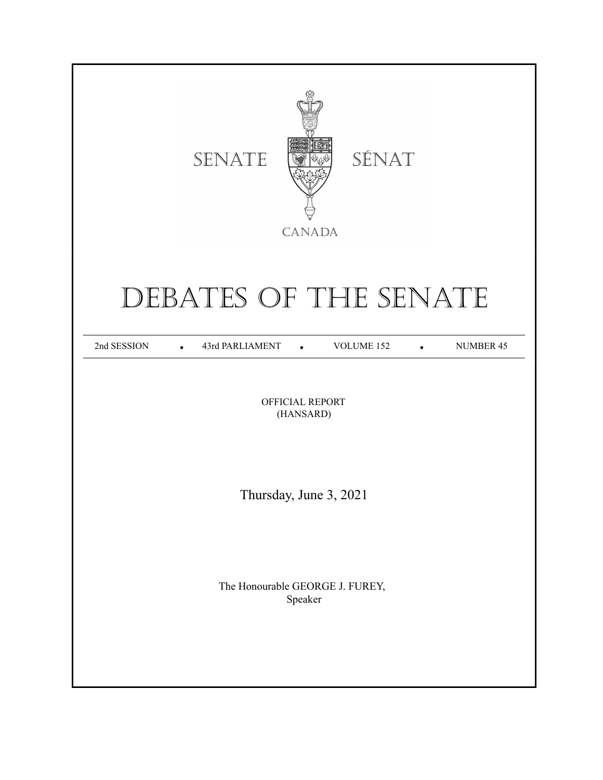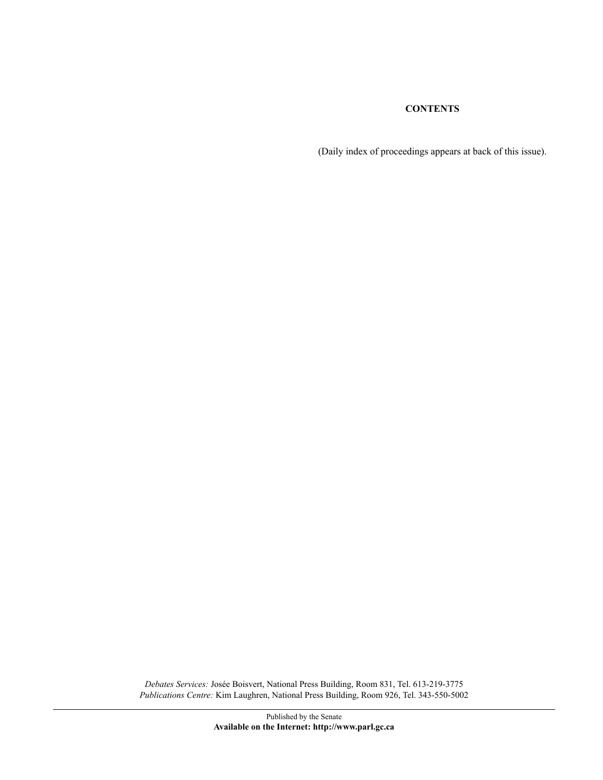(Daily index of proceedings appears at back of this issue).

*Debates Services:* Josée Boisvert, National Press Building, Room 831, Tel. 613-219-3775 *Publications Centre:* Kim Laughren, National Press Building, Room 926, Tel. 343-550-5002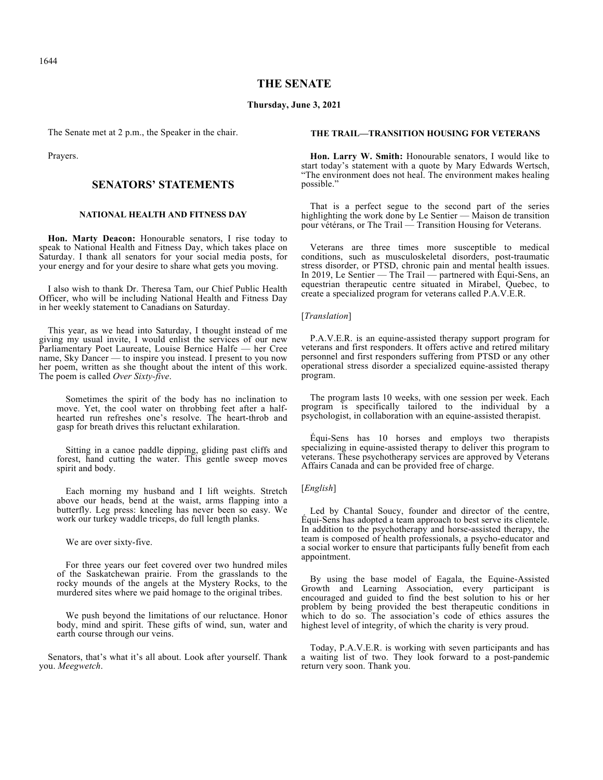1644

## **THE SENATE**

#### **Thursday, June 3, 2021**

The Senate met at 2 p.m., the Speaker in the chair.

Prayers.

## **SENATORS' STATEMENTS**

## **NATIONAL HEALTH AND FITNESS DAY**

**Hon. Marty Deacon:** Honourable senators, I rise today to speak to National Health and Fitness Day, which takes place on Saturday. I thank all senators for your social media posts, for your energy and for your desire to share what gets you moving.

I also wish to thank Dr. Theresa Tam, our Chief Public Health Officer, who will be including National Health and Fitness Day in her weekly statement to Canadians on Saturday.

This year, as we head into Saturday, I thought instead of me giving my usual invite, I would enlist the services of our new Parliamentary Poet Laureate, Louise Bernice Halfe — her Cree name, Sky Dancer — to inspire you instead. I present to you now her poem, written as she thought about the intent of this work. The poem is called *Over Sixty-five*.

Sometimes the spirit of the body has no inclination to move. Yet, the cool water on throbbing feet after a halfhearted run refreshes one's resolve. The heart-throb and gasp for breath drives this reluctant exhilaration.

Sitting in a canoe paddle dipping, gliding past cliffs and forest, hand cutting the water. This gentle sweep moves spirit and body.

Each morning my husband and I lift weights. Stretch above our heads, bend at the waist, arms flapping into a butterfly. Leg press: kneeling has never been so easy. We work our turkey waddle triceps, do full length planks.

We are over sixty-five.

For three years our feet covered over two hundred miles of the Saskatchewan prairie. From the grasslands to the rocky mounds of the angels at the Mystery Rocks, to the murdered sites where we paid homage to the original tribes.

We push beyond the limitations of our reluctance. Honor body, mind and spirit. These gifts of wind, sun, water and earth course through our veins.

Senators, that's what it's all about. Look after yourself. Thank you. *Meegwetch*.

#### **THE TRAIL—TRANSITION HOUSING FOR VETERANS**

**Hon. Larry W. Smith:** Honourable senators, I would like to start today's statement with a quote by Mary Edwards Wertsch, "The environment does not heal. The environment makes healing possible."

That is a perfect segue to the second part of the series highlighting the work done by Le Sentier — Maison de transition pour vétérans, or The Trail — Transition Housing for Veterans.

Veterans are three times more susceptible to medical conditions, such as musculoskeletal disorders, post-traumatic stress disorder, or PTSD, chronic pain and mental health issues. In 2019, Le Sentier — The Trail — partnered with Équi-Sens, an equestrian therapeutic centre situated in Mirabel, Quebec, to create a specialized program for veterans called P.A.V.E.R.

#### [*Translation*]

P.A.V.E.R. is an equine-assisted therapy support program for veterans and first responders. It offers active and retired military personnel and first responders suffering from PTSD or any other operational stress disorder a specialized equine-assisted therapy program.

The program lasts 10 weeks, with one session per week. Each program is specifically tailored to the individual by a psychologist, in collaboration with an equine-assisted therapist.

Équi-Sens has 10 horses and employs two therapists specializing in equine-assisted therapy to deliver this program to veterans. These psychotherapy services are approved by Veterans Affairs Canada and can be provided free of charge.

## [*English*]

Led by Chantal Soucy, founder and director of the centre, Équi-Sens has adopted a team approach to best serve its clientele. In addition to the psychotherapy and horse-assisted therapy, the team is composed of health professionals, a psycho-educator and a social worker to ensure that participants fully benefit from each appointment.

By using the base model of Eagala, the Equine-Assisted Growth and Learning Association, every participant is encouraged and guided to find the best solution to his or her problem by being provided the best therapeutic conditions in which to do so. The association's code of ethics assures the highest level of integrity, of which the charity is very proud.

Today, P.A.V.E.R. is working with seven participants and has a waiting list of two. They look forward to a post-pandemic return very soon. Thank you.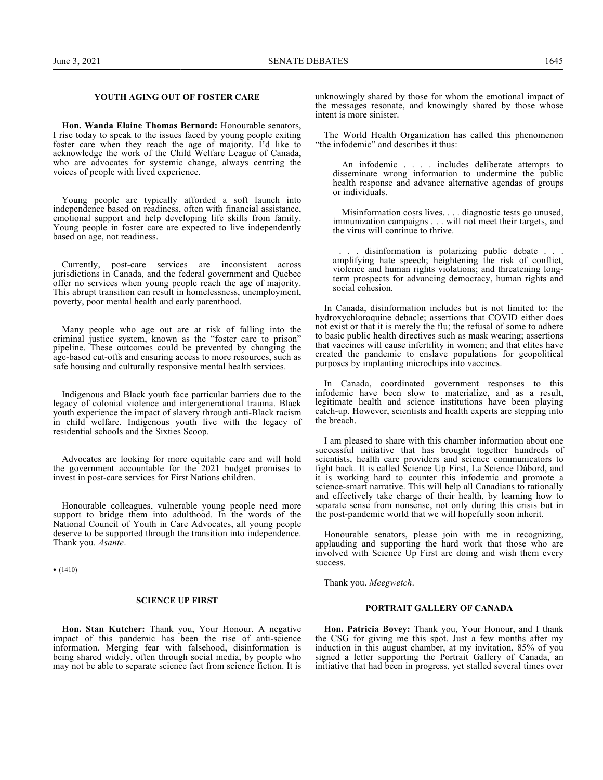## **YOUTH AGING OUT OF FOSTER CARE**

**Hon. Wanda Elaine Thomas Bernard:** Honourable senators, I rise today to speak to the issues faced by young people exiting foster care when they reach the age of majority. I'd like to acknowledge the work of the Child Welfare League of Canada, who are advocates for systemic change, always centring the voices of people with lived experience.

Young people are typically afforded a soft launch into independence based on readiness, often with financial assistance, emotional support and help developing life skills from family. Young people in foster care are expected to live independently based on age, not readiness.

Currently, post-care services are inconsistent across jurisdictions in Canada, and the federal government and Quebec offer no services when young people reach the age of majority. This abrupt transition can result in homelessness, unemployment, poverty, poor mental health and early parenthood.

Many people who age out are at risk of falling into the criminal justice system, known as the "foster care to prison" pipeline. These outcomes could be prevented by changing the age-based cut-offs and ensuring access to more resources, such as safe housing and culturally responsive mental health services.

Indigenous and Black youth face particular barriers due to the legacy of colonial violence and intergenerational trauma. Black youth experience the impact of slavery through anti-Black racism in child welfare. Indigenous youth live with the legacy of residential schools and the Sixties Scoop.

Advocates are looking for more equitable care and will hold the government accountable for the 2021 budget promises to invest in post-care services for First Nations children.

Honourable colleagues, vulnerable young people need more support to bridge them into adulthood. In the words of the National Council of Youth in Care Advocates, all young people deserve to be supported through the transition into independence. Thank you. *Asante*.

•  $(1410)$ 

#### **SCIENCE UP FIRST**

**Hon. Stan Kutcher:** Thank you, Your Honour. A negative impact of this pandemic has been the rise of anti-science information. Merging fear with falsehood, disinformation is being shared widely, often through social media, by people who may not be able to separate science fact from science fiction. It is unknowingly shared by those for whom the emotional impact of the messages resonate, and knowingly shared by those whose intent is more sinister.

The World Health Organization has called this phenomenon "the infodemic" and describes it thus:

An infodemic . . . . includes deliberate attempts to disseminate wrong information to undermine the public health response and advance alternative agendas of groups or individuals.

Misinformation costs lives. . . . diagnostic tests go unused, immunization campaigns . . . will not meet their targets, and the virus will continue to thrive.

. . . disinformation is polarizing public debate . . . amplifying hate speech; heightening the risk of conflict, violence and human rights violations; and threatening longterm prospects for advancing democracy, human rights and social cohesion.

In Canada, disinformation includes but is not limited to: the hydroxychloroquine debacle; assertions that COVID either does not exist or that it is merely the flu; the refusal of some to adhere to basic public health directives such as mask wearing; assertions that vaccines will cause infertility in women; and that elites have created the pandemic to enslave populations for geopolitical purposes by implanting microchips into vaccines.

In Canada, coordinated government responses to this infodemic have been slow to materialize, and as a result, legitimate health and science institutions have been playing catch-up. However, scientists and health experts are stepping into the breach.

I am pleased to share with this chamber information about one successful initiative that has brought together hundreds of scientists, health care providers and science communicators to fight back. It is called Science Up First, La Science Dábord, and it is working hard to counter this infodemic and promote a science-smart narrative. This will help all Canadians to rationally and effectively take charge of their health, by learning how to separate sense from nonsense, not only during this crisis but in the post-pandemic world that we will hopefully soon inherit.

Honourable senators, please join with me in recognizing, applauding and supporting the hard work that those who are involved with Science Up First are doing and wish them every success.

Thank you. *Meegwetch*.

#### **PORTRAIT GALLERY OF CANADA**

**Hon. Patricia Bovey:** Thank you, Your Honour, and I thank the CSG for giving me this spot. Just a few months after my induction in this august chamber, at my invitation, 85% of you signed a letter supporting the Portrait Gallery of Canada, an initiative that had been in progress, yet stalled several times over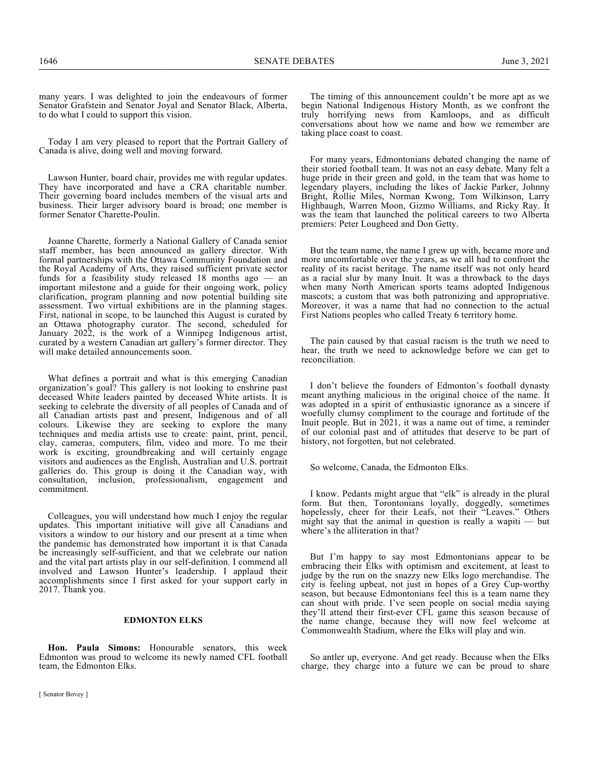many years. I was delighted to join the endeavours of former Senator Grafstein and Senator Joyal and Senator Black, Alberta, to do what I could to support this vision.

Today I am very pleased to report that the Portrait Gallery of Canada is alive, doing well and moving forward.

Lawson Hunter, board chair, provides me with regular updates. They have incorporated and have a CRA charitable number. Their governing board includes members of the visual arts and business. Their larger advisory board is broad; one member is former Senator Charette-Poulin.

Joanne Charette, formerly a National Gallery of Canada senior staff member, has been announced as gallery director. With formal partnerships with the Ottawa Community Foundation and the Royal Academy of Arts, they raised sufficient private sector funds for a feasibility study released 18 months ago — an important milestone and a guide for their ongoing work, policy clarification, program planning and now potential building site assessment. Two virtual exhibitions are in the planning stages. First, national in scope, to be launched this August is curated by an Ottawa photography curator. The second, scheduled for January 2022, is the work of a Winnipeg Indigenous artist, curated by a western Canadian art gallery's former director. They will make detailed announcements soon.

What defines a portrait and what is this emerging Canadian organization's goal? This gallery is not looking to enshrine past deceased White leaders painted by deceased White artists. It is seeking to celebrate the diversity of all peoples of Canada and of all Canadian artists past and present, Indigenous and of all colours. Likewise they are seeking to explore the many techniques and media artists use to create: paint, print, pencil, clay, cameras, computers, film, video and more. To me their work is exciting, groundbreaking and will certainly engage visitors and audiences as the English, Australian and U.S. portrait galleries do. This group is doing it the Canadian way, with consultation, inclusion, professionalism, engagement and commitment.

Colleagues, you will understand how much I enjoy the regular updates. This important initiative will give all Canadians and visitors a window to our history and our present at a time when the pandemic has demonstrated how important it is that Canada be increasingly self-sufficient, and that we celebrate our nation and the vital part artists play in our self-definition. I commend all involved and Lawson Hunter's leadership. I applaud their accomplishments since I first asked for your support early in 2017. Thank you.

#### **EDMONTON ELKS**

**Hon. Paula Simons:** Honourable senators, this week Edmonton was proud to welcome its newly named CFL football team, the Edmonton Elks.

The timing of this announcement couldn't be more apt as we begin National Indigenous History Month, as we confront the truly horrifying news from Kamloops, and as difficult conversations about how we name and how we remember are taking place coast to coast.

For many years, Edmontonians debated changing the name of their storied football team. It was not an easy debate. Many felt a huge pride in their green and gold, in the team that was home to legendary players, including the likes of Jackie Parker, Johnny Bright, Rollie Miles, Norman Kwong, Tom Wilkinson, Larry Highbaugh, Warren Moon, Gizmo Williams, and Ricky Ray. It was the team that launched the political careers to two Alberta premiers: Peter Lougheed and Don Getty.

But the team name, the name I grew up with, became more and more uncomfortable over the years, as we all had to confront the reality of its racist heritage. The name itself was not only heard as a racial slur by many Inuit. It was a throwback to the days when many North American sports teams adopted Indigenous mascots; a custom that was both patronizing and appropriative. Moreover, it was a name that had no connection to the actual First Nations peoples who called Treaty 6 territory home.

The pain caused by that casual racism is the truth we need to hear, the truth we need to acknowledge before we can get to reconciliation.

I don't believe the founders of Edmonton's football dynasty meant anything malicious in the original choice of the name. It was adopted in a spirit of enthusiastic ignorance as a sincere if woefully clumsy compliment to the courage and fortitude of the Inuit people. But in 2021, it was a name out of time, a reminder of our colonial past and of attitudes that deserve to be part of history, not forgotten, but not celebrated.

So welcome, Canada, the Edmonton Elks.

I know. Pedants might argue that "elk" is already in the plural form. But then, Torontonians loyally, doggedly, sometimes hopelessly, cheer for their Leafs, not their "Leaves." Others might say that the animal in question is really a wapiti — but where's the alliteration in that?

But I'm happy to say most Edmontonians appear to be embracing their Elks with optimism and excitement, at least to judge by the run on the snazzy new Elks logo merchandise. The city is feeling upbeat, not just in hopes of a Grey Cup-worthy season, but because Edmontonians feel this is a team name they can shout with pride. I've seen people on social media saying they'll attend their first-ever CFL game this season because of the name change, because they will now feel welcome at Commonwealth Stadium, where the Elks will play and win.

So antler up, everyone. And get ready. Because when the Elks charge, they charge into a future we can be proud to share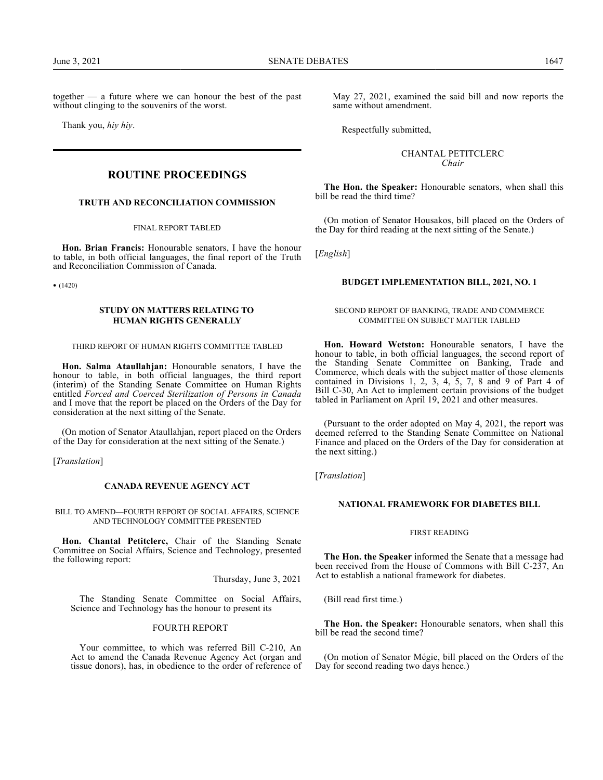together — a future where we can honour the best of the past without clinging to the souvenirs of the worst.

Thank you, *hiy hiy*.

# **ROUTINE PROCEEDINGS**

#### **TRUTH AND RECONCILIATION COMMISSION**

FINAL REPORT TABLED

**Hon. Brian Francis:** Honourable senators, I have the honour to table, in both official languages, the final report of the Truth and Reconciliation Commission of Canada.

• (1420)

## **STUDY ON MATTERS RELATING TO HUMAN RIGHTS GENERALLY**

#### THIRD REPORT OF HUMAN RIGHTS COMMITTEE TABLED

**Hon. Salma Ataullahjan:** Honourable senators, I have the honour to table, in both official languages, the third report (interim) of the Standing Senate Committee on Human Rights entitled *Forced and Coerced Sterilization of Persons in Canada* and I move that the report be placed on the Orders of the Day for consideration at the next sitting of the Senate.

(On motion of Senator Ataullahjan, report placed on the Orders of the Day for consideration at the next sitting of the Senate.)

[*Translation*]

## **CANADA REVENUE AGENCY ACT**

BILL TO AMEND—FOURTH REPORT OF SOCIAL AFFAIRS, SCIENCE AND TECHNOLOGY COMMITTEE PRESENTED

**Hon. Chantal Petitclerc,** Chair of the Standing Senate Committee on Social Affairs, Science and Technology, presented the following report:

Thursday, June 3, 2021

The Standing Senate Committee on Social Affairs, Science and Technology has the honour to present its

#### FOURTH REPORT

Your committee, to which was referred Bill C-210, An Act to amend the Canada Revenue Agency Act (organ and tissue donors), has, in obedience to the order of reference of May 27, 2021, examined the said bill and now reports the same without amendment.

Respectfully submitted,

## CHANTAL PETITCLERC *Chair*

**The Hon. the Speaker:** Honourable senators, when shall this bill be read the third time?

(On motion of Senator Housakos, bill placed on the Orders of the Day for third reading at the next sitting of the Senate.)

[*English*]

#### **BUDGET IMPLEMENTATION BILL, 2021, NO. 1**

#### SECOND REPORT OF BANKING, TRADE AND COMMERCE COMMITTEE ON SUBJECT MATTER TABLED

**Hon. Howard Wetston:** Honourable senators, I have the honour to table, in both official languages, the second report of the Standing Senate Committee on Banking, Trade and Commerce, which deals with the subject matter of those elements contained in Divisions 1, 2, 3, 4, 5, 7, 8 and 9 of Part 4 of Bill C-30, An Act to implement certain provisions of the budget tabled in Parliament on April 19, 2021 and other measures.

(Pursuant to the order adopted on May 4, 2021, the report was deemed referred to the Standing Senate Committee on National Finance and placed on the Orders of the Day for consideration at the next sitting.)

[*Translation*]

#### **NATIONAL FRAMEWORK FOR DIABETES BILL**

#### FIRST READING

**The Hon. the Speaker** informed the Senate that a message had been received from the House of Commons with Bill C-237, An Act to establish a national framework for diabetes.

(Bill read first time.)

**The Hon. the Speaker:** Honourable senators, when shall this bill be read the second time?

(On motion of Senator Mégie, bill placed on the Orders of the Day for second reading two days hence.)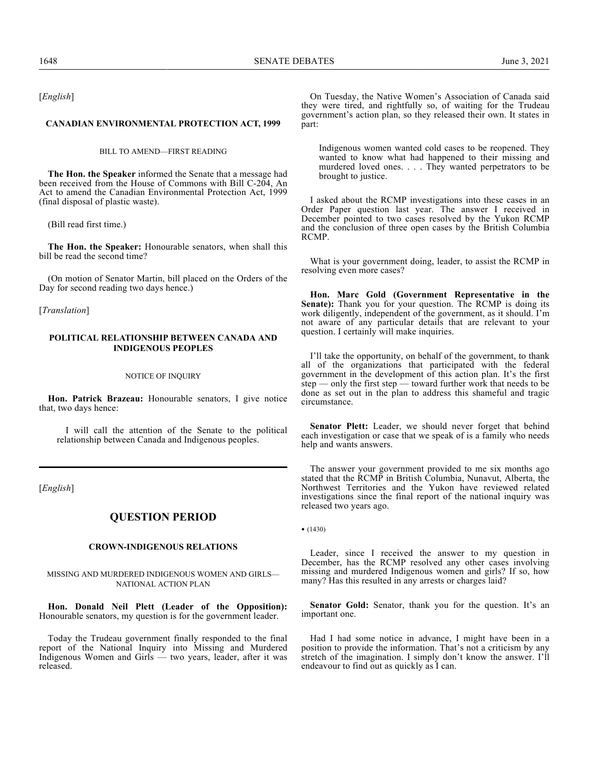[*English*]

#### **CANADIAN ENVIRONMENTAL PROTECTION ACT, 1999**

BILL TO AMEND—FIRST READING

**The Hon. the Speaker** informed the Senate that a message had been received from the House of Commons with Bill C-204, An Act to amend the Canadian Environmental Protection Act, 1999 (final disposal of plastic waste).

(Bill read first time.)

**The Hon. the Speaker:** Honourable senators, when shall this bill be read the second time?

(On motion of Senator Martin, bill placed on the Orders of the Day for second reading two days hence.)

[*Translation*]

### **POLITICAL RELATIONSHIP BETWEEN CANADA AND INDIGENOUS PEOPLES**

#### NOTICE OF INQUIRY

**Hon. Patrick Brazeau:** Honourable senators, I give notice that, two days hence:

I will call the attention of the Senate to the political relationship between Canada and Indigenous peoples.

[*English*]

## **QUESTION PERIOD**

#### **CROWN-INDIGENOUS RELATIONS**

MISSING AND MURDERED INDIGENOUS WOMEN AND GIRLS— NATIONAL ACTION PLAN

**Hon. Donald Neil Plett (Leader of the Opposition):** Honourable senators, my question is for the government leader.

Today the Trudeau government finally responded to the final report of the National Inquiry into Missing and Murdered Indigenous Women and Girls — two years, leader, after it was released.

On Tuesday, the Native Women's Association of Canada said they were tired, and rightfully so, of waiting for the Trudeau government's action plan, so they released their own. It states in part:

Indigenous women wanted cold cases to be reopened. They wanted to know what had happened to their missing and murdered loved ones. . . . They wanted perpetrators to be brought to justice.

I asked about the RCMP investigations into these cases in an Order Paper question last year. The answer I received in December pointed to two cases resolved by the Yukon RCMP and the conclusion of three open cases by the British Columbia RCMP.

What is your government doing, leader, to assist the RCMP in resolving even more cases?

**Hon. Marc Gold (Government Representative in the Senate):** Thank you for your question. The RCMP is doing its work diligently, independent of the government, as it should. I'm not aware of any particular details that are relevant to your question. I certainly will make inquiries.

I'll take the opportunity, on behalf of the government, to thank all of the organizations that participated with the federal government in the development of this action plan. It's the first step — only the first step — toward further work that needs to be done as set out in the plan to address this shameful and tragic circumstance.

**Senator Plett:** Leader, we should never forget that behind each investigation or case that we speak of is a family who needs help and wants answers.

The answer your government provided to me six months ago stated that the RCMP in British Columbia, Nunavut, Alberta, the Northwest Territories and the Yukon have reviewed related investigations since the final report of the national inquiry was released two years ago.

• (1430)

Leader, since I received the answer to my question in December, has the RCMP resolved any other cases involving missing and murdered Indigenous women and girls? If so, how many? Has this resulted in any arrests or charges laid?

**Senator Gold:** Senator, thank you for the question. It's an important one.

Had I had some notice in advance, I might have been in a position to provide the information. That's not a criticism by any stretch of the imagination. I simply don't know the answer. I'll endeavour to find out as quickly as I can.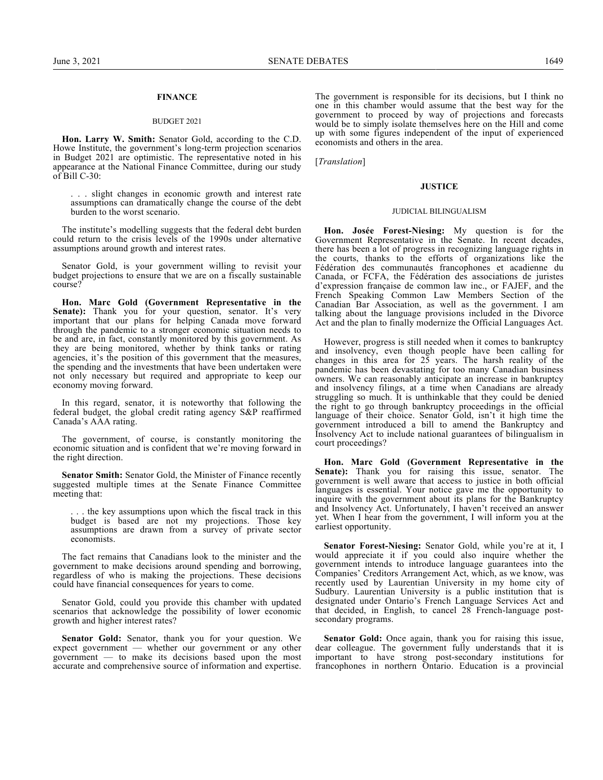## **FINANCE**

#### BUDGET 2021

**Hon. Larry W. Smith:** Senator Gold, according to the C.D. Howe Institute, the government's long-term projection scenarios in Budget 2021 are optimistic. The representative noted in his appearance at the National Finance Committee, during our study of Bill C-30:

. . . slight changes in economic growth and interest rate assumptions can dramatically change the course of the debt burden to the worst scenario.

The institute's modelling suggests that the federal debt burden could return to the crisis levels of the 1990s under alternative assumptions around growth and interest rates.

Senator Gold, is your government willing to revisit your budget projections to ensure that we are on a fiscally sustainable course?

**Hon. Marc Gold (Government Representative in the** Senate): Thank you for your question, senator. It's very important that our plans for helping Canada move forward through the pandemic to a stronger economic situation needs to be and are, in fact, constantly monitored by this government. As they are being monitored, whether by think tanks or rating agencies, it's the position of this government that the measures, the spending and the investments that have been undertaken were not only necessary but required and appropriate to keep our economy moving forward.

In this regard, senator, it is noteworthy that following the federal budget, the global credit rating agency S&P reaffirmed Canada's AAA rating.

The government, of course, is constantly monitoring the economic situation and is confident that we're moving forward in the right direction.

**Senator Smith:** Senator Gold, the Minister of Finance recently suggested multiple times at the Senate Finance Committee meeting that:

.. the key assumptions upon which the fiscal track in this budget is based are not my projections. Those key assumptions are drawn from a survey of private sector economists.

The fact remains that Canadians look to the minister and the government to make decisions around spending and borrowing, regardless of who is making the projections. These decisions could have financial consequences for years to come.

Senator Gold, could you provide this chamber with updated scenarios that acknowledge the possibility of lower economic growth and higher interest rates?

**Senator Gold:** Senator, thank you for your question. We expect government — whether our government or any other government — to make its decisions based upon the most accurate and comprehensive source of information and expertise.

The government is responsible for its decisions, but I think no one in this chamber would assume that the best way for the government to proceed by way of projections and forecasts would be to simply isolate themselves here on the Hill and come up with some figures independent of the input of experienced economists and others in the area.

[*Translation*]

#### **JUSTICE**

#### JUDICIAL BILINGUALISM

**Hon. Josée Forest-Niesing:** My question is for the Government Representative in the Senate. In recent decades, there has been a lot of progress in recognizing language rights in the courts, thanks to the efforts of organizations like the Fédération des communautés francophones et acadienne du Canada, or FCFA, the Fédération des associations de juristes d'expression française de common law inc., or FAJEF, and the French Speaking Common Law Members Section of the Canadian Bar Association, as well as the government. I am talking about the language provisions included in the Divorce Act and the plan to finally modernize the Official Languages Act.

However, progress is still needed when it comes to bankruptcy and insolvency, even though people have been calling for changes in this area for 25 years. The harsh reality of the pandemic has been devastating for too many Canadian business owners. We can reasonably anticipate an increase in bankruptcy and insolvency filings, at a time when Canadians are already struggling so much. It is unthinkable that they could be denied the right to go through bankruptcy proceedings in the official language of their choice. Senator Gold, isn't it high time the government introduced a bill to amend the Bankruptcy and Insolvency Act to include national guarantees of bilingualism in court proceedings?

**Hon. Marc Gold (Government Representative in the** Senate): Thank you for raising this issue, senator. The government is well aware that access to justice in both official languages is essential. Your notice gave me the opportunity to inquire with the government about its plans for the Bankruptcy and Insolvency Act. Unfortunately, I haven't received an answer yet. When I hear from the government, I will inform you at the earliest opportunity.

**Senator Forest-Niesing:** Senator Gold, while you're at it, I would appreciate it if you could also inquire whether the government intends to introduce language guarantees into the Companies' Creditors Arrangement Act, which, as we know, was recently used by Laurentian University in my home city of Sudbury. Laurentian University is a public institution that is designated under Ontario's French Language Services Act and that decided, in English, to cancel 28 French-language postsecondary programs.

**Senator Gold:** Once again, thank you for raising this issue, dear colleague. The government fully understands that it is important to have strong post-secondary institutions for francophones in northern Ontario. Education is a provincial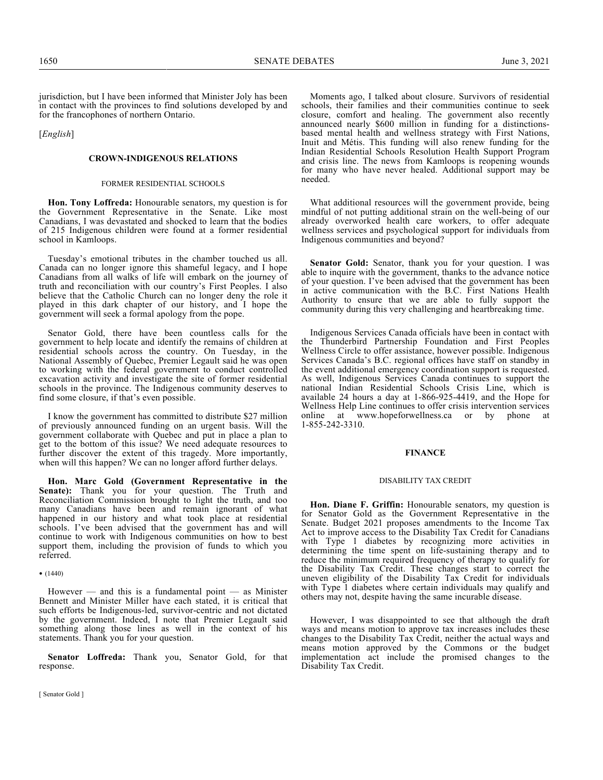jurisdiction, but I have been informed that Minister Joly has been in contact with the provinces to find solutions developed by and for the francophones of northern Ontario.

[*English*]

### **CROWN-INDIGENOUS RELATIONS**

#### FORMER RESIDENTIAL SCHOOLS

**Hon. Tony Loffreda:** Honourable senators, my question is for the Government Representative in the Senate. Like most Canadians, I was devastated and shocked to learn that the bodies of 215 Indigenous children were found at a former residential school in Kamloops.

Tuesday's emotional tributes in the chamber touched us all. Canada can no longer ignore this shameful legacy, and I hope Canadians from all walks of life will embark on the journey of truth and reconciliation with our country's First Peoples. I also believe that the Catholic Church can no longer deny the role it played in this dark chapter of our history, and I hope the government will seek a formal apology from the pope.

Senator Gold, there have been countless calls for the government to help locate and identify the remains of children at residential schools across the country. On Tuesday, in the National Assembly of Quebec, Premier Legault said he was open to working with the federal government to conduct controlled excavation activity and investigate the site of former residential schools in the province. The Indigenous community deserves to find some closure, if that's even possible.

I know the government has committed to distribute \$27 million of previously announced funding on an urgent basis. Will the government collaborate with Quebec and put in place a plan to get to the bottom of this issue? We need adequate resources to further discover the extent of this tragedy. More importantly, when will this happen? We can no longer afford further delays.

**Hon. Marc Gold (Government Representative in the Senate):** Thank you for your question. The Truth and Reconciliation Commission brought to light the truth, and too many Canadians have been and remain ignorant of what happened in our history and what took place at residential schools. I've been advised that the government has and will continue to work with Indigenous communities on how to best support them, including the provision of funds to which you referred.

•  $(1440)$ 

However — and this is a fundamental point — as Minister Bennett and Minister Miller have each stated, it is critical that such efforts be Indigenous-led, survivor-centric and not dictated by the government. Indeed, I note that Premier Legault said something along those lines as well in the context of his statements. Thank you for your question.

**Senator Loffreda:** Thank you, Senator Gold, for that response.

Moments ago, I talked about closure. Survivors of residential schools, their families and their communities continue to seek closure, comfort and healing. The government also recently announced nearly \$600 million in funding for a distinctionsbased mental health and wellness strategy with First Nations, Inuit and Métis. This funding will also renew funding for the Indian Residential Schools Resolution Health Support Program and crisis line. The news from Kamloops is reopening wounds for many who have never healed. Additional support may be needed.

What additional resources will the government provide, being mindful of not putting additional strain on the well-being of our already overworked health care workers, to offer adequate wellness services and psychological support for individuals from Indigenous communities and beyond?

**Senator Gold:** Senator, thank you for your question. I was able to inquire with the government, thanks to the advance notice of your question. I've been advised that the government has been in active communication with the B.C. First Nations Health Authority to ensure that we are able to fully support the community during this very challenging and heartbreaking time.

Indigenous Services Canada officials have been in contact with the Thunderbird Partnership Foundation and First Peoples Wellness Circle to offer assistance, however possible. Indigenous Services Canada's B.C. regional offices have staff on standby in the event additional emergency coordination support is requested. As well, Indigenous Services Canada continues to support the national Indian Residential Schools Crisis Line, which is available 24 hours a day at 1-866-925-4419, and the Hope for Wellness Help Line continues to offer crisis intervention services<br>online at www.hopeforwellness.ca or by phone at at www.hopeforwellness.ca or by phone at 1-855-242-3310.

#### **FINANCE**

#### DISABILITY TAX CREDIT

**Hon. Diane F. Griffin:** Honourable senators, my question is for Senator Gold as the Government Representative in the Senate. Budget 2021 proposes amendments to the Income Tax Act to improve access to the Disability Tax Credit for Canadians with Type 1 diabetes by recognizing more activities in determining the time spent on life-sustaining therapy and to reduce the minimum required frequency of therapy to qualify for the Disability Tax Credit. These changes start to correct the uneven eligibility of the Disability Tax Credit for individuals with Type 1 diabetes where certain individuals may qualify and others may not, despite having the same incurable disease.

However, I was disappointed to see that although the draft ways and means motion to approve tax increases includes these changes to the Disability Tax Credit, neither the actual ways and means motion approved by the Commons or the budget implementation act include the promised changes to the Disability Tax Credit.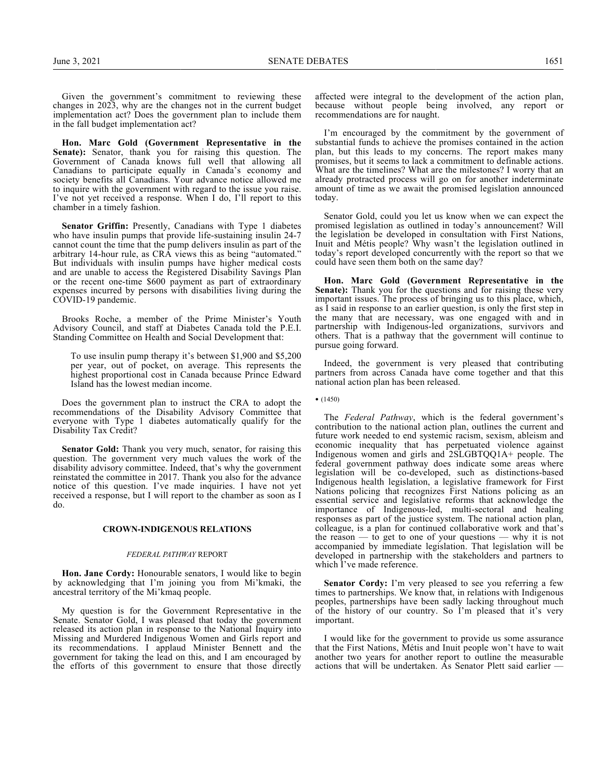Given the government's commitment to reviewing these changes in 2023, why are the changes not in the current budget implementation act? Does the government plan to include them in the fall budget implementation act?

**Hon. Marc Gold (Government Representative in the Senate):** Senator, thank you for raising this question. The Government of Canada knows full well that allowing all Canadians to participate equally in Canada's economy and society benefits all Canadians. Your advance notice allowed me to inquire with the government with regard to the issue you raise. I've not yet received a response. When I do, I'll report to this chamber in a timely fashion.

**Senator Griffin:** Presently, Canadians with Type 1 diabetes who have insulin pumps that provide life-sustaining insulin 24-7 cannot count the time that the pump delivers insulin as part of the arbitrary 14-hour rule, as CRA views this as being "automated." But individuals with insulin pumps have higher medical costs and are unable to access the Registered Disability Savings Plan or the recent one-time \$600 payment as part of extraordinary expenses incurred by persons with disabilities living during the COVID-19 pandemic.

Brooks Roche, a member of the Prime Minister's Youth Advisory Council, and staff at Diabetes Canada told the P.E.I. Standing Committee on Health and Social Development that:

To use insulin pump therapy it's between \$1,900 and \$5,200 per year, out of pocket, on average. This represents the highest proportional cost in Canada because Prince Edward Island has the lowest median income.

Does the government plan to instruct the CRA to adopt the recommendations of the Disability Advisory Committee that everyone with Type 1 diabetes automatically qualify for the Disability Tax Credit?

**Senator Gold:** Thank you very much, senator, for raising this question. The government very much values the work of the disability advisory committee. Indeed, that's why the government reinstated the committee in 2017. Thank you also for the advance notice of this question. I've made inquiries. I have not yet received a response, but I will report to the chamber as soon as I do.

#### **CROWN-INDIGENOUS RELATIONS**

#### *FEDERAL PATHWAY* REPORT

**Hon. Jane Cordy:** Honourable senators, I would like to begin by acknowledging that I'm joining you from Mi'kmaki, the ancestral territory of the Mi'kmaq people.

My question is for the Government Representative in the Senate. Senator Gold, I was pleased that today the government released its action plan in response to the National Inquiry into Missing and Murdered Indigenous Women and Girls report and its recommendations. I applaud Minister Bennett and the government for taking the lead on this, and I am encouraged by the efforts of this government to ensure that those directly affected were integral to the development of the action plan, because without people being involved, any report or recommendations are for naught.

I'm encouraged by the commitment by the government of substantial funds to achieve the promises contained in the action plan, but this leads to my concerns. The report makes many promises, but it seems to lack a commitment to definable actions. What are the timelines? What are the milestones? I worry that an already protracted process will go on for another indeterminate amount of time as we await the promised legislation announced today.

Senator Gold, could you let us know when we can expect the promised legislation as outlined in today's announcement? Will the legislation be developed in consultation with First Nations, Inuit and Métis people? Why wasn't the legislation outlined in today's report developed concurrently with the report so that we could have seen them both on the same day?

**Hon. Marc Gold (Government Representative in the Senate):** Thank you for the questions and for raising these very important issues. The process of bringing us to this place, which, as I said in response to an earlier question, is only the first step in the many that are necessary, was one engaged with and in partnership with Indigenous-led organizations, survivors and others. That is a pathway that the government will continue to pursue going forward.

Indeed, the government is very pleased that contributing partners from across Canada have come together and that this national action plan has been released.

• (1450)

The *Federal Pathway*, which is the federal government's contribution to the national action plan, outlines the current and future work needed to end systemic racism, sexism, ableism and economic inequality that has perpetuated violence against Indigenous women and girls and 2SLGBTQQ1A+ people. The federal government pathway does indicate some areas where legislation will be co-developed, such as distinctions-based Indigenous health legislation, a legislative framework for First Nations policing that recognizes First Nations policing as an essential service and legislative reforms that acknowledge the importance of Indigenous-led, multi-sectoral and healing responses as part of the justice system. The national action plan, colleague, is a plan for continued collaborative work and that's the reason  $-$  to get to one of your questions  $-$  why it is not accompanied by immediate legislation. That legislation will be developed in partnership with the stakeholders and partners to which I've made reference.

**Senator Cordy:** I'm very pleased to see you referring a few times to partnerships. We know that, in relations with Indigenous peoples, partnerships have been sadly lacking throughout much of the history of our country. So I'm pleased that it's very important.

I would like for the government to provide us some assurance that the First Nations, Métis and Inuit people won't have to wait another two years for another report to outline the measurable actions that will be undertaken. As Senator Plett said earlier —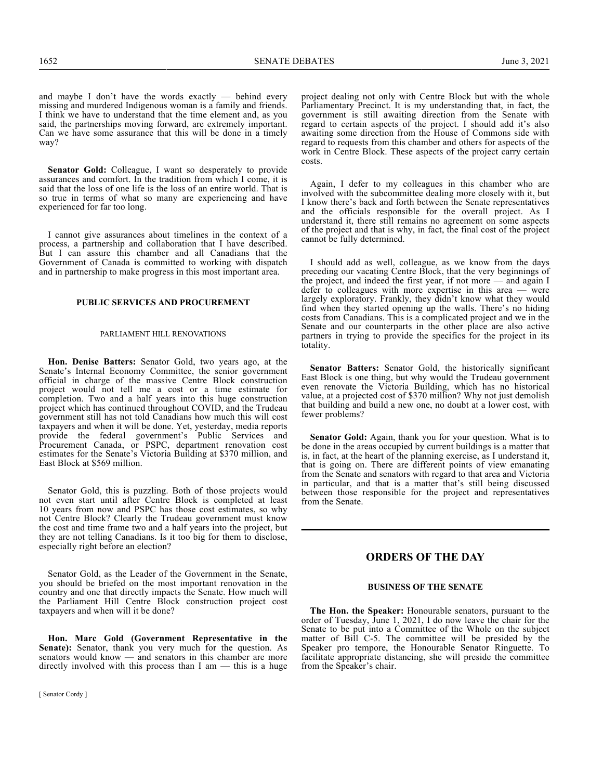and maybe I don't have the words exactly — behind every missing and murdered Indigenous woman is a family and friends. I think we have to understand that the time element and, as you said, the partnerships moving forward, are extremely important. Can we have some assurance that this will be done in a timely way?

**Senator Gold:** Colleague, I want so desperately to provide assurances and comfort. In the tradition from which I come, it is said that the loss of one life is the loss of an entire world. That is so true in terms of what so many are experiencing and have experienced for far too long.

I cannot give assurances about timelines in the context of a process, a partnership and collaboration that I have described. But I can assure this chamber and all Canadians that the Government of Canada is committed to working with dispatch and in partnership to make progress in this most important area.

#### **PUBLIC SERVICES AND PROCUREMENT**

#### PARLIAMENT HILL RENOVATIONS

**Hon. Denise Batters:** Senator Gold, two years ago, at the Senate's Internal Economy Committee, the senior government official in charge of the massive Centre Block construction project would not tell me a cost or a time estimate for completion. Two and a half years into this huge construction project which has continued throughout COVID, and the Trudeau government still has not told Canadians how much this will cost taxpayers and when it will be done. Yet, yesterday, media reports provide the federal government's Public Services and Procurement Canada, or PSPC, department renovation cost estimates for the Senate's Victoria Building at \$370 million, and East Block at \$569 million.

Senator Gold, this is puzzling. Both of those projects would not even start until after Centre Block is completed at least 10 years from now and PSPC has those cost estimates, so why not Centre Block? Clearly the Trudeau government must know the cost and time frame two and a half years into the project, but they are not telling Canadians. Is it too big for them to disclose, especially right before an election?

Senator Gold, as the Leader of the Government in the Senate, you should be briefed on the most important renovation in the country and one that directly impacts the Senate. How much will the Parliament Hill Centre Block construction project cost taxpayers and when will it be done?

**Hon. Marc Gold (Government Representative in the Senate):** Senator, thank you very much for the question. As senators would know — and senators in this chamber are more directly involved with this process than I am — this is a huge

project dealing not only with Centre Block but with the whole Parliamentary Precinct. It is my understanding that, in fact, the government is still awaiting direction from the Senate with regard to certain aspects of the project. I should add it's also awaiting some direction from the House of Commons side with regard to requests from this chamber and others for aspects of the work in Centre Block. These aspects of the project carry certain costs.

Again, I defer to my colleagues in this chamber who are involved with the subcommittee dealing more closely with it, but I know there's back and forth between the Senate representatives and the officials responsible for the overall project. As I understand it, there still remains no agreement on some aspects of the project and that is why, in fact, the final cost of the project cannot be fully determined.

I should add as well, colleague, as we know from the days preceding our vacating Centre Block, that the very beginnings of the project, and indeed the first year, if not more — and again I defer to colleagues with more expertise in this area — were largely exploratory. Frankly, they didn't know what they would find when they started opening up the walls. There's no hiding costs from Canadians. This is a complicated project and we in the Senate and our counterparts in the other place are also active partners in trying to provide the specifics for the project in its totality.

**Senator Batters:** Senator Gold, the historically significant East Block is one thing, but why would the Trudeau government even renovate the Victoria Building, which has no historical value, at a projected cost of \$370 million? Why not just demolish that building and build a new one, no doubt at a lower cost, with fewer problems?

**Senator Gold:** Again, thank you for your question. What is to be done in the areas occupied by current buildings is a matter that is, in fact, at the heart of the planning exercise, as I understand it, that is going on. There are different points of view emanating from the Senate and senators with regard to that area and Victoria in particular, and that is a matter that's still being discussed between those responsible for the project and representatives from the Senate.

## **ORDERS OF THE DAY**

#### **BUSINESS OF THE SENATE**

**The Hon. the Speaker:** Honourable senators, pursuant to the order of Tuesday, June 1, 2021, I do now leave the chair for the Senate to be put into a Committee of the Whole on the subject matter of Bill C-5. The committee will be presided by the Speaker pro tempore, the Honourable Senator Ringuette. To facilitate appropriate distancing, she will preside the committee from the Speaker's chair.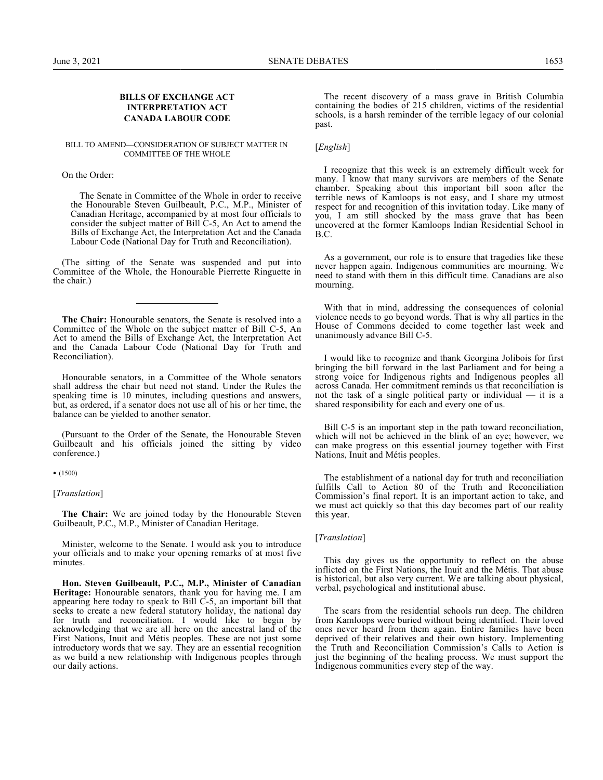## **BILLS OF EXCHANGE ACT INTERPRETATION ACT CANADA LABOUR CODE**

#### BILL TO AMEND—CONSIDERATION OF SUBJECT MATTER IN COMMITTEE OF THE WHOLE

On the Order:

The Senate in Committee of the Whole in order to receive the Honourable Steven Guilbeault, P.C., M.P., Minister of Canadian Heritage, accompanied by at most four officials to consider the subject matter of Bill C-5, An Act to amend the Bills of Exchange Act, the Interpretation Act and the Canada Labour Code (National Day for Truth and Reconciliation).

(The sitting of the Senate was suspended and put into Committee of the Whole, the Honourable Pierrette Ringuette in the chair.)

**The Chair:** Honourable senators, the Senate is resolved into a Committee of the Whole on the subject matter of Bill C-5, An Act to amend the Bills of Exchange Act, the Interpretation Act and the Canada Labour Code (National Day for Truth and Reconciliation).

Honourable senators, in a Committee of the Whole senators shall address the chair but need not stand. Under the Rules the speaking time is 10 minutes, including questions and answers, but, as ordered, if a senator does not use all of his or her time, the balance can be yielded to another senator.

(Pursuant to the Order of the Senate, the Honourable Steven Guilbeault and his officials joined the sitting by video conference.)

• (1500)

[*Translation*]

**The Chair:** We are joined today by the Honourable Steven Guilbeault, P.C., M.P., Minister of Canadian Heritage.

Minister, welcome to the Senate. I would ask you to introduce your officials and to make your opening remarks of at most five minutes.

**Hon. Steven Guilbeault, P.C., M.P., Minister of Canadian Heritage:** Honourable senators, thank you for having me. I am appearing here today to speak to Bill C-5, an important bill that seeks to create a new federal statutory holiday, the national day for truth and reconciliation. I would like to begin by acknowledging that we are all here on the ancestral land of the First Nations, Inuit and Métis peoples. These are not just some introductory words that we say. They are an essential recognition as we build a new relationship with Indigenous peoples through our daily actions.

The recent discovery of a mass grave in British Columbia containing the bodies of 215 children, victims of the residential schools, is a harsh reminder of the terrible legacy of our colonial past.

## [*English*]

I recognize that this week is an extremely difficult week for many. I know that many survivors are members of the Senate chamber. Speaking about this important bill soon after the terrible news of Kamloops is not easy, and I share my utmost respect for and recognition of this invitation today. Like many of you, I am still shocked by the mass grave that has been uncovered at the former Kamloops Indian Residential School in B.C.

As a government, our role is to ensure that tragedies like these never happen again. Indigenous communities are mourning. We need to stand with them in this difficult time. Canadians are also mourning.

With that in mind, addressing the consequences of colonial violence needs to go beyond words. That is why all parties in the House of Commons decided to come together last week and unanimously advance Bill C-5.

I would like to recognize and thank Georgina Jolibois for first bringing the bill forward in the last Parliament and for being a strong voice for Indigenous rights and Indigenous peoples all across Canada. Her commitment reminds us that reconciliation is not the task of a single political party or individual — it is a shared responsibility for each and every one of us.

Bill C-5 is an important step in the path toward reconciliation, which will not be achieved in the blink of an eye; however, we can make progress on this essential journey together with First Nations, Inuit and Métis peoples.

The establishment of a national day for truth and reconciliation fulfills Call to Action 80 of the Truth and Reconciliation Commission's final report. It is an important action to take, and we must act quickly so that this day becomes part of our reality this year.

#### [*Translation*]

This day gives us the opportunity to reflect on the abuse inflicted on the First Nations, the Inuit and the Métis. That abuse is historical, but also very current. We are talking about physical, verbal, psychological and institutional abuse.

The scars from the residential schools run deep. The children from Kamloops were buried without being identified. Their loved ones never heard from them again. Entire families have been deprived of their relatives and their own history. Implementing the Truth and Reconciliation Commission's Calls to Action is just the beginning of the healing process. We must support the Indigenous communities every step of the way.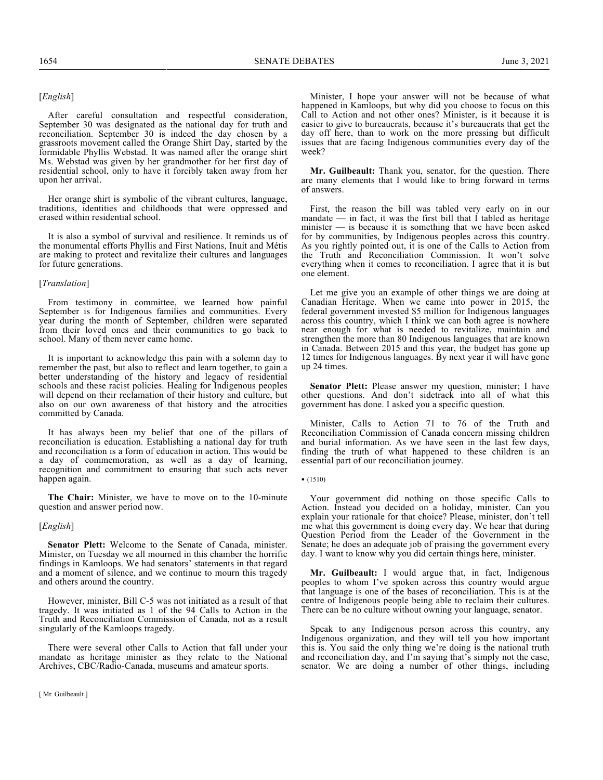## [*English*]

After careful consultation and respectful consideration, September 30 was designated as the national day for truth and reconciliation. September 30 is indeed the day chosen by a grassroots movement called the Orange Shirt Day, started by the formidable Phyllis Webstad. It was named after the orange shirt Ms. Webstad was given by her grandmother for her first day of residential school, only to have it forcibly taken away from her upon her arrival.

Her orange shirt is symbolic of the vibrant cultures, language, traditions, identities and childhoods that were oppressed and erased within residential school.

It is also a symbol of survival and resilience. It reminds us of the monumental efforts Phyllis and First Nations, Inuit and Métis are making to protect and revitalize their cultures and languages for future generations.

#### [*Translation*]

From testimony in committee, we learned how painful September is for Indigenous families and communities. Every year during the month of September, children were separated from their loved ones and their communities to go back to school. Many of them never came home.

It is important to acknowledge this pain with a solemn day to remember the past, but also to reflect and learn together, to gain a better understanding of the history and legacy of residential schools and these racist policies. Healing for Indigenous peoples will depend on their reclamation of their history and culture, but also on our own awareness of that history and the atrocities committed by Canada.

It has always been my belief that one of the pillars of reconciliation is education. Establishing a national day for truth and reconciliation is a form of education in action. This would be a day of commemoration, as well as a day of learning, recognition and commitment to ensuring that such acts never happen again.

**The Chair:** Minister, we have to move on to the 10-minute question and answer period now.

#### [*English*]

**Senator Plett:** Welcome to the Senate of Canada, minister. Minister, on Tuesday we all mourned in this chamber the horrific findings in Kamloops. We had senators' statements in that regard and a moment of silence, and we continue to mourn this tragedy and others around the country.

However, minister, Bill C-5 was not initiated as a result of that tragedy. It was initiated as 1 of the 94 Calls to Action in the Truth and Reconciliation Commission of Canada, not as a result singularly of the Kamloops tragedy.

There were several other Calls to Action that fall under your mandate as heritage minister as they relate to the National Archives, CBC/Radio-Canada, museums and amateur sports.

Minister, I hope your answer will not be because of what happened in Kamloops, but why did you choose to focus on this Call to Action and not other ones? Minister, is it because it is easier to give to bureaucrats, because it's bureaucrats that get the day off here, than to work on the more pressing but difficult issues that are facing Indigenous communities every day of the week?

**Mr. Guilbeault:** Thank you, senator, for the question. There are many elements that I would like to bring forward in terms of answers.

First, the reason the bill was tabled very early on in our mandate  $\frac{1}{\sqrt{1-\frac{1}{\sqrt{1-\frac{1}{\sqrt{1-\frac{1}{\sqrt{1-\frac{1}{\sqrt{1-\frac{1}{\sqrt{1-\frac{1}{\sqrt{1-\frac{1}{\sqrt{1-\frac{1}{\sqrt{1-\frac{1}{\sqrt{1-\frac{1}{\sqrt{1-\frac{1}{\sqrt{1-\frac{1}{\sqrt{1-\frac{1}{\sqrt{1-\frac{1}{\sqrt{1-\frac{1}{\sqrt{1-\frac{1}{\sqrt{1-\frac{1}{\sqrt{1-\frac{1}{\sqrt{1-\frac{1}{\sqrt{1-\frac{1}{\sqrt{1-\frac{1}{\sqrt{1-\frac{1}{\sqrt{1-\frac{1}{$ minister — is because it is something that we have been asked for by communities, by Indigenous peoples across this country. As you rightly pointed out, it is one of the Calls to Action from the Truth and Reconciliation Commission. It won't solve everything when it comes to reconciliation. I agree that it is but one element.

Let me give you an example of other things we are doing at Canadian Heritage. When we came into power in 2015, the federal government invested \$5 million for Indigenous languages across this country, which I think we can both agree is nowhere near enough for what is needed to revitalize, maintain and strengthen the more than 80 Indigenous languages that are known in Canada. Between 2015 and this year, the budget has gone up 12 times for Indigenous languages. By next year it will have gone up 24 times.

**Senator Plett:** Please answer my question, minister; I have other questions. And don't sidetrack into all of what this government has done. I asked you a specific question.

Minister, Calls to Action 71 to 76 of the Truth and Reconciliation Commission of Canada concern missing children and burial information. As we have seen in the last few days, finding the truth of what happened to these children is an essential part of our reconciliation journey.

• (1510)

Your government did nothing on those specific Calls to Action. Instead you decided on a holiday, minister. Can you explain your rationale for that choice? Please, minister, don't tell me what this government is doing every day. We hear that during Question Period from the Leader of the Government in the Senate; he does an adequate job of praising the government every day. I want to know why you did certain things here, minister.

**Mr. Guilbeault:** I would argue that, in fact, Indigenous peoples to whom I've spoken across this country would argue that language is one of the bases of reconciliation. This is at the centre of Indigenous people being able to reclaim their cultures. There can be no culture without owning your language, senator.

Speak to any Indigenous person across this country, any Indigenous organization, and they will tell you how important this is. You said the only thing we're doing is the national truth and reconciliation day, and I'm saying that's simply not the case, senator. We are doing a number of other things, including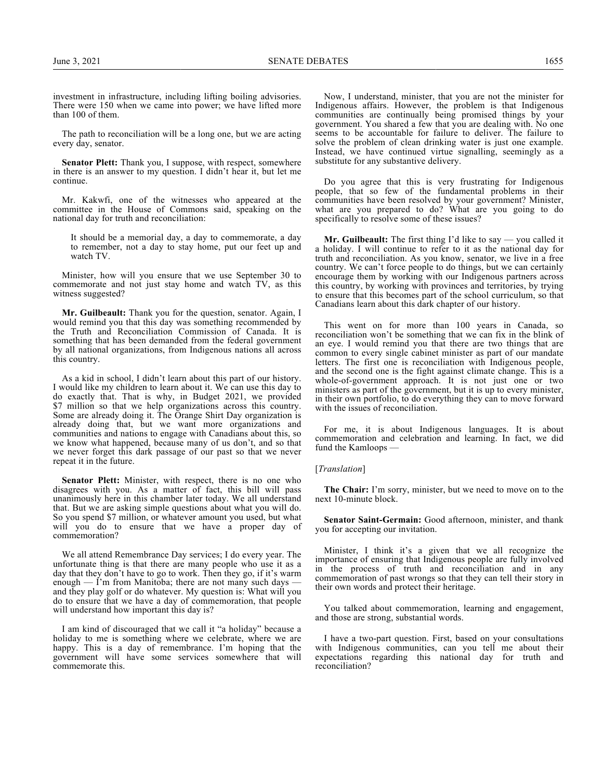investment in infrastructure, including lifting boiling advisories. There were 150 when we came into power; we have lifted more than 100 of them.

The path to reconciliation will be a long one, but we are acting every day, senator.

**Senator Plett:** Thank you, I suppose, with respect, somewhere in there is an answer to my question. I didn't hear it, but let me continue.

Mr. Kakwfi, one of the witnesses who appeared at the committee in the House of Commons said, speaking on the national day for truth and reconciliation:

It should be a memorial day, a day to commemorate, a day to remember, not a day to stay home, put our feet up and watch TV.

Minister, how will you ensure that we use September 30 to commemorate and not just stay home and watch TV, as this witness suggested?

**Mr. Guilbeault:** Thank you for the question, senator. Again, I would remind you that this day was something recommended by the Truth and Reconciliation Commission of Canada. It is something that has been demanded from the federal government by all national organizations, from Indigenous nations all across this country.

As a kid in school, I didn't learn about this part of our history. I would like my children to learn about it. We can use this day to do exactly that. That is why, in Budget 2021, we provided \$7 million so that we help organizations across this country. Some are already doing it. The Orange Shirt Day organization is already doing that, but we want more organizations and communities and nations to engage with Canadians about this, so we know what happened, because many of us don't, and so that we never forget this dark passage of our past so that we never repeat it in the future.

**Senator Plett:** Minister, with respect, there is no one who disagrees with you. As a matter of fact, this bill will pass unanimously here in this chamber later today. We all understand that. But we are asking simple questions about what you will do. So you spend \$7 million, or whatever amount you used, but what will you do to ensure that we have a proper day of commemoration?

We all attend Remembrance Day services; I do every year. The unfortunate thing is that there are many people who use it as a day that they don't have to go to work. Then they go, if it's warm enough — I'm from Manitoba; there are not many such days and they play golf or do whatever. My question is: What will you do to ensure that we have a day of commemoration, that people will understand how important this day is?

I am kind of discouraged that we call it "a holiday" because a holiday to me is something where we celebrate, where we are happy. This is a day of remembrance. I'm hoping that the government will have some services somewhere that will commemorate this.

Now, I understand, minister, that you are not the minister for Indigenous affairs. However, the problem is that Indigenous communities are continually being promised things by your government. You shared a few that you are dealing with. No one seems to be accountable for failure to deliver. The failure to solve the problem of clean drinking water is just one example. Instead, we have continued virtue signalling, seemingly as a substitute for any substantive delivery.

Do you agree that this is very frustrating for Indigenous people, that so few of the fundamental problems in their communities have been resolved by your government? Minister, what are you prepared to do? What are you going to do specifically to resolve some of these issues?

**Mr. Guilbeault:** The first thing I'd like to say — you called it a holiday. I will continue to refer to it as the national day for truth and reconciliation. As you know, senator, we live in a free country. We can't force people to do things, but we can certainly encourage them by working with our Indigenous partners across this country, by working with provinces and territories, by trying to ensure that this becomes part of the school curriculum, so that Canadians learn about this dark chapter of our history.

This went on for more than 100 years in Canada, so reconciliation won't be something that we can fix in the blink of an eye. I would remind you that there are two things that are common to every single cabinet minister as part of our mandate letters. The first one is reconciliation with Indigenous people, and the second one is the fight against climate change. This is a whole-of-government approach. It is not just one or two ministers as part of the government, but it is up to every minister, in their own portfolio, to do everything they can to move forward with the issues of reconciliation.

For me, it is about Indigenous languages. It is about commemoration and celebration and learning. In fact, we did fund the Kamloops -

#### [*Translation*]

**The Chair:** I'm sorry, minister, but we need to move on to the next 10-minute block.

**Senator Saint-Germain:** Good afternoon, minister, and thank you for accepting our invitation.

Minister, I think it's a given that we all recognize the importance of ensuring that Indigenous people are fully involved in the process of truth and reconciliation and in any commemoration of past wrongs so that they can tell their story in their own words and protect their heritage.

You talked about commemoration, learning and engagement, and those are strong, substantial words.

I have a two-part question. First, based on your consultations with Indigenous communities, can you tell me about their expectations regarding this national day for truth and reconciliation?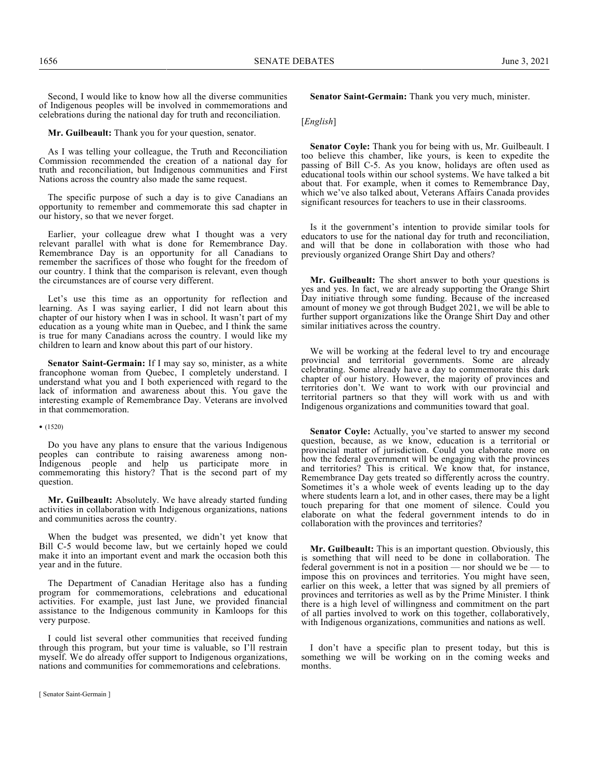Second, I would like to know how all the diverse communities of Indigenous peoples will be involved in commemorations and celebrations during the national day for truth and reconciliation.

**Mr. Guilbeault:** Thank you for your question, senator.

As I was telling your colleague, the Truth and Reconciliation Commission recommended the creation of a national day for truth and reconciliation, but Indigenous communities and First Nations across the country also made the same request.

The specific purpose of such a day is to give Canadians an opportunity to remember and commemorate this sad chapter in our history, so that we never forget.

Earlier, your colleague drew what I thought was a very relevant parallel with what is done for Remembrance Day. Remembrance Day is an opportunity for all Canadians to remember the sacrifices of those who fought for the freedom of our country. I think that the comparison is relevant, even though the circumstances are of course very different.

Let's use this time as an opportunity for reflection and learning. As I was saying earlier, I did not learn about this chapter of our history when I was in school. It wasn't part of my education as a young white man in Quebec, and I think the same is true for many Canadians across the country. I would like my children to learn and know about this part of our history.

**Senator Saint-Germain:** If I may say so, minister, as a white francophone woman from Quebec, I completely understand. I understand what you and I both experienced with regard to the lack of information and awareness about this. You gave the interesting example of Remembrance Day. Veterans are involved in that commemoration.

#### • (1520)

Do you have any plans to ensure that the various Indigenous peoples can contribute to raising awareness among non-Indigenous people and help us participate more in commemorating this history? That is the second part of my question.

**Mr. Guilbeault:** Absolutely. We have already started funding activities in collaboration with Indigenous organizations, nations and communities across the country.

When the budget was presented, we didn't yet know that Bill C-5 would become law, but we certainly hoped we could make it into an important event and mark the occasion both this year and in the future.

The Department of Canadian Heritage also has a funding program for commemorations, celebrations and educational activities. For example, just last June, we provided financial assistance to the Indigenous community in Kamloops for this very purpose.

I could list several other communities that received funding through this program, but your time is valuable, so I'll restrain myself. We do already offer support to Indigenous organizations, nations and communities for commemorations and celebrations.

**Senator Saint-Germain:** Thank you very much, minister.

#### [*English*]

**Senator Coyle:** Thank you for being with us, Mr. Guilbeault. I too believe this chamber, like yours, is keen to expedite the passing of Bill C-5. As you know, holidays are often used as educational tools within our school systems. We have talked a bit about that. For example, when it comes to Remembrance Day, which we've also talked about, Veterans Affairs Canada provides significant resources for teachers to use in their classrooms.

Is it the government's intention to provide similar tools for educators to use for the national day for truth and reconciliation, and will that be done in collaboration with those who had previously organized Orange Shirt Day and others?

**Mr. Guilbeault:** The short answer to both your questions is yes and yes. In fact, we are already supporting the Orange Shirt Day initiative through some funding. Because of the increased amount of money we got through Budget 2021, we will be able to further support organizations like the Orange Shirt Day and other similar initiatives across the country.

We will be working at the federal level to try and encourage provincial and territorial governments. Some are already celebrating. Some already have a day to commemorate this dark chapter of our history. However, the majority of provinces and territories don't. We want to work with our provincial and territorial partners so that they will work with us and with Indigenous organizations and communities toward that goal.

**Senator Coyle:** Actually, you've started to answer my second question, because, as we know, education is a territorial or provincial matter of jurisdiction. Could you elaborate more on how the federal government will be engaging with the provinces and territories? This is critical. We know that, for instance, Remembrance Day gets treated so differently across the country. Sometimes it's a whole week of events leading up to the day where students learn a lot, and in other cases, there may be a light touch preparing for that one moment of silence. Could you elaborate on what the federal government intends to do in collaboration with the provinces and territories?

**Mr. Guilbeault:** This is an important question. Obviously, this is something that will need to be done in collaboration. The federal government is not in a position — nor should we be — to impose this on provinces and territories. You might have seen, earlier on this week, a letter that was signed by all premiers of provinces and territories as well as by the Prime Minister. I think there is a high level of willingness and commitment on the part of all parties involved to work on this together, collaboratively, with Indigenous organizations, communities and nations as well.

I don't have a specific plan to present today, but this is something we will be working on in the coming weeks and months.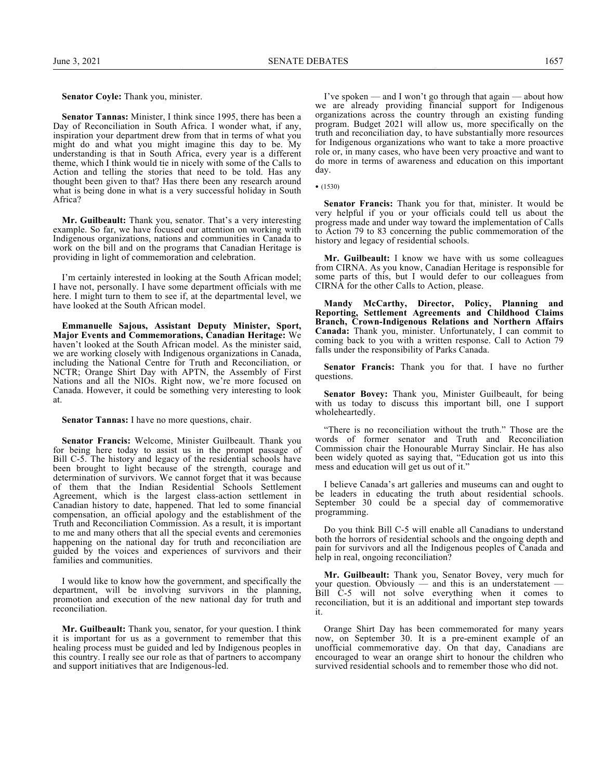**Senator Coyle:** Thank you, minister.

**Senator Tannas:** Minister, I think since 1995, there has been a Day of Reconciliation in South Africa. I wonder what, if any, inspiration your department drew from that in terms of what you might do and what you might imagine this day to be. My understanding is that in South Africa, every year is a different theme, which I think would tie in nicely with some of the Calls to Action and telling the stories that need to be told. Has any thought been given to that? Has there been any research around what is being done in what is a very successful holiday in South Africa?

**Mr. Guilbeault:** Thank you, senator. That's a very interesting example. So far, we have focused our attention on working with Indigenous organizations, nations and communities in Canada to work on the bill and on the programs that Canadian Heritage is providing in light of commemoration and celebration.

I'm certainly interested in looking at the South African model; I have not, personally. I have some department officials with me here. I might turn to them to see if, at the departmental level, we have looked at the South African model.

**Emmanuelle Sajous, Assistant Deputy Minister, Sport, Major Events and Commemorations, Canadian Heritage:** We haven't looked at the South African model. As the minister said, we are working closely with Indigenous organizations in Canada, including the National Centre for Truth and Reconciliation, or NCTR; Orange Shirt Day with APTN, the Assembly of First Nations and all the NIOs. Right now, we're more focused on Canada. However, it could be something very interesting to look at.

**Senator Tannas:** I have no more questions, chair.

**Senator Francis:** Welcome, Minister Guilbeault. Thank you for being here today to assist us in the prompt passage of Bill C-5. The history and legacy of the residential schools have been brought to light because of the strength, courage and determination of survivors. We cannot forget that it was because of them that the Indian Residential Schools Settlement Agreement, which is the largest class-action settlement in Canadian history to date, happened. That led to some financial compensation, an official apology and the establishment of the Truth and Reconciliation Commission. As a result, it is important to me and many others that all the special events and ceremonies happening on the national day for truth and reconciliation are guided by the voices and experiences of survivors and their families and communities.

I would like to know how the government, and specifically the department, will be involving survivors in the planning, promotion and execution of the new national day for truth and reconciliation.

**Mr. Guilbeault:** Thank you, senator, for your question. I think it is important for us as a government to remember that this healing process must be guided and led by Indigenous peoples in this country. I really see our role as that of partners to accompany and support initiatives that are Indigenous-led.

I've spoken — and I won't go through that again — about how we are already providing financial support for Indigenous organizations across the country through an existing funding program. Budget 2021 will allow us, more specifically on the truth and reconciliation day, to have substantially more resources for Indigenous organizations who want to take a more proactive role or, in many cases, who have been very proactive and want to do more in terms of awareness and education on this important day.

• (1530)

**Senator Francis:** Thank you for that, minister. It would be very helpful if you or your officials could tell us about the progress made and under way toward the implementation of Calls to Action 79 to 83 concerning the public commemoration of the history and legacy of residential schools.

**Mr. Guilbeault:** I know we have with us some colleagues from CIRNA. As you know, Canadian Heritage is responsible for some parts of this, but I would defer to our colleagues from CIRNA for the other Calls to Action, please.

**Mandy McCarthy, Director, Policy, Planning and Reporting, Settlement Agreements and Childhood Claims Branch, Crown-Indigenous Relations and Northern Affairs Canada:** Thank you, minister. Unfortunately, I can commit to coming back to you with a written response. Call to Action 79 falls under the responsibility of Parks Canada.

**Senator Francis:** Thank you for that. I have no further questions.

**Senator Bovey:** Thank you, Minister Guilbeault, for being with us today to discuss this important bill, one I support wholeheartedly.

"There is no reconciliation without the truth." Those are the words of former senator and Truth and Reconciliation Commission chair the Honourable Murray Sinclair. He has also been widely quoted as saying that, "Education got us into this mess and education will get us out of it."

I believe Canada's art galleries and museums can and ought to be leaders in educating the truth about residential schools. September 30 could be a special day of commemorative programming.

Do you think Bill C-5 will enable all Canadians to understand both the horrors of residential schools and the ongoing depth and pain for survivors and all the Indigenous peoples of Canada and help in real, ongoing reconciliation?

**Mr. Guilbeault:** Thank you, Senator Bovey, very much for your question. Obviously — and this is an understatement — Bill C-5 will not solve everything when it comes to reconciliation, but it is an additional and important step towards it.

Orange Shirt Day has been commemorated for many years now, on September 30. It is a pre-eminent example of an unofficial commemorative day. On that day, Canadians are encouraged to wear an orange shirt to honour the children who survived residential schools and to remember those who did not.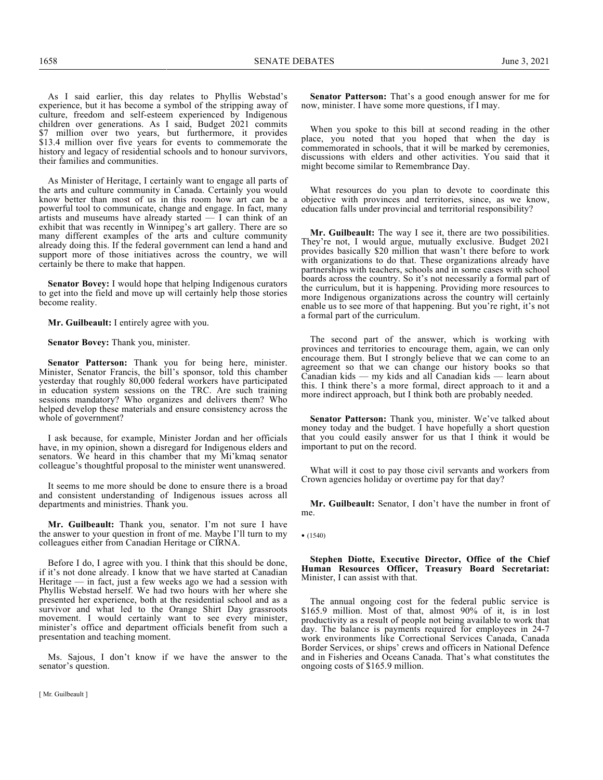As I said earlier, this day relates to Phyllis Webstad's experience, but it has become a symbol of the stripping away of culture, freedom and self-esteem experienced by Indigenous children over generations. As I said, Budget 2021 commits \$7 million over two years, but furthermore, it provides \$13.4 million over five years for events to commemorate the history and legacy of residential schools and to honour survivors, their families and communities.

As Minister of Heritage, I certainly want to engage all parts of the arts and culture community in Canada. Certainly you would know better than most of us in this room how art can be a powerful tool to communicate, change and engage. In fact, many artists and museums have already started — I can think of an exhibit that was recently in Winnipeg's art gallery. There are so many different examples of the arts and culture community already doing this. If the federal government can lend a hand and support more of those initiatives across the country, we will certainly be there to make that happen.

**Senator Bovey:** I would hope that helping Indigenous curators to get into the field and move up will certainly help those stories become reality.

**Mr. Guilbeault:** I entirely agree with you.

**Senator Bovey:** Thank you, minister.

**Senator Patterson:** Thank you for being here, minister. Minister, Senator Francis, the bill's sponsor, told this chamber yesterday that roughly 80,000 federal workers have participated in education system sessions on the TRC. Are such training sessions mandatory? Who organizes and delivers them? Who helped develop these materials and ensure consistency across the whole of government?

I ask because, for example, Minister Jordan and her officials have, in my opinion, shown a disregard for Indigenous elders and senators. We heard in this chamber that my Mi'kmaq senator colleague's thoughtful proposal to the minister went unanswered.

It seems to me more should be done to ensure there is a broad and consistent understanding of Indigenous issues across all departments and ministries. Thank you.

**Mr. Guilbeault:** Thank you, senator. I'm not sure I have the answer to your question in front of me. Maybe I'll turn to my colleagues either from Canadian Heritage or CIRNA.

Before I do, I agree with you. I think that this should be done, if it's not done already. I know that we have started at Canadian Heritage — in fact, just a few weeks ago we had a session with Phyllis Webstad herself. We had two hours with her where she presented her experience, both at the residential school and as a survivor and what led to the Orange Shirt Day grassroots movement. I would certainly want to see every minister, minister's office and department officials benefit from such a presentation and teaching moment.

Ms. Sajous, I don't know if we have the answer to the senator's question.

**Senator Patterson:** That's a good enough answer for me for now, minister. I have some more questions, if I may.

When you spoke to this bill at second reading in the other place, you noted that you hoped that when the day is commemorated in schools, that it will be marked by ceremonies, discussions with elders and other activities. You said that it might become similar to Remembrance Day.

What resources do you plan to devote to coordinate this objective with provinces and territories, since, as we know, education falls under provincial and territorial responsibility?

**Mr. Guilbeault:** The way I see it, there are two possibilities. They're not, I would argue, mutually exclusive. Budget 2021 provides basically \$20 million that wasn't there before to work with organizations to do that. These organizations already have partnerships with teachers, schools and in some cases with school boards across the country. So it's not necessarily a formal part of the curriculum, but it is happening. Providing more resources to more Indigenous organizations across the country will certainly enable us to see more of that happening. But you're right, it's not a formal part of the curriculum.

The second part of the answer, which is working with provinces and territories to encourage them, again, we can only encourage them. But I strongly believe that we can come to an agreement so that we can change our history books so that Canadian kids — my kids and all Canadian kids — learn about this. I think there's a more formal, direct approach to it and a more indirect approach, but I think both are probably needed.

**Senator Patterson:** Thank you, minister. We've talked about money today and the budget. I have hopefully a short question that you could easily answer for us that I think it would be important to put on the record.

What will it cost to pay those civil servants and workers from Crown agencies holiday or overtime pay for that day?

**Mr. Guilbeault:** Senator, I don't have the number in front of me.

## • (1540)

**Stephen Diotte, Executive Director, Office of the Chief Human Resources Officer, Treasury Board Secretariat:** Minister, I can assist with that.

The annual ongoing cost for the federal public service is \$165.9 million. Most of that, almost 90% of it, is in lost productivity as a result of people not being available to work that day. The balance is payments required for employees in 24-7 work environments like Correctional Services Canada, Canada Border Services, or ships' crews and officers in National Defence and in Fisheries and Oceans Canada. That's what constitutes the ongoing costs of \$165.9 million.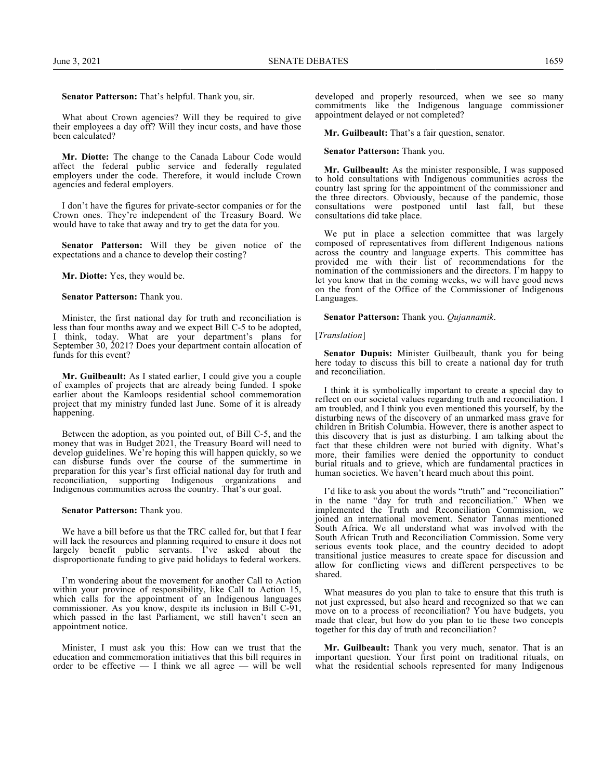**Senator Patterson:** That's helpful. Thank you, sir.

What about Crown agencies? Will they be required to give their employees a day off? Will they incur costs, and have those been calculated?

**Mr. Diotte:** The change to the Canada Labour Code would affect the federal public service and federally regulated employers under the code. Therefore, it would include Crown agencies and federal employers.

I don't have the figures for private-sector companies or for the Crown ones. They're independent of the Treasury Board. We would have to take that away and try to get the data for you.

**Senator Patterson:** Will they be given notice of the expectations and a chance to develop their costing?

**Mr. Diotte:** Yes, they would be.

#### **Senator Patterson:** Thank you.

Minister, the first national day for truth and reconciliation is less than four months away and we expect Bill C-5 to be adopted, I think, today. What are your department's plans for September 30, 2021? Does your department contain allocation of funds for this event?

**Mr. Guilbeault:** As I stated earlier, I could give you a couple of examples of projects that are already being funded. I spoke earlier about the Kamloops residential school commemoration project that my ministry funded last June. Some of it is already happening.

Between the adoption, as you pointed out, of Bill C-5, and the money that was in Budget 2021, the Treasury Board will need to develop guidelines. We're hoping this will happen quickly, so we can disburse funds over the course of the summertime in preparation for this year's first official national day for truth and reconciliation, supporting Indigenous organizations and Indigenous communities across the country. That's our goal.

#### **Senator Patterson:** Thank you.

We have a bill before us that the TRC called for, but that I fear will lack the resources and planning required to ensure it does not largely benefit public servants. I've asked about the disproportionate funding to give paid holidays to federal workers.

I'm wondering about the movement for another Call to Action within your province of responsibility, like Call to Action 15, which calls for the appointment of an Indigenous languages commissioner. As you know, despite its inclusion in Bill C-91, which passed in the last Parliament, we still haven't seen an appointment notice.

Minister, I must ask you this: How can we trust that the education and commemoration initiatives that this bill requires in order to be effective  $-1$  think we all agree  $-$  will be well

developed and properly resourced, when we see so many commitments like the Indigenous language commissioner appointment delayed or not completed?

**Mr. Guilbeault:** That's a fair question, senator.

## **Senator Patterson:** Thank you.

**Mr. Guilbeault:** As the minister responsible, I was supposed to hold consultations with Indigenous communities across the country last spring for the appointment of the commissioner and the three directors. Obviously, because of the pandemic, those consultations were postponed until last fall, but these consultations did take place.

We put in place a selection committee that was largely composed of representatives from different Indigenous nations across the country and language experts. This committee has provided me with their list of recommendations for the nomination of the commissioners and the directors. I'm happy to let you know that in the coming weeks, we will have good news on the front of the Office of the Commissioner of Indigenous Languages.

#### **Senator Patterson:** Thank you. *Qujannamik*.

#### [*Translation*]

**Senator Dupuis:** Minister Guilbeault, thank you for being here today to discuss this bill to create a national day for truth and reconciliation.

I think it is symbolically important to create a special day to reflect on our societal values regarding truth and reconciliation. I am troubled, and I think you even mentioned this yourself, by the disturbing news of the discovery of an unmarked mass grave for children in British Columbia. However, there is another aspect to this discovery that is just as disturbing. I am talking about the fact that these children were not buried with dignity. What's more, their families were denied the opportunity to conduct burial rituals and to grieve, which are fundamental practices in human societies. We haven't heard much about this point.

I'd like to ask you about the words "truth" and "reconciliation" in the name "day for truth and reconciliation." When we implemented the Truth and Reconciliation Commission, we joined an international movement. Senator Tannas mentioned South Africa. We all understand what was involved with the South African Truth and Reconciliation Commission. Some very serious events took place, and the country decided to adopt transitional justice measures to create space for discussion and allow for conflicting views and different perspectives to be shared.

What measures do you plan to take to ensure that this truth is not just expressed, but also heard and recognized so that we can move on to a process of reconciliation? You have budgets, you made that clear, but how do you plan to tie these two concepts together for this day of truth and reconciliation?

**Mr. Guilbeault:** Thank you very much, senator. That is an important question. Your first point on traditional rituals, on what the residential schools represented for many Indigenous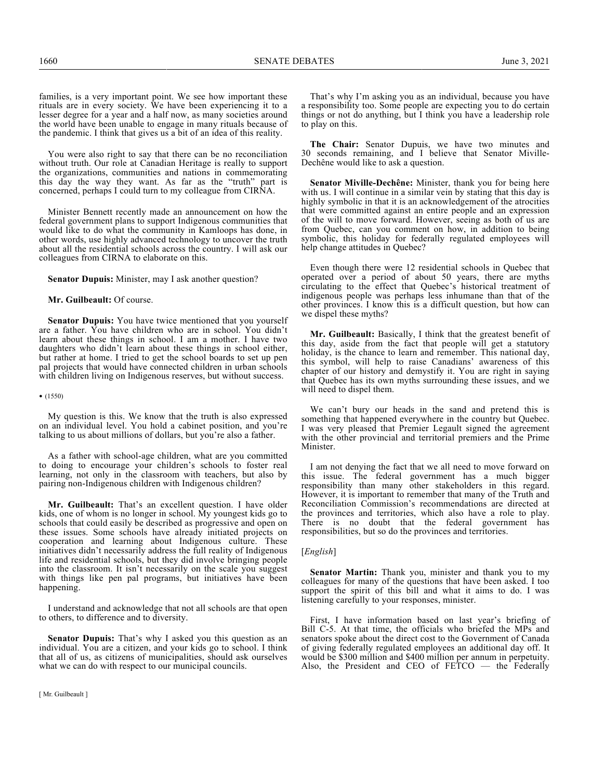families, is a very important point. We see how important these rituals are in every society. We have been experiencing it to a lesser degree for a year and a half now, as many societies around the world have been unable to engage in many rituals because of the pandemic. I think that gives us a bit of an idea of this reality.

You were also right to say that there can be no reconciliation without truth. Our role at Canadian Heritage is really to support the organizations, communities and nations in commemorating this day the way they want. As far as the "truth" part is concerned, perhaps I could turn to my colleague from CIRNA.

Minister Bennett recently made an announcement on how the federal government plans to support Indigenous communities that would like to do what the community in Kamloops has done, in other words, use highly advanced technology to uncover the truth about all the residential schools across the country. I will ask our colleagues from CIRNA to elaborate on this.

**Senator Dupuis:** Minister, may I ask another question?

### **Mr. Guilbeault:** Of course.

**Senator Dupuis:** You have twice mentioned that you yourself are a father. You have children who are in school. You didn't learn about these things in school. I am a mother. I have two daughters who didn't learn about these things in school either, but rather at home. I tried to get the school boards to set up pen pal projects that would have connected children in urban schools with children living on Indigenous reserves, but without success.

#### • (1550)

My question is this. We know that the truth is also expressed on an individual level. You hold a cabinet position, and you're talking to us about millions of dollars, but you're also a father.

As a father with school-age children, what are you committed to doing to encourage your children's schools to foster real learning, not only in the classroom with teachers, but also by pairing non-Indigenous children with Indigenous children?

**Mr. Guilbeault:** That's an excellent question. I have older kids, one of whom is no longer in school. My youngest kids go to schools that could easily be described as progressive and open on these issues. Some schools have already initiated projects on cooperation and learning about Indigenous culture. These initiatives didn't necessarily address the full reality of Indigenous life and residential schools, but they did involve bringing people into the classroom. It isn't necessarily on the scale you suggest with things like pen pal programs, but initiatives have been happening.

I understand and acknowledge that not all schools are that open to others, to difference and to diversity.

**Senator Dupuis:** That's why I asked you this question as an individual. You are a citizen, and your kids go to school. I think that all of us, as citizens of municipalities, should ask ourselves what we can do with respect to our municipal councils.

**The Chair:** Senator Dupuis, we have two minutes and 30 seconds remaining, and I believe that Senator Miville-Dechêne would like to ask a question.

**Senator Miville-Dechêne:** Minister, thank you for being here with us. I will continue in a similar vein by stating that this day is highly symbolic in that it is an acknowledgement of the atrocities that were committed against an entire people and an expression of the will to move forward. However, seeing as both of us are from Quebec, can you comment on how, in addition to being symbolic, this holiday for federally regulated employees will help change attitudes in Quebec?

Even though there were 12 residential schools in Quebec that operated over a period of about 50 years, there are myths circulating to the effect that Quebec's historical treatment of indigenous people was perhaps less inhumane than that of the other provinces. I know this is a difficult question, but how can we dispel these myths?

**Mr. Guilbeault:** Basically, I think that the greatest benefit of this day, aside from the fact that people will get a statutory holiday, is the chance to learn and remember. This national day, this symbol, will help to raise Canadians' awareness of this chapter of our history and demystify it. You are right in saying that Quebec has its own myths surrounding these issues, and we will need to dispel them.

We can't bury our heads in the sand and pretend this is something that happened everywhere in the country but Quebec. I was very pleased that Premier Legault signed the agreement with the other provincial and territorial premiers and the Prime Minister.

I am not denying the fact that we all need to move forward on this issue. The federal government has a much bigger responsibility than many other stakeholders in this regard. However, it is important to remember that many of the Truth and Reconciliation Commission's recommendations are directed at the provinces and territories, which also have a role to play. There is no doubt that the federal government has responsibilities, but so do the provinces and territories.

#### [*English*]

**Senator Martin:** Thank you, minister and thank you to my colleagues for many of the questions that have been asked. I too support the spirit of this bill and what it aims to do. I was listening carefully to your responses, minister.

First, I have information based on last year's briefing of Bill C-5. At that time, the officials who briefed the MPs and senators spoke about the direct cost to the Government of Canada of giving federally regulated employees an additional day off. It would be \$300 million and \$400 million per annum in perpetuity. Also, the President and CEO of  $FE\overline{T}CO$  — the Federally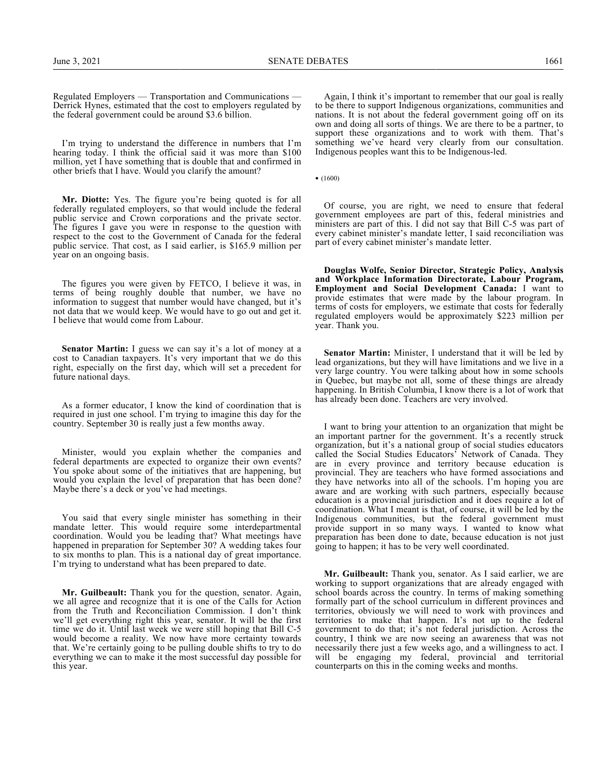Regulated Employers — Transportation and Communications — Derrick Hynes, estimated that the cost to employers regulated by the federal government could be around \$3.6 billion.

I'm trying to understand the difference in numbers that I'm hearing today. I think the official said it was more than \$100 million, yet I have something that is double that and confirmed in other briefs that I have. Would you clarify the amount?

**Mr. Diotte:** Yes. The figure you're being quoted is for all federally regulated employers, so that would include the federal public service and Crown corporations and the private sector. The figures I gave you were in response to the question with respect to the cost to the Government of Canada for the federal public service. That cost, as I said earlier, is \$165.9 million per year on an ongoing basis.

The figures you were given by FETCO, I believe it was, in terms of being roughly double that number, we have no information to suggest that number would have changed, but it's not data that we would keep. We would have to go out and get it. I believe that would come from Labour.

**Senator Martin:** I guess we can say it's a lot of money at a cost to Canadian taxpayers. It's very important that we do this right, especially on the first day, which will set a precedent for future national days.

As a former educator, I know the kind of coordination that is required in just one school. I'm trying to imagine this day for the country. September 30 is really just a few months away.

Minister, would you explain whether the companies and federal departments are expected to organize their own events? You spoke about some of the initiatives that are happening, but would you explain the level of preparation that has been done? Maybe there's a deck or you've had meetings.

You said that every single minister has something in their mandate letter. This would require some interdepartmental coordination. Would you be leading that? What meetings have happened in preparation for September 30? A wedding takes four to six months to plan. This is a national day of great importance. I'm trying to understand what has been prepared to date.

**Mr. Guilbeault:** Thank you for the question, senator. Again, we all agree and recognize that it is one of the Calls for Action from the Truth and Reconciliation Commission. I don't think we'll get everything right this year, senator. It will be the first time we do it. Until last week we were still hoping that Bill C-5 would become a reality. We now have more certainty towards that. We're certainly going to be pulling double shifts to try to do everything we can to make it the most successful day possible for this year.

Again, I think it's important to remember that our goal is really to be there to support Indigenous organizations, communities and nations. It is not about the federal government going off on its own and doing all sorts of things. We are there to be a partner, to support these organizations and to work with them. That's something we've heard very clearly from our consultation. Indigenous peoples want this to be Indigenous-led.

• (1600)

Of course, you are right, we need to ensure that federal government employees are part of this, federal ministries and ministers are part of this. I did not say that Bill C-5 was part of every cabinet minister's mandate letter, I said reconciliation was part of every cabinet minister's mandate letter.

**Douglas Wolfe, Senior Director, Strategic Policy, Analysis and Workplace Information Directorate, Labour Program, Employment and Social Development Canada:** I want to provide estimates that were made by the labour program. In terms of costs for employers, we estimate that costs for federally regulated employers would be approximately \$223 million per year. Thank you.

**Senator Martin:** Minister, I understand that it will be led by lead organizations, but they will have limitations and we live in a very large country. You were talking about how in some schools in Quebec, but maybe not all, some of these things are already happening. In British Columbia, I know there is a lot of work that has already been done. Teachers are very involved.

I want to bring your attention to an organization that might be an important partner for the government. It's a recently struck organization, but it's a national group of social studies educators called the Social Studies Educators' Network of Canada. They are in every province and territory because education is provincial. They are teachers who have formed associations and they have networks into all of the schools. I'm hoping you are aware and are working with such partners, especially because education is a provincial jurisdiction and it does require a lot of coordination. What I meant is that, of course, it will be led by the Indigenous communities, but the federal government must provide support in so many ways. I wanted to know what preparation has been done to date, because education is not just going to happen; it has to be very well coordinated.

**Mr. Guilbeault:** Thank you, senator. As I said earlier, we are working to support organizations that are already engaged with school boards across the country. In terms of making something formally part of the school curriculum in different provinces and territories, obviously we will need to work with provinces and territories to make that happen. It's not up to the federal government to do that; it's not federal jurisdiction. Across the country, I think we are now seeing an awareness that was not necessarily there just a few weeks ago, and a willingness to act. I will be engaging my federal, provincial and territorial counterparts on this in the coming weeks and months.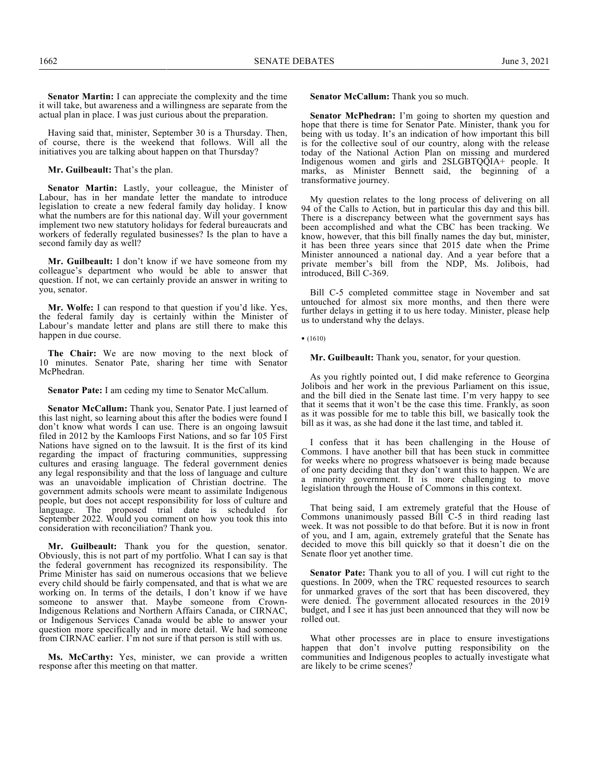**Senator Martin:** I can appreciate the complexity and the time it will take, but awareness and a willingness are separate from the actual plan in place. I was just curious about the preparation.

Having said that, minister, September 30 is a Thursday. Then, of course, there is the weekend that follows. Will all the initiatives you are talking about happen on that Thursday?

**Mr. Guilbeault:** That's the plan.

**Senator Martin:** Lastly, your colleague, the Minister of Labour, has in her mandate letter the mandate to introduce legislation to create a new federal family day holiday. I know what the numbers are for this national day. Will your government implement two new statutory holidays for federal bureaucrats and workers of federally regulated businesses? Is the plan to have a second family day as well?

**Mr. Guilbeault:** I don't know if we have someone from my colleague's department who would be able to answer that question. If not, we can certainly provide an answer in writing to you, senator.

**Mr. Wolfe:** I can respond to that question if you'd like. Yes, the federal family day is certainly within the Minister of Labour's mandate letter and plans are still there to make this happen in due course.

**The Chair:** We are now moving to the next block of 10 minutes. Senator Pate, sharing her time with Senator McPhedran.

**Senator Pate:** I am ceding my time to Senator McCallum.

**Senator McCallum:** Thank you, Senator Pate. I just learned of this last night, so learning about this after the bodies were found I don't know what words I can use. There is an ongoing lawsuit filed in 2012 by the Kamloops First Nations, and so far 105 First Nations have signed on to the lawsuit. It is the first of its kind regarding the impact of fracturing communities, suppressing cultures and erasing language. The federal government denies any legal responsibility and that the loss of language and culture was an unavoidable implication of Christian doctrine. The government admits schools were meant to assimilate Indigenous people, but does not accept responsibility for loss of culture and The proposed trial date is scheduled for September 2022. Would you comment on how you took this into consideration with reconciliation? Thank you.

**Mr. Guilbeault:** Thank you for the question, senator. Obviously, this is not part of my portfolio. What I can say is that the federal government has recognized its responsibility. The Prime Minister has said on numerous occasions that we believe every child should be fairly compensated, and that is what we are working on. In terms of the details, I don't know if we have someone to answer that. Maybe someone from Crown-Indigenous Relations and Northern Affairs Canada, or CIRNAC, or Indigenous Services Canada would be able to answer your question more specifically and in more detail. We had someone from CIRNAC earlier. I'm not sure if that person is still with us.

**Ms. McCarthy:** Yes, minister, we can provide a written response after this meeting on that matter.

Senator McCallum: Thank you so much.

**Senator McPhedran:** I'm going to shorten my question and hope that there is time for Senator Pate. Minister, thank you for being with us today. It's an indication of how important this bill is for the collective soul of our country, along with the release today of the National Action Plan on missing and murdered Indigenous women and girls and 2SLGBTQQIA+ people. It marks, as Minister Bennett said, the beginning of a transformative journey.

My question relates to the long process of delivering on all 94 of the Calls to Action, but in particular this day and this bill. There is a discrepancy between what the government says has been accomplished and what the CBC has been tracking. We know, however, that this bill finally names the day but, minister, it has been three years since that 2015 date when the Prime Minister announced a national day. And a year before that a private member's bill from the NDP, Ms. Jolibois, had introduced, Bill C-369.

Bill C-5 completed committee stage in November and sat untouched for almost six more months, and then there were further delays in getting it to us here today. Minister, please help us to understand why the delays.

• (1610)

**Mr. Guilbeault:** Thank you, senator, for your question.

As you rightly pointed out, I did make reference to Georgina Jolibois and her work in the previous Parliament on this issue, and the bill died in the Senate last time. I'm very happy to see that it seems that it won't be the case this time. Frankly, as soon as it was possible for me to table this bill, we basically took the bill as it was, as she had done it the last time, and tabled it.

I confess that it has been challenging in the House of Commons. I have another bill that has been stuck in committee for weeks where no progress whatsoever is being made because of one party deciding that they don't want this to happen. We are a minority government. It is more challenging to move legislation through the House of Commons in this context.

That being said, I am extremely grateful that the House of Commons unanimously passed Bill C-5 in third reading last week. It was not possible to do that before. But it is now in front of you, and I am, again, extremely grateful that the Senate has decided to move this bill quickly so that it doesn't die on the Senate floor yet another time.

**Senator Pate:** Thank you to all of you. I will cut right to the questions. In 2009, when the TRC requested resources to search for unmarked graves of the sort that has been discovered, they were denied. The government allocated resources in the 2019 budget, and I see it has just been announced that they will now be rolled out.

What other processes are in place to ensure investigations happen that don't involve putting responsibility on the communities and Indigenous peoples to actually investigate what are likely to be crime scenes?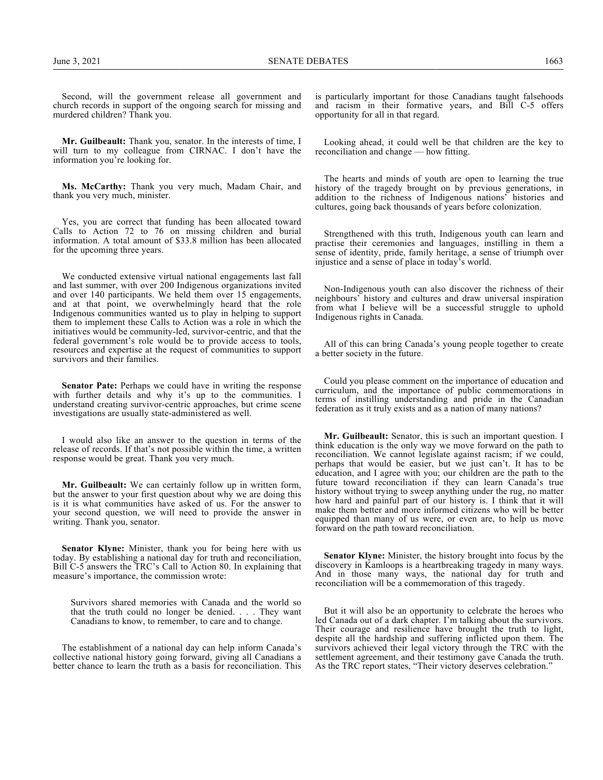Second, will the government release all government and church records in support of the ongoing search for missing and murdered children? Thank you.

**Mr. Guilbeault:** Thank you, senator. In the interests of time, I will turn to my colleague from CIRNAC. I don't have the information you're looking for.

**Ms. McCarthy:** Thank you very much, Madam Chair, and thank you very much, minister.

Yes, you are correct that funding has been allocated toward Calls to Action 72 to 76 on missing children and burial information. A total amount of \$33.8 million has been allocated for the upcoming three years.

We conducted extensive virtual national engagements last fall and last summer, with over 200 Indigenous organizations invited and over 140 participants. We held them over 15 engagements, and at that point, we overwhelmingly heard that the role Indigenous communities wanted us to play in helping to support them to implement these Calls to Action was a role in which the initiatives would be community-led, survivor-centric, and that the federal government's role would be to provide access to tools, resources and expertise at the request of communities to support survivors and their families.

**Senator Pate:** Perhaps we could have in writing the response with further details and why it's up to the communities. I understand creating survivor-centric approaches, but crime scene investigations are usually state-administered as well.

I would also like an answer to the question in terms of the release of records. If that's not possible within the time, a written response would be great. Thank you very much.

**Mr. Guilbeault:** We can certainly follow up in written form, but the answer to your first question about why we are doing this is it is what communities have asked of us. For the answer to your second question, we will need to provide the answer in writing. Thank you, senator.

**Senator Klyne:** Minister, thank you for being here with us today. By establishing a national day for truth and reconciliation, Bill C-5 answers the TRC's Call to Action 80. In explaining that measure's importance, the commission wrote:

Survivors shared memories with Canada and the world so that the truth could no longer be denied. . . . They want Canadians to know, to remember, to care and to change.

The establishment of a national day can help inform Canada's collective national history going forward, giving all Canadians a better chance to learn the truth as a basis for reconciliation. This

is particularly important for those Canadians taught falsehoods and racism in their formative years, and Bill C-5 offers opportunity for all in that regard.

Looking ahead, it could well be that children are the key to reconciliation and change — how fitting.

The hearts and minds of youth are open to learning the true history of the tragedy brought on by previous generations, in addition to the richness of Indigenous nations' histories and cultures, going back thousands of years before colonization.

Strengthened with this truth, Indigenous youth can learn and practise their ceremonies and languages, instilling in them a sense of identity, pride, family heritage, a sense of triumph over injustice and a sense of place in today's world.

Non-Indigenous youth can also discover the richness of their neighbours' history and cultures and draw universal inspiration from what I believe will be a successful struggle to uphold Indigenous rights in Canada.

All of this can bring Canada's young people together to create a better society in the future.

Could you please comment on the importance of education and curriculum, and the importance of public commemorations in terms of instilling understanding and pride in the Canadian federation as it truly exists and as a nation of many nations?

**Mr. Guilbeault:** Senator, this is such an important question. I think education is the only way we move forward on the path to reconciliation. We cannot legislate against racism; if we could, perhaps that would be easier, but we just can't. It has to be education, and I agree with you; our children are the path to the future toward reconciliation if they can learn Canada's true history without trying to sweep anything under the rug, no matter how hard and painful part of our history is. I think that it will make them better and more informed citizens who will be better equipped than many of us were, or even are, to help us move forward on the path toward reconciliation.

**Senator Klyne:** Minister, the history brought into focus by the discovery in Kamloops is a heartbreaking tragedy in many ways. And in those many ways, the national day for truth and reconciliation will be a commemoration of this tragedy.

But it will also be an opportunity to celebrate the heroes who led Canada out of a dark chapter. I'm talking about the survivors. Their courage and resilience have brought the truth to light, despite all the hardship and suffering inflicted upon them. The survivors achieved their legal victory through the TRC with the settlement agreement, and their testimony gave Canada the truth. As the TRC report states, "Their victory deserves celebration."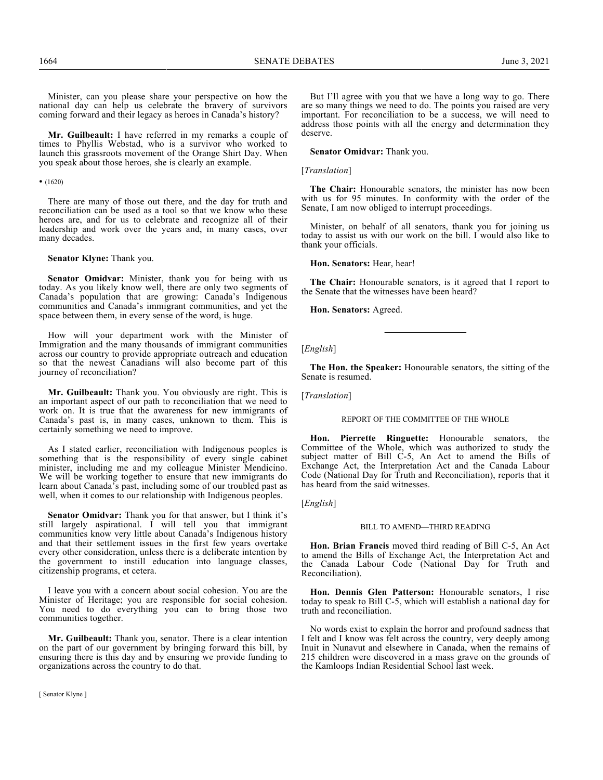Minister, can you please share your perspective on how the national day can help us celebrate the bravery of survivors coming forward and their legacy as heroes in Canada's history?

**Mr. Guilbeault:** I have referred in my remarks a couple of times to Phyllis Webstad, who is a survivor who worked to launch this grassroots movement of the Orange Shirt Day. When you speak about those heroes, she is clearly an example.

• (1620)

There are many of those out there, and the day for truth and reconciliation can be used as a tool so that we know who these heroes are, and for us to celebrate and recognize all of their leadership and work over the years and, in many cases, over many decades.

**Senator Klyne:** Thank you.

**Senator Omidvar:** Minister, thank you for being with us today. As you likely know well, there are only two segments of Canada's population that are growing: Canada's Indigenous communities and Canada's immigrant communities, and yet the space between them, in every sense of the word, is huge.

How will your department work with the Minister of Immigration and the many thousands of immigrant communities across our country to provide appropriate outreach and education so that the newest Canadians will also become part of this journey of reconciliation?

**Mr. Guilbeault:** Thank you. You obviously are right. This is an important aspect of our path to reconciliation that we need to work on. It is true that the awareness for new immigrants of Canada's past is, in many cases, unknown to them. This is certainly something we need to improve.

As I stated earlier, reconciliation with Indigenous peoples is something that is the responsibility of every single cabinet minister, including me and my colleague Minister Mendicino. We will be working together to ensure that new immigrants do learn about Canada's past, including some of our troubled past as well, when it comes to our relationship with Indigenous peoples.

**Senator Omidvar:** Thank you for that answer, but I think it's still largely aspirational. I will tell you that immigrant communities know very little about Canada's Indigenous history and that their settlement issues in the first few years overtake every other consideration, unless there is a deliberate intention by the government to instill education into language classes, citizenship programs, et cetera.

I leave you with a concern about social cohesion. You are the Minister of Heritage; you are responsible for social cohesion. You need to do everything you can to bring those two communities together.

**Mr. Guilbeault:** Thank you, senator. There is a clear intention on the part of our government by bringing forward this bill, by ensuring there is this day and by ensuring we provide funding to organizations across the country to do that.

[ Senator Klyne ]

But I'll agree with you that we have a long way to go. There are so many things we need to do. The points you raised are very important. For reconciliation to be a success, we will need to address those points with all the energy and determination they deserve.

**Senator Omidvar:** Thank you.

#### [*Translation*]

**The Chair:** Honourable senators, the minister has now been with us for 95 minutes. In conformity with the order of the Senate, I am now obliged to interrupt proceedings.

Minister, on behalf of all senators, thank you for joining us today to assist us with our work on the bill. I would also like to thank your officials.

**Hon. Senators:** Hear, hear!

**The Chair:** Honourable senators, is it agreed that I report to the Senate that the witnesses have been heard?

**Hon. Senators:** Agreed.

[*English*]

**The Hon. the Speaker:** Honourable senators, the sitting of the Senate is resumed.

[*Translation*]

#### REPORT OF THE COMMITTEE OF THE WHOLE

**Hon. Pierrette Ringuette:** Honourable senators, the Committee of the Whole, which was authorized to study the subject matter of Bill C-5, An Act to amend the Bills of Exchange Act, the Interpretation Act and the Canada Labour Code (National Day for Truth and Reconciliation), reports that it has heard from the said witnesses.

[*English*]

#### BILL TO AMEND—THIRD READING

**Hon. Brian Francis** moved third reading of Bill C-5, An Act to amend the Bills of Exchange Act, the Interpretation Act and the Canada Labour Code (National Day for Truth and Reconciliation).

**Hon. Dennis Glen Patterson:** Honourable senators, I rise today to speak to Bill C-5, which will establish a national day for truth and reconciliation.

No words exist to explain the horror and profound sadness that I felt and I know was felt across the country, very deeply among Inuit in Nunavut and elsewhere in Canada, when the remains of 215 children were discovered in a mass grave on the grounds of the Kamloops Indian Residential School last week.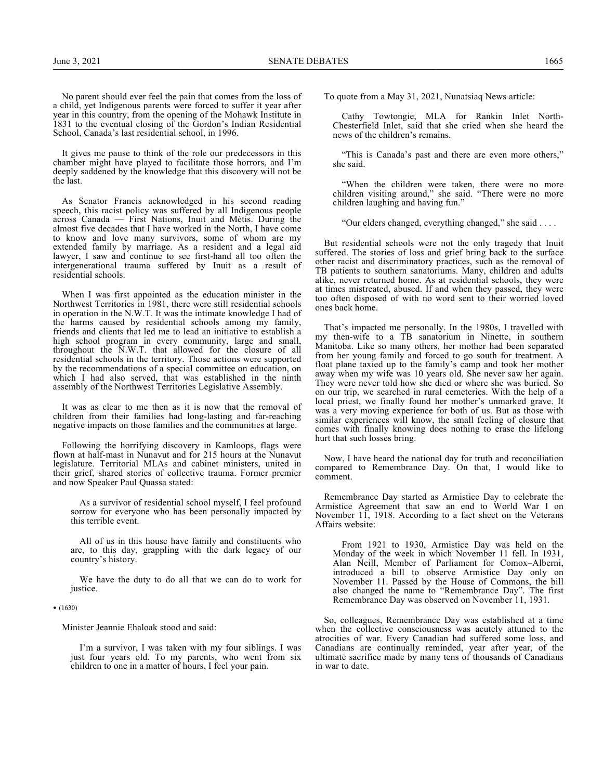No parent should ever feel the pain that comes from the loss of a child, yet Indigenous parents were forced to suffer it year after year in this country, from the opening of the Mohawk Institute in 1831 to the eventual closing of the Gordon's Indian Residential School, Canada's last residential school, in 1996.

It gives me pause to think of the role our predecessors in this chamber might have played to facilitate those horrors, and I'm deeply saddened by the knowledge that this discovery will not be the last.

As Senator Francis acknowledged in his second reading speech, this racist policy was suffered by all Indigenous people across Canada — First Nations, Inuit and Métis. During the almost five decades that I have worked in the North, I have come to know and love many survivors, some of whom are my extended family by marriage. As a resident and a legal aid lawyer, I saw and continue to see first-hand all too often the intergenerational trauma suffered by Inuit as a result of residential schools.

When I was first appointed as the education minister in the Northwest Territories in 1981, there were still residential schools in operation in the N.W.T. It was the intimate knowledge I had of the harms caused by residential schools among my family, friends and clients that led me to lead an initiative to establish a high school program in every community, large and small, throughout the N.W.T. that allowed for the closure of all residential schools in the territory. Those actions were supported by the recommendations of a special committee on education, on which I had also served, that was established in the ninth assembly of the Northwest Territories Legislative Assembly.

It was as clear to me then as it is now that the removal of children from their families had long-lasting and far-reaching negative impacts on those families and the communities at large.

Following the horrifying discovery in Kamloops, flags were flown at half-mast in Nunavut and for 215 hours at the Nunavut legislature. Territorial MLAs and cabinet ministers, united in their grief, shared stories of collective trauma. Former premier and now Speaker Paul Quassa stated:

As a survivor of residential school myself, I feel profound sorrow for everyone who has been personally impacted by this terrible event.

All of us in this house have family and constituents who are, to this day, grappling with the dark legacy of our country's history.

We have the duty to do all that we can do to work for justice.

#### • (1630)

Minister Jeannie Ehaloak stood and said:

I'm a survivor, I was taken with my four siblings. I was just four years old. To my parents, who went from six children to one in a matter of hours, I feel your pain.

To quote from a May 31, 2021, Nunatsiaq News article:

Cathy Towtongie, MLA for Rankin Inlet North-Chesterfield Inlet, said that she cried when she heard the news of the children's remains.

"This is Canada's past and there are even more others," she said.

"When the children were taken, there were no more children visiting around," she said. "There were no more children laughing and having fun."

"Our elders changed, everything changed," she said . . . .

But residential schools were not the only tragedy that Inuit suffered. The stories of loss and grief bring back to the surface other racist and discriminatory practices, such as the removal of TB patients to southern sanatoriums. Many, children and adults alike, never returned home. As at residential schools, they were at times mistreated, abused. If and when they passed, they were too often disposed of with no word sent to their worried loved ones back home.

That's impacted me personally. In the 1980s, I travelled with my then-wife to a TB sanatorium in Ninette, in southern Manitoba. Like so many others, her mother had been separated from her young family and forced to go south for treatment. A float plane taxied up to the family's camp and took her mother away when my wife was 10 years old. She never saw her again. They were never told how she died or where she was buried. So on our trip, we searched in rural cemeteries. With the help of a local priest, we finally found her mother's unmarked grave. It was a very moving experience for both of us. But as those with similar experiences will know, the small feeling of closure that comes with finally knowing does nothing to erase the lifelong hurt that such losses bring.

Now, I have heard the national day for truth and reconciliation compared to Remembrance Day. On that, I would like to comment.

Remembrance Day started as Armistice Day to celebrate the Armistice Agreement that saw an end to World War I on November 11, 1918. According to a fact sheet on the Veterans Affairs website:

From 1921 to 1930, Armistice Day was held on the Monday of the week in which November 11 fell. In 1931, Alan Neill, Member of Parliament for Comox–Alberni, introduced a bill to observe Armistice Day only on November 11. Passed by the House of Commons, the bill also changed the name to "Remembrance Day". The first Remembrance Day was observed on November 11, 1931.

So, colleagues, Remembrance Day was established at a time when the collective consciousness was acutely attuned to the atrocities of war. Every Canadian had suffered some loss, and Canadians are continually reminded, year after year, of the ultimate sacrifice made by many tens of thousands of Canadians in war to date.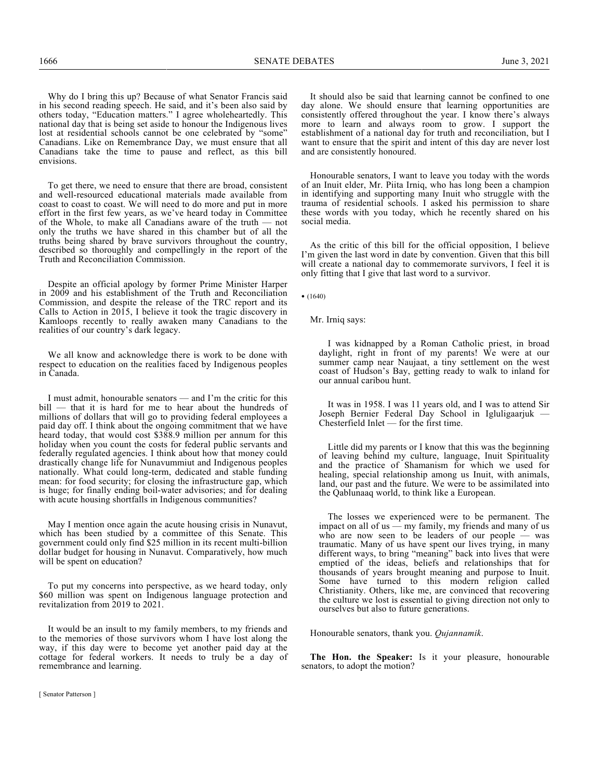Why do I bring this up? Because of what Senator Francis said in his second reading speech. He said, and it's been also said by others today, "Education matters." I agree wholeheartedly. This national day that is being set aside to honour the Indigenous lives lost at residential schools cannot be one celebrated by "some" Canadians. Like on Remembrance Day, we must ensure that all Canadians take the time to pause and reflect, as this bill envisions.

To get there, we need to ensure that there are broad, consistent and well-resourced educational materials made available from coast to coast to coast. We will need to do more and put in more effort in the first few years, as we've heard today in Committee of the Whole, to make all Canadians aware of the truth — not only the truths we have shared in this chamber but of all the truths being shared by brave survivors throughout the country, described so thoroughly and compellingly in the report of the Truth and Reconciliation Commission.

Despite an official apology by former Prime Minister Harper in 2009 and his establishment of the Truth and Reconciliation Commission, and despite the release of the TRC report and its Calls to Action in 2015, I believe it took the tragic discovery in Kamloops recently to really awaken many Canadians to the realities of our country's dark legacy.

We all know and acknowledge there is work to be done with respect to education on the realities faced by Indigenous peoples in Canada.

I must admit, honourable senators — and I'm the critic for this bill — that it is hard for me to hear about the hundreds of millions of dollars that will go to providing federal employees a paid day off. I think about the ongoing commitment that we have heard today, that would cost \$388.9 million per annum for this holiday when you count the costs for federal public servants and federally regulated agencies. I think about how that money could drastically change life for Nunavummiut and Indigenous peoples nationally. What could long-term, dedicated and stable funding mean: for food security; for closing the infrastructure gap, which is huge; for finally ending boil-water advisories; and for dealing with acute housing shortfalls in Indigenous communities?

May I mention once again the acute housing crisis in Nunavut, which has been studied by a committee of this Senate. This government could only find \$25 million in its recent multi-billion dollar budget for housing in Nunavut. Comparatively, how much will be spent on education?

To put my concerns into perspective, as we heard today, only \$60 million was spent on Indigenous language protection and revitalization from 2019 to 2021.

It would be an insult to my family members, to my friends and to the memories of those survivors whom I have lost along the way, if this day were to become yet another paid day at the cottage for federal workers. It needs to truly be a day of remembrance and learning.

It should also be said that learning cannot be confined to one day alone. We should ensure that learning opportunities are consistently offered throughout the year. I know there's always more to learn and always room to grow. I support the establishment of a national day for truth and reconciliation, but I want to ensure that the spirit and intent of this day are never lost and are consistently honoured.

Honourable senators, I want to leave you today with the words of an Inuit elder, Mr. Piita Irniq, who has long been a champion in identifying and supporting many Inuit who struggle with the trauma of residential schools. I asked his permission to share these words with you today, which he recently shared on his social media.

As the critic of this bill for the official opposition, I believe I'm given the last word in date by convention. Given that this bill will create a national day to commemorate survivors, I feel it is only fitting that I give that last word to a survivor.

 $• (1640)$ 

Mr. Irniq says:

I was kidnapped by a Roman Catholic priest, in broad daylight, right in front of my parents! We were at our summer camp near Naujaat, a tiny settlement on the west coast of Hudson's Bay, getting ready to walk to inland for our annual caribou hunt.

It was in 1958. I was 11 years old, and I was to attend Sir Joseph Bernier Federal Day School in Igluligaarjuk — Chesterfield Inlet — for the first time.

Little did my parents or I know that this was the beginning of leaving behind my culture, language, Inuit Spirituality and the practice of Shamanism for which we used for healing, special relationship among us Inuit, with animals, land, our past and the future. We were to be assimilated into the Qablunaaq world, to think like a European.

The losses we experienced were to be permanent. The impact on all of us — my family, my friends and many of us who are now seen to be leaders of our people  $-$  was traumatic. Many of us have spent our lives trying, in many different ways, to bring "meaning" back into lives that were emptied of the ideas, beliefs and relationships that for thousands of years brought meaning and purpose to Inuit. Some have turned to this modern religion called Christianity. Others, like me, are convinced that recovering the culture we lost is essential to giving direction not only to ourselves but also to future generations.

Honourable senators, thank you. *Qujannamik*.

**The Hon. the Speaker:** Is it your pleasure, honourable senators, to adopt the motion?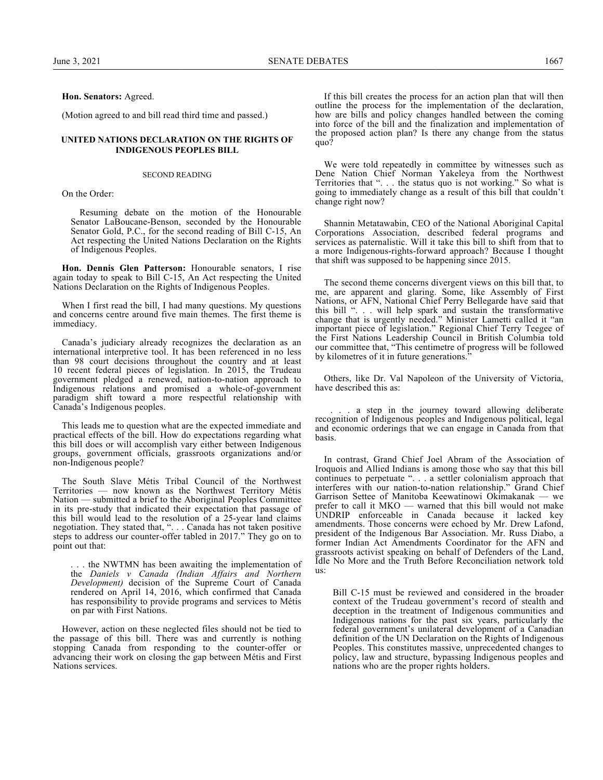## **Hon. Senators:** Agreed.

(Motion agreed to and bill read third time and passed.)

### **UNITED NATIONS DECLARATION ON THE RIGHTS OF INDIGENOUS PEOPLES BILL**

#### SECOND READING

On the Order:

Resuming debate on the motion of the Honourable Senator LaBoucane-Benson, seconded by the Honourable Senator Gold, P.C., for the second reading of Bill C-15, An Act respecting the United Nations Declaration on the Rights of Indigenous Peoples.

**Hon. Dennis Glen Patterson:** Honourable senators, I rise again today to speak to Bill C-15, An Act respecting the United Nations Declaration on the Rights of Indigenous Peoples.

When I first read the bill, I had many questions. My questions and concerns centre around five main themes. The first theme is immediacy.

Canada's judiciary already recognizes the declaration as an international interpretive tool. It has been referenced in no less than 98 court decisions throughout the country and at least 10 recent federal pieces of legislation. In 2015, the Trudeau government pledged a renewed, nation-to-nation approach to Indigenous relations and promised a whole-of-government paradigm shift toward a more respectful relationship with Canada's Indigenous peoples.

This leads me to question what are the expected immediate and practical effects of the bill. How do expectations regarding what this bill does or will accomplish vary either between Indigenous groups, government officials, grassroots organizations and/or non-Indigenous people?

The South Slave Métis Tribal Council of the Northwest Territories — now known as the Northwest Territory Métis Nation — submitted a brief to the Aboriginal Peoples Committee in its pre-study that indicated their expectation that passage of this bill would lead to the resolution of a 25-year land claims negotiation. They stated that, ". . . Canada has not taken positive steps to address our counter-offer tabled in 2017." They go on to point out that:

. . . the NWTMN has been awaiting the implementation of the *Daniels v Canada (Indian Affairs and Northern Development)* decision of the Supreme Court of Canada rendered on April 14, 2016, which confirmed that Canada has responsibility to provide programs and services to Métis on par with First Nations.

However, action on these neglected files should not be tied to the passage of this bill. There was and currently is nothing stopping Canada from responding to the counter-offer or advancing their work on closing the gap between Métis and First Nations services.

If this bill creates the process for an action plan that will then outline the process for the implementation of the declaration, how are bills and policy changes handled between the coming into force of the bill and the finalization and implementation of the proposed action plan? Is there any change from the status quo?

We were told repeatedly in committee by witnesses such as Dene Nation Chief Norman Yakeleya from the Northwest Territories that ". . . the status quo is not working." So what is going to immediately change as a result of this bill that couldn't change right now?

Shannin Metatawabin, CEO of the National Aboriginal Capital Corporations Association, described federal programs and services as paternalistic. Will it take this bill to shift from that to a more Indigenous-rights-forward approach? Because I thought that shift was supposed to be happening since 2015.

The second theme concerns divergent views on this bill that, to me, are apparent and glaring. Some, like Assembly of First Nations, or AFN, National Chief Perry Bellegarde have said that this bill ". . . will help spark and sustain the transformative change that is urgently needed." Minister Lametti called it "an important piece of legislation." Regional Chief Terry Teegee of the First Nations Leadership Council in British Columbia told our committee that, "This centimetre of progress will be followed by kilometres of it in future generations.<sup>3</sup>

Others, like Dr. Val Napoleon of the University of Victoria, have described this as:

. . . a step in the journey toward allowing deliberate recognition of Indigenous peoples and Indigenous political, legal and economic orderings that we can engage in Canada from that basis.

In contrast, Grand Chief Joel Abram of the Association of Iroquois and Allied Indians is among those who say that this bill continues to perpetuate ". . . a settler colonialism approach that interferes with our nation-to-nation relationship." Grand Chief Garrison Settee of Manitoba Keewatinowi Okimakanak — we prefer to call it MKO — warned that this bill would not make UNDRIP enforceable in Canada because it lacked key amendments. Those concerns were echoed by Mr. Drew Lafond, president of the Indigenous Bar Association. Mr. Russ Diabo, a former Indian Act Amendments Coordinator for the AFN and grassroots activist speaking on behalf of Defenders of the Land, Idle No More and the Truth Before Reconciliation network told us:

Bill C-15 must be reviewed and considered in the broader context of the Trudeau government's record of stealth and deception in the treatment of Indigenous communities and Indigenous nations for the past six years, particularly the federal government's unilateral development of a Canadian definition of the UN Declaration on the Rights of Indigenous Peoples. This constitutes massive, unprecedented changes to policy, law and structure, bypassing Indigenous peoples and nations who are the proper rights holders.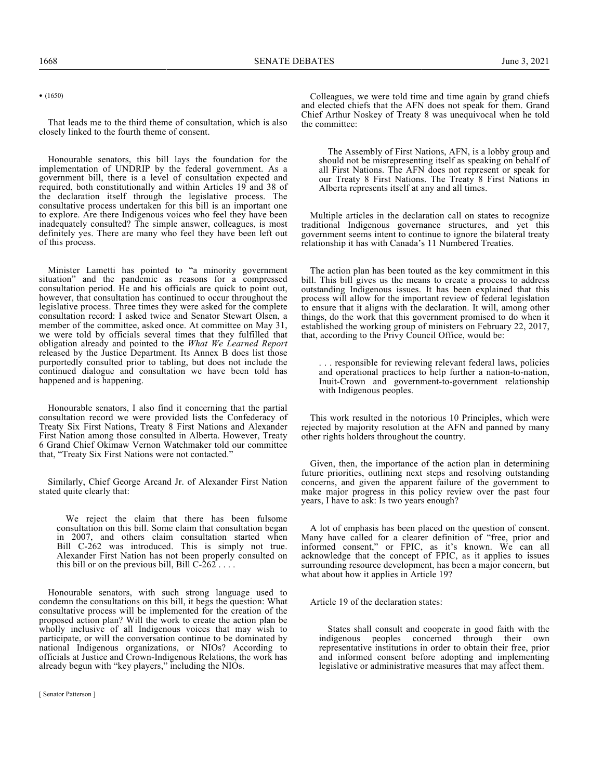• (1650)

That leads me to the third theme of consultation, which is also closely linked to the fourth theme of consent.

Honourable senators, this bill lays the foundation for the implementation of UNDRIP by the federal government. As a government bill, there is a level of consultation expected and required, both constitutionally and within Articles 19 and 38 of the declaration itself through the legislative process. The consultative process undertaken for this bill is an important one to explore. Are there Indigenous voices who feel they have been inadequately consulted? The simple answer, colleagues, is most definitely yes. There are many who feel they have been left out of this process.

Minister Lametti has pointed to "a minority government situation" and the pandemic as reasons for a compressed consultation period. He and his officials are quick to point out, however, that consultation has continued to occur throughout the legislative process. Three times they were asked for the complete consultation record: I asked twice and Senator Stewart Olsen, a member of the committee, asked once. At committee on May 31, we were told by officials several times that they fulfilled that obligation already and pointed to the *What We Learned Report* released by the Justice Department. Its Annex B does list those purportedly consulted prior to tabling, but does not include the continued dialogue and consultation we have been told has happened and is happening.

Honourable senators, I also find it concerning that the partial consultation record we were provided lists the Confederacy of Treaty Six First Nations, Treaty 8 First Nations and Alexander First Nation among those consulted in Alberta. However, Treaty 6 Grand Chief Okimaw Vernon Watchmaker told our committee that, "Treaty Six First Nations were not contacted."

Similarly, Chief George Arcand Jr. of Alexander First Nation stated quite clearly that:

We reject the claim that there has been fulsome consultation on this bill. Some claim that consultation began in 2007, and others claim consultation started when Bill C-262 was introduced. This is simply not true. Alexander First Nation has not been properly consulted on this bill or on the previous bill, Bill  $C-262$ ...

Honourable senators, with such strong language used to condemn the consultations on this bill, it begs the question: What consultative process will be implemented for the creation of the proposed action plan? Will the work to create the action plan be wholly inclusive of all Indigenous voices that may wish to participate, or will the conversation continue to be dominated by national Indigenous organizations, or NIOs? According to officials at Justice and Crown-Indigenous Relations, the work has already begun with "key players," including the NIOs.

Colleagues, we were told time and time again by grand chiefs and elected chiefs that the AFN does not speak for them. Grand Chief Arthur Noskey of Treaty 8 was unequivocal when he told the committee:

The Assembly of First Nations, AFN, is a lobby group and should not be misrepresenting itself as speaking on behalf of all First Nations. The AFN does not represent or speak for our Treaty 8 First Nations. The Treaty 8 First Nations in Alberta represents itself at any and all times.

Multiple articles in the declaration call on states to recognize traditional Indigenous governance structures, and yet this government seems intent to continue to ignore the bilateral treaty relationship it has with Canada's 11 Numbered Treaties.

The action plan has been touted as the key commitment in this bill. This bill gives us the means to create a process to address outstanding Indigenous issues. It has been explained that this process will allow for the important review of federal legislation to ensure that it aligns with the declaration. It will, among other things, do the work that this government promised to do when it established the working group of ministers on February 22, 2017, that, according to the Privy Council Office, would be:

. . . responsible for reviewing relevant federal laws, policies and operational practices to help further a nation-to-nation, Inuit-Crown and government-to-government relationship with Indigenous peoples.

This work resulted in the notorious 10 Principles, which were rejected by majority resolution at the AFN and panned by many other rights holders throughout the country.

Given, then, the importance of the action plan in determining future priorities, outlining next steps and resolving outstanding concerns, and given the apparent failure of the government to make major progress in this policy review over the past four years, I have to ask: Is two years enough?

A lot of emphasis has been placed on the question of consent. Many have called for a clearer definition of "free, prior and informed consent," or FPIC, as it's known. We can all acknowledge that the concept of FPIC, as it applies to issues surrounding resource development, has been a major concern, but what about how it applies in Article 19?

Article 19 of the declaration states:

States shall consult and cooperate in good faith with the indigenous peoples concerned through their own representative institutions in order to obtain their free, prior and informed consent before adopting and implementing legislative or administrative measures that may affect them.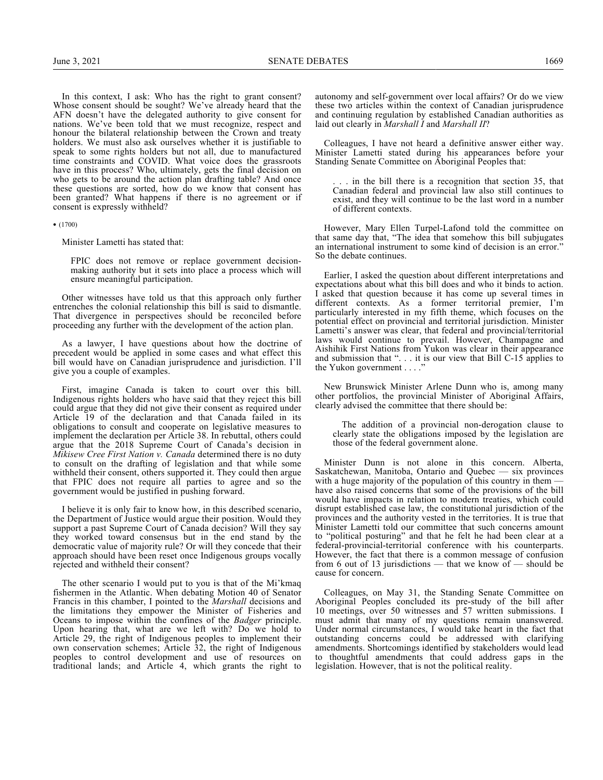In this context, I ask: Who has the right to grant consent? Whose consent should be sought? We've already heard that the AFN doesn't have the delegated authority to give consent for nations. We've been told that we must recognize, respect and honour the bilateral relationship between the Crown and treaty holders. We must also ask ourselves whether it is justifiable to speak to some rights holders but not all, due to manufactured time constraints and COVID. What voice does the grassroots have in this process? Who, ultimately, gets the final decision on who gets to be around the action plan drafting table? And once these questions are sorted, how do we know that consent has been granted? What happens if there is no agreement or if consent is expressly withheld?

• (1700)

Minister Lametti has stated that:

FPIC does not remove or replace government decisionmaking authority but it sets into place a process which will ensure meaningful participation.

Other witnesses have told us that this approach only further entrenches the colonial relationship this bill is said to dismantle. That divergence in perspectives should be reconciled before proceeding any further with the development of the action plan.

As a lawyer, I have questions about how the doctrine of precedent would be applied in some cases and what effect this bill would have on Canadian jurisprudence and jurisdiction. I'll give you a couple of examples.

First, imagine Canada is taken to court over this bill. Indigenous rights holders who have said that they reject this bill could argue that they did not give their consent as required under Article 19 of the declaration and that Canada failed in its obligations to consult and cooperate on legislative measures to implement the declaration per Article 38. In rebuttal, others could argue that the 2018 Supreme Court of Canada's decision in *Mikisew Cree First Nation v. Canada* determined there is no duty to consult on the drafting of legislation and that while some withheld their consent, others supported it. They could then argue that FPIC does not require all parties to agree and so the government would be justified in pushing forward.

I believe it is only fair to know how, in this described scenario, the Department of Justice would argue their position. Would they support a past Supreme Court of Canada decision? Will they say they worked toward consensus but in the end stand by the democratic value of majority rule? Or will they concede that their approach should have been reset once Indigenous groups vocally rejected and withheld their consent?

The other scenario I would put to you is that of the Mi'kmaq fishermen in the Atlantic. When debating Motion 40 of Senator Francis in this chamber, I pointed to the *Marshall* decisions and the limitations they empower the Minister of Fisheries and Oceans to impose within the confines of the *Badger* principle. Upon hearing that, what are we left with? Do we hold to Article 29, the right of Indigenous peoples to implement their own conservation schemes; Article 32, the right of Indigenous peoples to control development and use of resources on traditional lands; and Article 4, which grants the right to

autonomy and self-government over local affairs? Or do we view these two articles within the context of Canadian jurisprudence and continuing regulation by established Canadian authorities as laid out clearly in *Marshall I* and *Marshall II*?

Colleagues, I have not heard a definitive answer either way. Minister Lametti stated during his appearances before your Standing Senate Committee on Aboriginal Peoples that:

.. in the bill there is a recognition that section 35, that Canadian federal and provincial law also still continues to exist, and they will continue to be the last word in a number of different contexts.

However, Mary Ellen Turpel-Lafond told the committee on that same day that, "The idea that somehow this bill subjugates an international instrument to some kind of decision is an error." So the debate continues.

Earlier, I asked the question about different interpretations and expectations about what this bill does and who it binds to action. I asked that question because it has come up several times in different contexts. As a former territorial premier, I'm particularly interested in my fifth theme, which focuses on the potential effect on provincial and territorial jurisdiction. Minister Lametti's answer was clear, that federal and provincial/territorial laws would continue to prevail. However, Champagne and Aishihik First Nations from Yukon was clear in their appearance and submission that ". . . it is our view that Bill C-15 applies to the Yukon government . . . ."

New Brunswick Minister Arlene Dunn who is, among many other portfolios, the provincial Minister of Aboriginal Affairs, clearly advised the committee that there should be:

The addition of a provincial non-derogation clause to clearly state the obligations imposed by the legislation are those of the federal government alone.

Minister Dunn is not alone in this concern. Alberta, Saskatchewan, Manitoba, Ontario and Quebec — six provinces with a huge majority of the population of this country in them have also raised concerns that some of the provisions of the bill would have impacts in relation to modern treaties, which could disrupt established case law, the constitutional jurisdiction of the provinces and the authority vested in the territories. It is true that Minister Lametti told our committee that such concerns amount to "political posturing" and that he felt he had been clear at a federal-provincial-territorial conference with his counterparts. However, the fact that there is a common message of confusion from 6 out of 13 jurisdictions — that we know of — should be cause for concern.

Colleagues, on May 31, the Standing Senate Committee on Aboriginal Peoples concluded its pre-study of the bill after 10 meetings, over 50 witnesses and 57 written submissions. I must admit that many of my questions remain unanswered. Under normal circumstances, I would take heart in the fact that outstanding concerns could be addressed with clarifying amendments. Shortcomings identified by stakeholders would lead to thoughtful amendments that could address gaps in the legislation. However, that is not the political reality.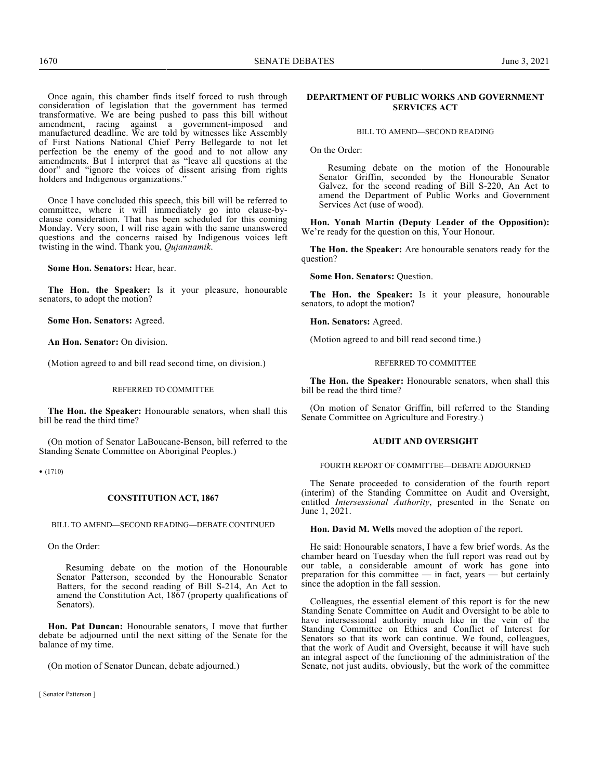Once again, this chamber finds itself forced to rush through consideration of legislation that the government has termed transformative. We are being pushed to pass this bill without amendment, racing against a government-imposed and manufactured deadline. We are told by witnesses like Assembly of First Nations National Chief Perry Bellegarde to not let perfection be the enemy of the good and to not allow any amendments. But I interpret that as "leave all questions at the door" and "ignore the voices of dissent arising from rights holders and Indigenous organizations."

Once I have concluded this speech, this bill will be referred to committee, where it will immediately go into clause-byclause consideration. That has been scheduled for this coming Monday. Very soon, I will rise again with the same unanswered questions and the concerns raised by Indigenous voices left twisting in the wind. Thank you, *Qujannamik*.

**Some Hon. Senators:** Hear, hear.

**The Hon. the Speaker:** Is it your pleasure, honourable senators, to adopt the motion?

**Some Hon. Senators:** Agreed.

**An Hon. Senator:** On division.

(Motion agreed to and bill read second time, on division.)

#### REFERRED TO COMMITTEE

**The Hon. the Speaker:** Honourable senators, when shall this bill be read the third time?

(On motion of Senator LaBoucane-Benson, bill referred to the Standing Senate Committee on Aboriginal Peoples.)

• (1710)

#### **CONSTITUTION ACT, 1867**

BILL TO AMEND—SECOND READING—DEBATE CONTINUED

On the Order:

Resuming debate on the motion of the Honourable Senator Patterson, seconded by the Honourable Senator Batters, for the second reading of Bill S-214, An Act to amend the Constitution Act, 1867 (property qualifications of Senators).

**Hon. Pat Duncan:** Honourable senators, I move that further debate be adjourned until the next sitting of the Senate for the balance of my time.

(On motion of Senator Duncan, debate adjourned.)

## **DEPARTMENT OF PUBLIC WORKS AND GOVERNMENT SERVICES ACT**

### BILL TO AMEND—SECOND READING

On the Order:

Resuming debate on the motion of the Honourable Senator Griffin, seconded by the Honourable Senator Galvez, for the second reading of Bill S-220, An Act to amend the Department of Public Works and Government Services Act (use of wood).

**Hon. Yonah Martin (Deputy Leader of the Opposition):** We're ready for the question on this, Your Honour.

**The Hon. the Speaker:** Are honourable senators ready for the question?

**Some Hon. Senators:** Question.

**The Hon. the Speaker:** Is it your pleasure, honourable senators, to adopt the motion?

**Hon. Senators:** Agreed.

(Motion agreed to and bill read second time.)

## REFERRED TO COMMITTEE

**The Hon. the Speaker:** Honourable senators, when shall this bill be read the third time?

(On motion of Senator Griffin, bill referred to the Standing Senate Committee on Agriculture and Forestry.)

## **AUDIT AND OVERSIGHT**

## FOURTH REPORT OF COMMITTEE—DEBATE ADJOURNED

The Senate proceeded to consideration of the fourth report (interim) of the Standing Committee on Audit and Oversight, entitled *Intersessional Authority*, presented in the Senate on June 1, 2021.

**Hon. David M. Wells** moved the adoption of the report.

He said: Honourable senators, I have a few brief words. As the chamber heard on Tuesday when the full report was read out by our table, a considerable amount of work has gone into preparation for this committee — in fact, years — but certainly since the adoption in the fall session.

Colleagues, the essential element of this report is for the new Standing Senate Committee on Audit and Oversight to be able to have intersessional authority much like in the vein of the Standing Committee on Ethics and Conflict of Interest for Senators so that its work can continue. We found, colleagues, that the work of Audit and Oversight, because it will have such an integral aspect of the functioning of the administration of the Senate, not just audits, obviously, but the work of the committee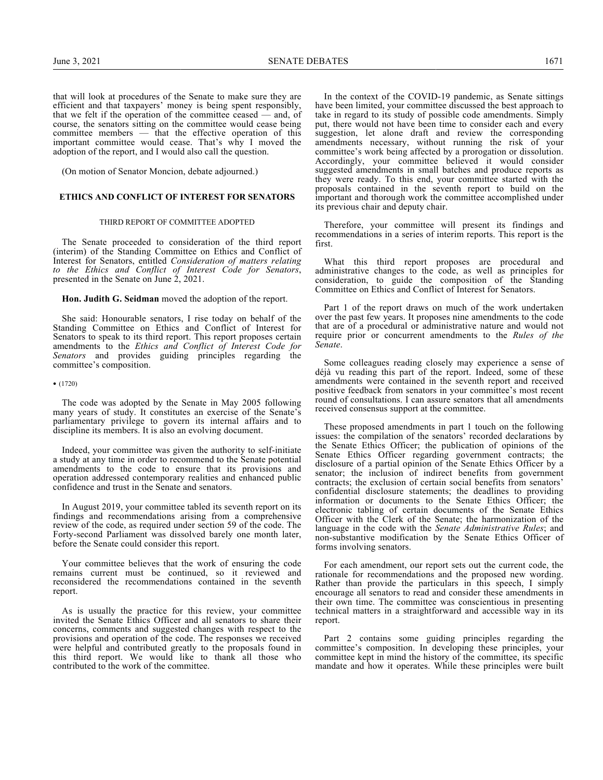that will look at procedures of the Senate to make sure they are efficient and that taxpayers' money is being spent responsibly, that we felt if the operation of the committee ceased — and, of course, the senators sitting on the committee would cease being committee members — that the effective operation of this important committee would cease. That's why I moved the adoption of the report, and I would also call the question.

(On motion of Senator Moncion, debate adjourned.)

## **ETHICS AND CONFLICT OF INTEREST FOR SENATORS**

#### THIRD REPORT OF COMMITTEE ADOPTED

The Senate proceeded to consideration of the third report (interim) of the Standing Committee on Ethics and Conflict of Interest for Senators, entitled *Consideration of matters relating to the Ethics and Conflict of Interest Code for Senators*, presented in the Senate on June 2, 2021.

**Hon. Judith G. Seidman** moved the adoption of the report.

She said: Honourable senators, I rise today on behalf of the Standing Committee on Ethics and Conflict of Interest for Senators to speak to its third report. This report proposes certain amendments to the *Ethics and Conflict of Interest Code for Senators* and provides guiding principles regarding the committee's composition.

• (1720)

The code was adopted by the Senate in May 2005 following many years of study. It constitutes an exercise of the Senate's parliamentary privilege to govern its internal affairs and to discipline its members. It is also an evolving document.

Indeed, your committee was given the authority to self-initiate a study at any time in order to recommend to the Senate potential amendments to the code to ensure that its provisions and operation addressed contemporary realities and enhanced public confidence and trust in the Senate and senators.

In August 2019, your committee tabled its seventh report on its findings and recommendations arising from a comprehensive review of the code, as required under section 59 of the code. The Forty-second Parliament was dissolved barely one month later, before the Senate could consider this report.

Your committee believes that the work of ensuring the code remains current must be continued, so it reviewed and reconsidered the recommendations contained in the seventh report.

As is usually the practice for this review, your committee invited the Senate Ethics Officer and all senators to share their concerns, comments and suggested changes with respect to the provisions and operation of the code. The responses we received were helpful and contributed greatly to the proposals found in this third report. We would like to thank all those who contributed to the work of the committee.

In the context of the COVID-19 pandemic, as Senate sittings have been limited, your committee discussed the best approach to take in regard to its study of possible code amendments. Simply put, there would not have been time to consider each and every suggestion, let alone draft and review the corresponding amendments necessary, without running the risk of your committee's work being affected by a prorogation or dissolution. Accordingly, your committee believed it would consider suggested amendments in small batches and produce reports as they were ready. To this end, your committee started with the proposals contained in the seventh report to build on the important and thorough work the committee accomplished under its previous chair and deputy chair.

Therefore, your committee will present its findings and recommendations in a series of interim reports. This report is the first.

What this third report proposes are procedural and administrative changes to the code, as well as principles for consideration, to guide the composition of the Standing Committee on Ethics and Conflict of Interest for Senators.

Part 1 of the report draws on much of the work undertaken over the past few years. It proposes nine amendments to the code that are of a procedural or administrative nature and would not require prior or concurrent amendments to the *Rules of the Senate*.

Some colleagues reading closely may experience a sense of déjà vu reading this part of the report. Indeed, some of these amendments were contained in the seventh report and received positive feedback from senators in your committee's most recent round of consultations. I can assure senators that all amendments received consensus support at the committee.

These proposed amendments in part 1 touch on the following issues: the compilation of the senators' recorded declarations by the Senate Ethics Officer; the publication of opinions of the Senate Ethics Officer regarding government contracts; the disclosure of a partial opinion of the Senate Ethics Officer by a senator; the inclusion of indirect benefits from government contracts; the exclusion of certain social benefits from senators' confidential disclosure statements; the deadlines to providing information or documents to the Senate Ethics Officer; the electronic tabling of certain documents of the Senate Ethics Officer with the Clerk of the Senate; the harmonization of the language in the code with the *Senate Administrative Rules*; and non-substantive modification by the Senate Ethics Officer of forms involving senators.

For each amendment, our report sets out the current code, the rationale for recommendations and the proposed new wording. Rather than provide the particulars in this speech, I simply encourage all senators to read and consider these amendments in their own time. The committee was conscientious in presenting technical matters in a straightforward and accessible way in its report.

Part 2 contains some guiding principles regarding the committee's composition. In developing these principles, your committee kept in mind the history of the committee, its specific mandate and how it operates. While these principles were built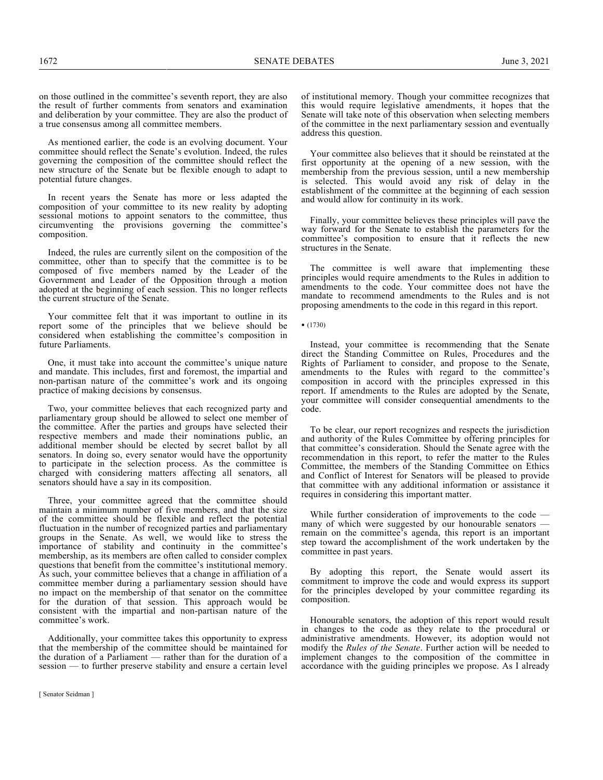1672 SENATE DEBATES June 3, 2021

on those outlined in the committee's seventh report, they are also the result of further comments from senators and examination and deliberation by your committee. They are also the product of a true consensus among all committee members.

As mentioned earlier, the code is an evolving document. Your committee should reflect the Senate's evolution. Indeed, the rules governing the composition of the committee should reflect the new structure of the Senate but be flexible enough to adapt to potential future changes.

In recent years the Senate has more or less adapted the composition of your committee to its new reality by adopting sessional motions to appoint senators to the committee, thus circumventing the provisions governing the committee's composition.

Indeed, the rules are currently silent on the composition of the committee, other than to specify that the committee is to be composed of five members named by the Leader of the Government and Leader of the Opposition through a motion adopted at the beginning of each session. This no longer reflects the current structure of the Senate.

Your committee felt that it was important to outline in its report some of the principles that we believe should be considered when establishing the committee's composition in future Parliaments.

One, it must take into account the committee's unique nature and mandate. This includes, first and foremost, the impartial and non-partisan nature of the committee's work and its ongoing practice of making decisions by consensus.

Two, your committee believes that each recognized party and parliamentary group should be allowed to select one member of the committee. After the parties and groups have selected their respective members and made their nominations public, an additional member should be elected by secret ballot by all senators. In doing so, every senator would have the opportunity to participate in the selection process. As the committee is charged with considering matters affecting all senators, all senators should have a say in its composition.

Three, your committee agreed that the committee should maintain a minimum number of five members, and that the size of the committee should be flexible and reflect the potential fluctuation in the number of recognized parties and parliamentary groups in the Senate. As well, we would like to stress the importance of stability and continuity in the committee's membership, as its members are often called to consider complex questions that benefit from the committee's institutional memory. As such, your committee believes that a change in affiliation of a committee member during a parliamentary session should have no impact on the membership of that senator on the committee for the duration of that session. This approach would be consistent with the impartial and non-partisan nature of the committee's work.

Additionally, your committee takes this opportunity to express that the membership of the committee should be maintained for the duration of a Parliament — rather than for the duration of a session — to further preserve stability and ensure a certain level of institutional memory. Though your committee recognizes that this would require legislative amendments, it hopes that the Senate will take note of this observation when selecting members of the committee in the next parliamentary session and eventually address this question.

Your committee also believes that it should be reinstated at the first opportunity at the opening of a new session, with the membership from the previous session, until a new membership is selected. This would avoid any risk of delay in the establishment of the committee at the beginning of each session and would allow for continuity in its work.

Finally, your committee believes these principles will pave the way forward for the Senate to establish the parameters for the committee's composition to ensure that it reflects the new structures in the Senate.

The committee is well aware that implementing these principles would require amendments to the Rules in addition to amendments to the code. Your committee does not have the mandate to recommend amendments to the Rules and is not proposing amendments to the code in this regard in this report.

• (1730)

Instead, your committee is recommending that the Senate direct the Standing Committee on Rules, Procedures and the Rights of Parliament to consider, and propose to the Senate, amendments to the Rules with regard to the committee's composition in accord with the principles expressed in this report. If amendments to the Rules are adopted by the Senate, your committee will consider consequential amendments to the code.

To be clear, our report recognizes and respects the jurisdiction and authority of the Rules Committee by offering principles for that committee's consideration. Should the Senate agree with the recommendation in this report, to refer the matter to the Rules Committee, the members of the Standing Committee on Ethics and Conflict of Interest for Senators will be pleased to provide that committee with any additional information or assistance it requires in considering this important matter.

While further consideration of improvements to the code many of which were suggested by our honourable senators remain on the committee's agenda, this report is an important step toward the accomplishment of the work undertaken by the committee in past years.

By adopting this report, the Senate would assert its commitment to improve the code and would express its support for the principles developed by your committee regarding its composition.

Honourable senators, the adoption of this report would result in changes to the code as they relate to the procedural or administrative amendments. However, its adoption would not modify the *Rules of the Senate*. Further action will be needed to implement changes to the composition of the committee in accordance with the guiding principles we propose. As I already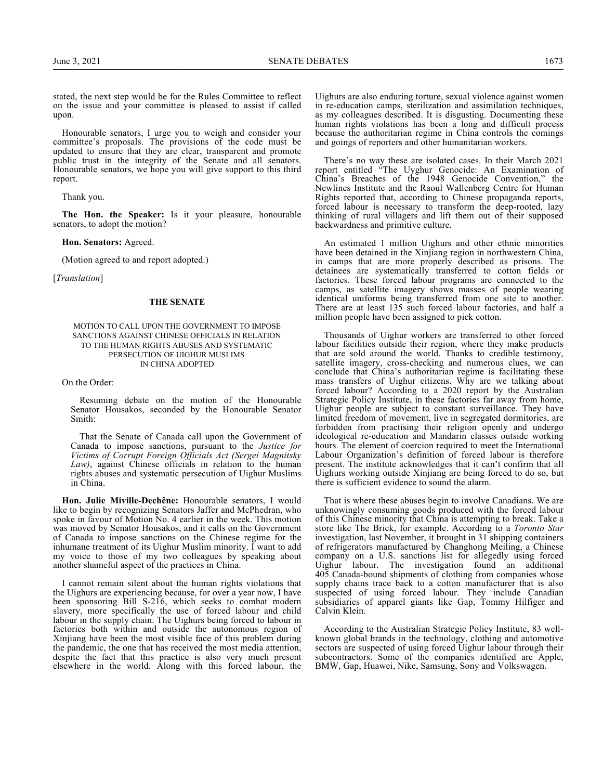stated, the next step would be for the Rules Committee to reflect on the issue and your committee is pleased to assist if called upon.

Honourable senators, I urge you to weigh and consider your committee's proposals. The provisions of the code must be updated to ensure that they are clear, transparent and promote public trust in the integrity of the Senate and all senators. Honourable senators, we hope you will give support to this third report.

Thank you.

**The Hon. the Speaker:** Is it your pleasure, honourable senators, to adopt the motion?

## **Hon. Senators:** Agreed.

(Motion agreed to and report adopted.)

[*Translation*]

#### **THE SENATE**

#### MOTION TO CALL UPON THE GOVERNMENT TO IMPOSE SANCTIONS AGAINST CHINESE OFFICIALS IN RELATION TO THE HUMAN RIGHTS ABUSES AND SYSTEMATIC PERSECUTION OF UIGHUR MUSLIMS IN CHINA ADOPTED

On the Order:

Resuming debate on the motion of the Honourable Senator Housakos, seconded by the Honourable Senator Smith:

That the Senate of Canada call upon the Government of Canada to impose sanctions, pursuant to the *Justice for Victims of Corrupt Foreign Officials Act (Sergei Magnitsky Law)*, against Chinese officials in relation to the human rights abuses and systematic persecution of Uighur Muslims in China.

**Hon. Julie Miville-Dechêne:** Honourable senators, I would like to begin by recognizing Senators Jaffer and McPhedran, who spoke in favour of Motion No. 4 earlier in the week. This motion was moved by Senator Housakos, and it calls on the Government of Canada to impose sanctions on the Chinese regime for the inhumane treatment of its Uighur Muslim minority. I want to add my voice to those of my two colleagues by speaking about another shameful aspect of the practices in China.

I cannot remain silent about the human rights violations that the Uighurs are experiencing because, for over a year now, I have been sponsoring Bill S-216, which seeks to combat modern slavery, more specifically the use of forced labour and child labour in the supply chain. The Uighurs being forced to labour in factories both within and outside the autonomous region of Xinjiang have been the most visible face of this problem during the pandemic, the one that has received the most media attention, despite the fact that this practice is also very much present elsewhere in the world. Along with this forced labour, the

Uighurs are also enduring torture, sexual violence against women in re-education camps, sterilization and assimilation techniques, as my colleagues described. It is disgusting. Documenting these human rights violations has been a long and difficult process because the authoritarian regime in China controls the comings and goings of reporters and other humanitarian workers.

There's no way these are isolated cases. In their March 2021 report entitled "The Uyghur Genocide: An Examination of China's Breaches of the 1948 Genocide Convention," the Newlines Institute and the Raoul Wallenberg Centre for Human Rights reported that, according to Chinese propaganda reports, forced labour is necessary to transform the deep-rooted, lazy thinking of rural villagers and lift them out of their supposed backwardness and primitive culture.

An estimated 1 million Uighurs and other ethnic minorities have been detained in the Xinjiang region in northwestern China, in camps that are more properly described as prisons. The detainees are systematically transferred to cotton fields or factories. These forced labour programs are connected to the camps, as satellite imagery shows masses of people wearing identical uniforms being transferred from one site to another. There are at least 135 such forced labour factories, and half a million people have been assigned to pick cotton.

Thousands of Uighur workers are transferred to other forced labour facilities outside their region, where they make products that are sold around the world. Thanks to credible testimony, satellite imagery, cross-checking and numerous clues, we can conclude that China's authoritarian regime is facilitating these mass transfers of Uighur citizens. Why are we talking about forced labour? According to a 2020 report by the Australian Strategic Policy Institute, in these factories far away from home, Uighur people are subject to constant surveillance. They have limited freedom of movement, live in segregated dormitories, are forbidden from practising their religion openly and undergo ideological re-education and Mandarin classes outside working hours. The element of coercion required to meet the International Labour Organization's definition of forced labour is therefore present. The institute acknowledges that it can't confirm that all Uighurs working outside Xinjiang are being forced to do so, but there is sufficient evidence to sound the alarm.

That is where these abuses begin to involve Canadians. We are unknowingly consuming goods produced with the forced labour of this Chinese minority that China is attempting to break. Take a store like The Brick, for example. According to a *Toronto Star* investigation, last November, it brought in 31 shipping containers of refrigerators manufactured by Changhong Meiling, a Chinese company on a U.S. sanctions list for allegedly using forced Uighur labour. The investigation found an additional 405 Canada-bound shipments of clothing from companies whose supply chains trace back to a cotton manufacturer that is also suspected of using forced labour. They include Canadian subsidiaries of apparel giants like Gap, Tommy Hilfiger and Calvin Klein.

According to the Australian Strategic Policy Institute, 83 wellknown global brands in the technology, clothing and automotive sectors are suspected of using forced Uighur labour through their subcontractors. Some of the companies identified are Apple, BMW, Gap, Huawei, Nike, Samsung, Sony and Volkswagen.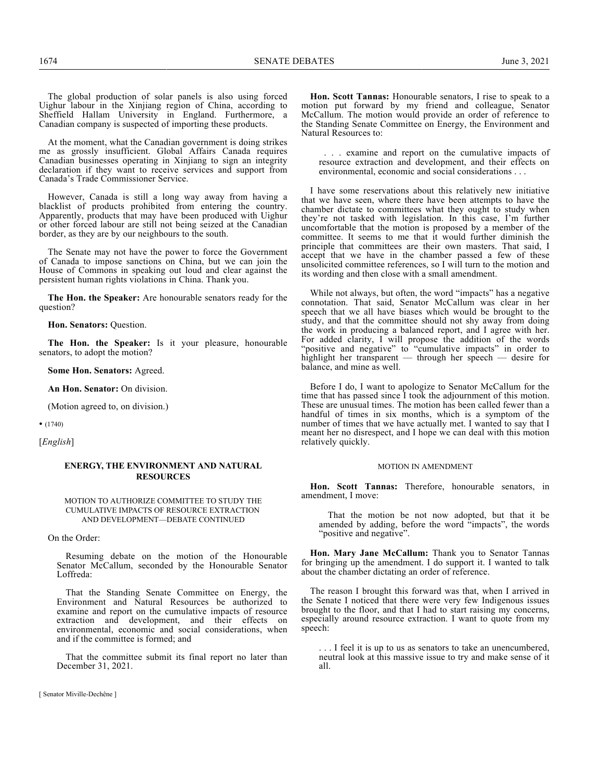The global production of solar panels is also using forced Uighur labour in the Xinjiang region of China, according to Sheffield Hallam University in England. Furthermore, a Canadian company is suspected of importing these products.

At the moment, what the Canadian government is doing strikes me as grossly insufficient. Global Affairs Canada requires Canadian businesses operating in Xinjiang to sign an integrity declaration if they want to receive services and support from Canada's Trade Commissioner Service.

However, Canada is still a long way away from having a blacklist of products prohibited from entering the country. Apparently, products that may have been produced with Uighur or other forced labour are still not being seized at the Canadian border, as they are by our neighbours to the south.

The Senate may not have the power to force the Government of Canada to impose sanctions on China, but we can join the House of Commons in speaking out loud and clear against the persistent human rights violations in China. Thank you.

**The Hon. the Speaker:** Are honourable senators ready for the question?

**Hon. Senators:** Question.

**The Hon. the Speaker:** Is it your pleasure, honourable senators, to adopt the motion?

**Some Hon. Senators:** Agreed.

**An Hon. Senator:** On division.

(Motion agreed to, on division.)

• (1740)

[*English*]

## **ENERGY, THE ENVIRONMENT AND NATURAL RESOURCES**

#### MOTION TO AUTHORIZE COMMITTEE TO STUDY THE CUMULATIVE IMPACTS OF RESOURCE EXTRACTION AND DEVELOPMENT—DEBATE CONTINUED

On the Order:

Resuming debate on the motion of the Honourable Senator McCallum, seconded by the Honourable Senator Loffreda:

That the Standing Senate Committee on Energy, the Environment and Natural Resources be authorized to examine and report on the cumulative impacts of resource extraction and development, and their effects on environmental, economic and social considerations, when and if the committee is formed; and

That the committee submit its final report no later than December 31, 2021.

[ Senator Miville-Dechêne ]

**Hon. Scott Tannas:** Honourable senators, I rise to speak to a motion put forward by my friend and colleague, Senator McCallum. The motion would provide an order of reference to the Standing Senate Committee on Energy, the Environment and Natural Resources to:

. . . examine and report on the cumulative impacts of resource extraction and development, and their effects on environmental, economic and social considerations . . .

I have some reservations about this relatively new initiative that we have seen, where there have been attempts to have the chamber dictate to committees what they ought to study when they're not tasked with legislation. In this case, I'm further uncomfortable that the motion is proposed by a member of the committee. It seems to me that it would further diminish the principle that committees are their own masters. That said, I accept that we have in the chamber passed a few of these unsolicited committee references, so I will turn to the motion and its wording and then close with a small amendment.

While not always, but often, the word "impacts" has a negative connotation. That said, Senator McCallum was clear in her speech that we all have biases which would be brought to the study, and that the committee should not shy away from doing the work in producing a balanced report, and I agree with her. For added clarity, I will propose the addition of the words "positive and negative" to "cumulative impacts" in order to highlight her transparent — through her speech — desire for balance, and mine as well.

Before I do, I want to apologize to Senator McCallum for the time that has passed since I took the adjournment of this motion. These are unusual times. The motion has been called fewer than a handful of times in six months, which is a symptom of the number of times that we have actually met. I wanted to say that I meant her no disrespect, and I hope we can deal with this motion relatively quickly.

#### MOTION IN AMENDMENT

**Hon. Scott Tannas:** Therefore, honourable senators, in amendment, I move:

That the motion be not now adopted, but that it be amended by adding, before the word "impacts", the words "positive and negative".

**Hon. Mary Jane McCallum:** Thank you to Senator Tannas for bringing up the amendment. I do support it. I wanted to talk about the chamber dictating an order of reference.

The reason I brought this forward was that, when I arrived in the Senate I noticed that there were very few Indigenous issues brought to the floor, and that I had to start raising my concerns, especially around resource extraction. I want to quote from my speech:

. . . I feel it is up to us as senators to take an unencumbered, neutral look at this massive issue to try and make sense of it all.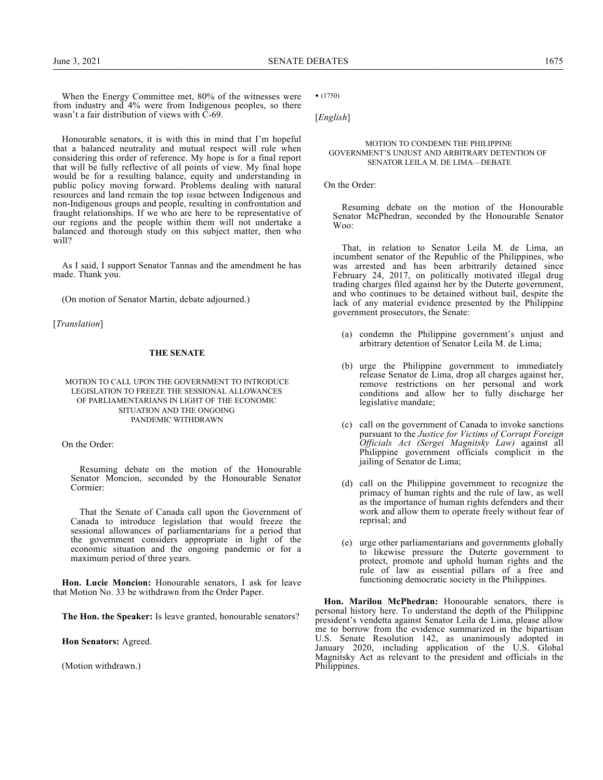When the Energy Committee met, 80% of the witnesses were from industry and 4% were from Indigenous peoples, so there wasn't a fair distribution of views with C-69.

Honourable senators, it is with this in mind that I'm hopeful that a balanced neutrality and mutual respect will rule when considering this order of reference. My hope is for a final report that will be fully reflective of all points of view. My final hope would be for a resulting balance, equity and understanding in public policy moving forward. Problems dealing with natural resources and land remain the top issue between Indigenous and non-Indigenous groups and people, resulting in confrontation and fraught relationships. If we who are here to be representative of our regions and the people within them will not undertake a balanced and thorough study on this subject matter, then who will?

As I said, I support Senator Tannas and the amendment he has made. Thank you.

(On motion of Senator Martin, debate adjourned.)

[*Translation*]

#### **THE SENATE**

#### MOTION TO CALL UPON THE GOVERNMENT TO INTRODUCE LEGISLATION TO FREEZE THE SESSIONAL ALLOWANCES OF PARLIAMENTARIANS IN LIGHT OF THE ECONOMIC SITUATION AND THE ONGOING PANDEMIC WITHDRAWN

On the Order:

Resuming debate on the motion of the Honourable Senator Moncion, seconded by the Honourable Senator Cormier:

That the Senate of Canada call upon the Government of Canada to introduce legislation that would freeze the sessional allowances of parliamentarians for a period that the government considers appropriate in light of the economic situation and the ongoing pandemic or for a maximum period of three years.

**Hon. Lucie Moncion:** Honourable senators, I ask for leave that Motion No. 33 be withdrawn from the Order Paper.

**The Hon. the Speaker:** Is leave granted, honourable senators?

**Hon Senators:** Agreed.

(Motion withdrawn.)

• (1750)

[*English*]

#### MOTION TO CONDEMN THE PHILIPPINE GOVERNMENT'S UNJUST AND ARBITRARY DETENTION OF SENATOR LEILA M. DE LIMA—DEBATE

On the Order:

Resuming debate on the motion of the Honourable Senator McPhedran, seconded by the Honourable Senator Woo:

That, in relation to Senator Leila M. de Lima, an incumbent senator of the Republic of the Philippines, who was arrested and has been arbitrarily detained since February 24, 2017, on politically motivated illegal drug trading charges filed against her by the Duterte government, and who continues to be detained without bail, despite the lack of any material evidence presented by the Philippine government prosecutors, the Senate:

- (a) condemn the Philippine government's unjust and arbitrary detention of Senator Leila M. de Lima;
- (b) urge the Philippine government to immediately release Senator de Lima, drop all charges against her, remove restrictions on her personal and work conditions and allow her to fully discharge her legislative mandate;
- (c) call on the government of Canada to invoke sanctions pursuant to the *Justice for Victims of Corrupt Foreign Officials Act (Sergei Magnitsky Law)* against all Philippine government officials complicit in the jailing of Senator de Lima;
- (d) call on the Philippine government to recognize the primacy of human rights and the rule of law, as well as the importance of human rights defenders and their work and allow them to operate freely without fear of reprisal; and
- (e) urge other parliamentarians and governments globally to likewise pressure the Duterte government to protect, promote and uphold human rights and the rule of law as essential pillars of a free and functioning democratic society in the Philippines.

**Hon. Marilou McPhedran:** Honourable senators, there is personal history here. To understand the depth of the Philippine president's vendetta against Senator Leila de Lima, please allow me to borrow from the evidence summarized in the bipartisan U.S. Senate Resolution 142, as unanimously adopted in January 2020, including application of the U.S. Global Magnitsky Act as relevant to the president and officials in the Philippines.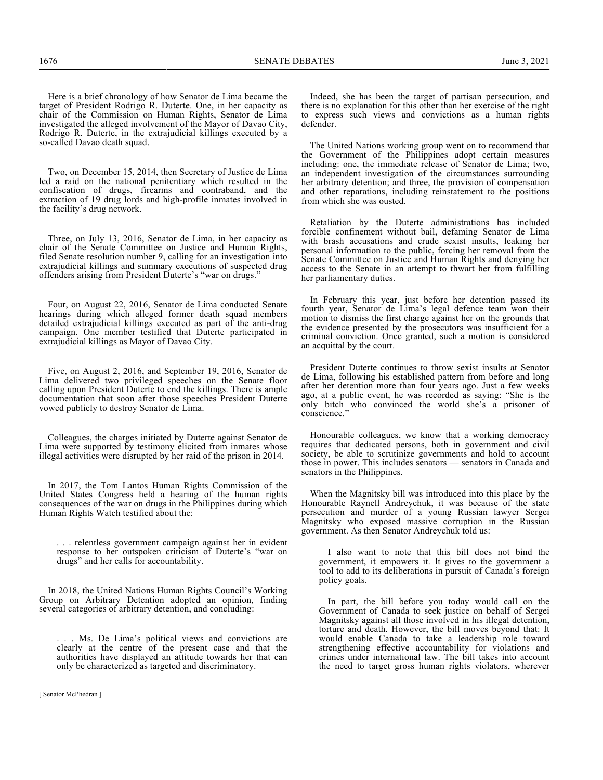Two, on December 15, 2014, then Secretary of Justice de Lima led a raid on the national penitentiary which resulted in the confiscation of drugs, firearms and contraband, and the extraction of 19 drug lords and high-profile inmates involved in the facility's drug network.

Three, on July 13, 2016, Senator de Lima, in her capacity as chair of the Senate Committee on Justice and Human Rights, filed Senate resolution number 9, calling for an investigation into extrajudicial killings and summary executions of suspected drug offenders arising from President Duterte's "war on drugs."

Four, on August 22, 2016, Senator de Lima conducted Senate hearings during which alleged former death squad members detailed extrajudicial killings executed as part of the anti-drug campaign. One member testified that Duterte participated in extrajudicial killings as Mayor of Davao City.

Five, on August 2, 2016, and September 19, 2016, Senator de Lima delivered two privileged speeches on the Senate floor calling upon President Duterte to end the killings. There is ample documentation that soon after those speeches President Duterte vowed publicly to destroy Senator de Lima.

Colleagues, the charges initiated by Duterte against Senator de Lima were supported by testimony elicited from inmates whose illegal activities were disrupted by her raid of the prison in 2014.

In 2017, the Tom Lantos Human Rights Commission of the United States Congress held a hearing of the human rights consequences of the war on drugs in the Philippines during which Human Rights Watch testified about the:

. . . relentless government campaign against her in evident response to her outspoken criticism of Duterte's "war on drugs" and her calls for accountability.

In 2018, the United Nations Human Rights Council's Working Group on Arbitrary Detention adopted an opinion, finding several categories of arbitrary detention, and concluding:

. Ms. De Lima's political views and convictions are clearly at the centre of the present case and that the authorities have displayed an attitude towards her that can only be characterized as targeted and discriminatory.

Indeed, she has been the target of partisan persecution, and there is no explanation for this other than her exercise of the right to express such views and convictions as a human rights defender.

The United Nations working group went on to recommend that the Government of the Philippines adopt certain measures including: one, the immediate release of Senator de Lima; two, an independent investigation of the circumstances surrounding her arbitrary detention; and three, the provision of compensation and other reparations, including reinstatement to the positions from which she was ousted.

Retaliation by the Duterte administrations has included forcible confinement without bail, defaming Senator de Lima with brash accusations and crude sexist insults, leaking her personal information to the public, forcing her removal from the Senate Committee on Justice and Human Rights and denying her access to the Senate in an attempt to thwart her from fulfilling her parliamentary duties.

In February this year, just before her detention passed its fourth year, Senator de Lima's legal defence team won their motion to dismiss the first charge against her on the grounds that the evidence presented by the prosecutors was insufficient for a criminal conviction. Once granted, such a motion is considered an acquittal by the court.

President Duterte continues to throw sexist insults at Senator de Lima, following his established pattern from before and long after her detention more than four years ago. Just a few weeks ago, at a public event, he was recorded as saying: "She is the only bitch who convinced the world she's a prisoner of conscience."

Honourable colleagues, we know that a working democracy requires that dedicated persons, both in government and civil society, be able to scrutinize governments and hold to account those in power. This includes senators — senators in Canada and senators in the Philippines.

When the Magnitsky bill was introduced into this place by the Honourable Raynell Andreychuk, it was because of the state persecution and murder of a young Russian lawyer Sergei Magnitsky who exposed massive corruption in the Russian government. As then Senator Andreychuk told us:

I also want to note that this bill does not bind the government, it empowers it. It gives to the government a tool to add to its deliberations in pursuit of Canada's foreign policy goals.

In part, the bill before you today would call on the Government of Canada to seek justice on behalf of Sergei Magnitsky against all those involved in his illegal detention, torture and death. However, the bill moves beyond that: It would enable Canada to take a leadership role toward strengthening effective accountability for violations and crimes under international law. The bill takes into account the need to target gross human rights violators, wherever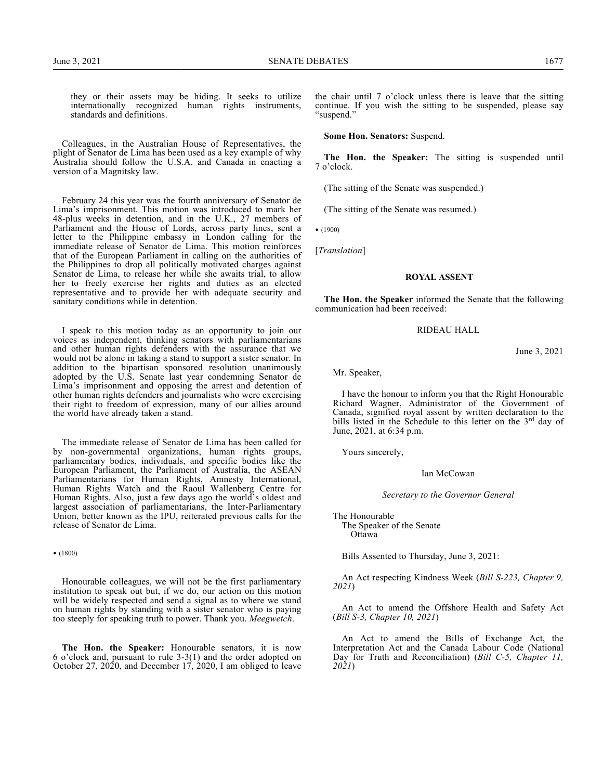they or their assets may be hiding. It seeks to utilize internationally recognized human rights instruments, standards and definitions.

Colleagues, in the Australian House of Representatives, the plight of Senator de Lima has been used as a key example of why Australia should follow the U.S.A. and Canada in enacting a version of a Magnitsky law.

February 24 this year was the fourth anniversary of Senator de Lima's imprisonment. This motion was introduced to mark her 48-plus weeks in detention, and in the U.K., 27 members of Parliament and the House of Lords, across party lines, sent a letter to the Philippine embassy in London calling for the immediate release of Senator de Lima. This motion reinforces that of the European Parliament in calling on the authorities of the Philippines to drop all politically motivated charges against Senator de Lima, to release her while she awaits trial, to allow her to freely exercise her rights and duties as an elected representative and to provide her with adequate security and sanitary conditions while in detention.

I speak to this motion today as an opportunity to join our voices as independent, thinking senators with parliamentarians and other human rights defenders with the assurance that we would not be alone in taking a stand to support a sister senator. In addition to the bipartisan sponsored resolution unanimously adopted by the U.S. Senate last year condemning Senator de Lima's imprisonment and opposing the arrest and detention of other human rights defenders and journalists who were exercising their right to freedom of expression, many of our allies around the world have already taken a stand.

The immediate release of Senator de Lima has been called for by non-governmental organizations, human rights groups, parliamentary bodies, individuals, and specific bodies like the European Parliament, the Parliament of Australia, the ASEAN Parliamentarians for Human Rights, Amnesty International, Human Rights Watch and the Raoul Wallenberg Centre for Human Rights. Also, just a few days ago the world's oldest and largest association of parliamentarians, the Inter-Parliamentary Union, better known as the IPU, reiterated previous calls for the release of Senator de Lima.

• (1800)

Honourable colleagues, we will not be the first parliamentary institution to speak out but, if we do, our action on this motion will be widely respected and send a signal as to where we stand on human rights by standing with a sister senator who is paying too steeply for speaking truth to power. Thank you. *Meegwetch*.

**The Hon. the Speaker:** Honourable senators, it is now 6 o'clock and, pursuant to rule 3-3(1) and the order adopted on October 27, 2020, and December 17, 2020, I am obliged to leave

the chair until 7 o'clock unless there is leave that the sitting continue. If you wish the sitting to be suspended, please say "suspend."

**Some Hon. Senators:** Suspend.

**The Hon. the Speaker:** The sitting is suspended until 7 o'clock.

(The sitting of the Senate was suspended.)

(The sitting of the Senate was resumed.)

• (1900)

[*Translation*]

#### **ROYAL ASSENT**

**The Hon. the Speaker** informed the Senate that the following communication had been received:

### RIDEAU HALL

June 3, 2021

Mr. Speaker,

I have the honour to inform you that the Right Honourable Richard Wagner, Administrator of the Government of Canada, signified royal assent by written declaration to the bills listed in the Schedule to this letter on the 3<sup>rd</sup> day of June, 2021, at 6:34 p.m.

Yours sincerely,

Ian McCowan

*Secretary to the Governor General*

The Honourable The Speaker of the Senate **Ottawa** 

Bills Assented to Thursday, June 3, 2021:

An Act respecting Kindness Week (*Bill S-223, Chapter 9, 2021*)

An Act to amend the Offshore Health and Safety Act (*Bill S-3, Chapter 10, 2021*)

An Act to amend the Bills of Exchange Act, the Interpretation Act and the Canada Labour Code (National Day for Truth and Reconciliation) (*Bill C-5, Chapter 11, 2021*)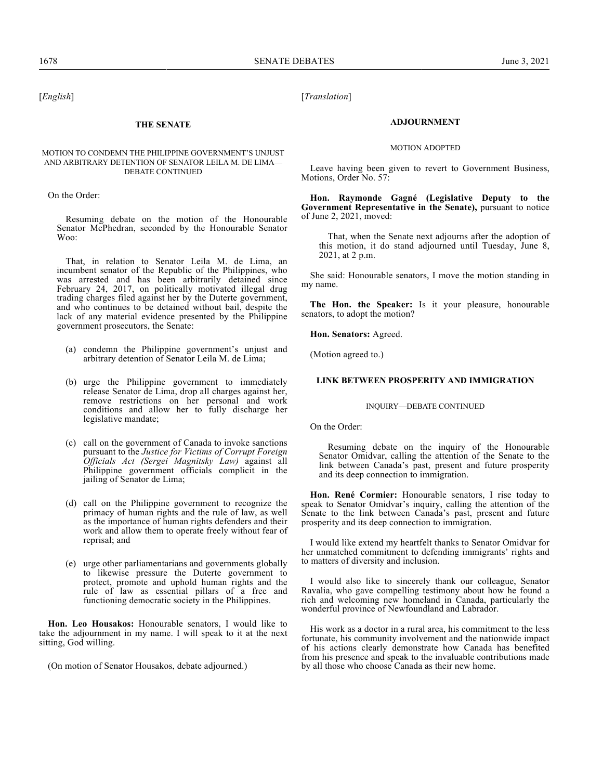[*English*]

## **THE SENATE**

### MOTION TO CONDEMN THE PHILIPPINE GOVERNMENT'S UNJUST AND ARBITRARY DETENTION OF SENATOR LEILA M. DE LIMA— DEBATE CONTINUED

On the Order:

Resuming debate on the motion of the Honourable Senator McPhedran, seconded by the Honourable Senator Woo:

That, in relation to Senator Leila M. de Lima, an incumbent senator of the Republic of the Philippines, who was arrested and has been arbitrarily detained since February 24, 2017, on politically motivated illegal drug trading charges filed against her by the Duterte government, and who continues to be detained without bail, despite the lack of any material evidence presented by the Philippine government prosecutors, the Senate:

- (a) condemn the Philippine government's unjust and arbitrary detention of Senator Leila M. de Lima;
- (b) urge the Philippine government to immediately release Senator de Lima, drop all charges against her, remove restrictions on her personal and work conditions and allow her to fully discharge her legislative mandate;
- (c) call on the government of Canada to invoke sanctions pursuant to the *Justice for Victims of Corrupt Foreign Officials Act (Sergei Magnitsky Law)* against all Philippine government officials complicit in the jailing of Senator de Lima;
- (d) call on the Philippine government to recognize the primacy of human rights and the rule of law, as well as the importance of human rights defenders and their work and allow them to operate freely without fear of reprisal; and
- (e) urge other parliamentarians and governments globally to likewise pressure the Duterte government to protect, promote and uphold human rights and the rule of law as essential pillars of a free and functioning democratic society in the Philippines.

**Hon. Leo Housakos:** Honourable senators, I would like to take the adjournment in my name. I will speak to it at the next sitting, God willing.

(On motion of Senator Housakos, debate adjourned.)

[*Translation*]

#### **ADJOURNMENT**

#### MOTION ADOPTED

Leave having been given to revert to Government Business, Motions, Order No. 57:

**Hon. Raymonde Gagné (Legislative Deputy to the Government Representative in the Senate),** pursuant to notice of June 2, 2021, moved:

That, when the Senate next adjourns after the adoption of this motion, it do stand adjourned until Tuesday, June 8, 2021, at 2 p.m.

She said: Honourable senators, I move the motion standing in my name.

**The Hon. the Speaker:** Is it your pleasure, honourable senators, to adopt the motion?

**Hon. Senators:** Agreed.

(Motion agreed to.)

## **LINK BETWEEN PROSPERITY AND IMMIGRATION**

#### INQUIRY—DEBATE CONTINUED

On the Order:

Resuming debate on the inquiry of the Honourable Senator Omidvar, calling the attention of the Senate to the link between Canada's past, present and future prosperity and its deep connection to immigration.

**Hon. René Cormier:** Honourable senators, I rise today to speak to Senator Omidvar's inquiry, calling the attention of the Senate to the link between Canada's past, present and future prosperity and its deep connection to immigration.

I would like extend my heartfelt thanks to Senator Omidvar for her unmatched commitment to defending immigrants' rights and to matters of diversity and inclusion.

I would also like to sincerely thank our colleague, Senator Ravalia, who gave compelling testimony about how he found a rich and welcoming new homeland in Canada, particularly the wonderful province of Newfoundland and Labrador.

His work as a doctor in a rural area, his commitment to the less fortunate, his community involvement and the nationwide impact of his actions clearly demonstrate how Canada has benefited from his presence and speak to the invaluable contributions made by all those who choose Canada as their new home.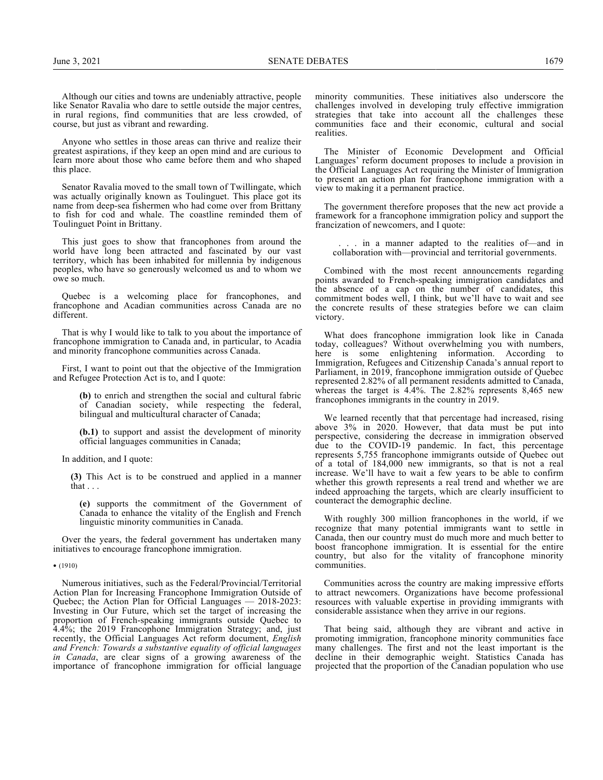Although our cities and towns are undeniably attractive, people like Senator Ravalia who dare to settle outside the major centres, in rural regions, find communities that are less crowded, of course, but just as vibrant and rewarding.

Anyone who settles in those areas can thrive and realize their greatest aspirations, if they keep an open mind and are curious to learn more about those who came before them and who shaped this place.

Senator Ravalia moved to the small town of Twillingate, which was actually originally known as Toulinguet. This place got its name from deep-sea fishermen who had come over from Brittany to fish for cod and whale. The coastline reminded them of Toulinguet Point in Brittany.

This just goes to show that francophones from around the world have long been attracted and fascinated by our vast territory, which has been inhabited for millennia by indigenous peoples, who have so generously welcomed us and to whom we owe so much.

Quebec is a welcoming place for francophones, and francophone and Acadian communities across Canada are no different.

That is why I would like to talk to you about the importance of francophone immigration to Canada and, in particular, to Acadia and minority francophone communities across Canada.

First, I want to point out that the objective of the Immigration and Refugee Protection Act is to, and I quote:

> **(b)** to enrich and strengthen the social and cultural fabric of Canadian society, while respecting the federal, bilingual and multicultural character of Canada;

> **(b.1)** to support and assist the development of minority official languages communities in Canada;

In addition, and I quote:

**(3)** This Act is to be construed and applied in a manner that . . .

**(e)** supports the commitment of the Government of Canada to enhance the vitality of the English and French linguistic minority communities in Canada.

Over the years, the federal government has undertaken many initiatives to encourage francophone immigration.

• (1910)

Numerous initiatives, such as the Federal/Provincial/Territorial Action Plan for Increasing Francophone Immigration Outside of Quebec; the Action Plan for Official Languages — 2018-2023: Investing in Our Future, which set the target of increasing the proportion of French-speaking immigrants outside Quebec to 4.4%; the 2019 Francophone Immigration Strategy; and, just recently, the Official Languages Act reform document, *English and French: Towards a substantive equality of official languages in Canada*, are clear signs of a growing awareness of the importance of francophone immigration for official language minority communities. These initiatives also underscore the challenges involved in developing truly effective immigration strategies that take into account all the challenges these communities face and their economic, cultural and social realities.

The Minister of Economic Development and Official Languages' reform document proposes to include a provision in the Official Languages Act requiring the Minister of Immigration to present an action plan for francophone immigration with a view to making it a permanent practice.

The government therefore proposes that the new act provide a framework for a francophone immigration policy and support the francization of newcomers, and I quote:

. in a manner adapted to the realities of—and in collaboration with—provincial and territorial governments.

Combined with the most recent announcements regarding points awarded to French-speaking immigration candidates and the absence of a cap on the number of candidates, this commitment bodes well, I think, but we'll have to wait and see the concrete results of these strategies before we can claim victory.

What does francophone immigration look like in Canada today, colleagues? Without overwhelming you with numbers, here is some enlightening information. According to Immigration, Refugees and Citizenship Canada's annual report to Parliament, in 2019, francophone immigration outside of Quebec represented 2.82% of all permanent residents admitted to Canada, whereas the target is 4.4%. The 2.82% represents 8,465 new francophones immigrants in the country in 2019.

We learned recently that that percentage had increased, rising above 3% in 2020. However, that data must be put into perspective, considering the decrease in immigration observed due to the COVID-19 pandemic. In fact, this percentage represents 5,755 francophone immigrants outside of Quebec out of a total of 184,000 new immigrants, so that is not a real increase. We'll have to wait a few years to be able to confirm whether this growth represents a real trend and whether we are indeed approaching the targets, which are clearly insufficient to counteract the demographic decline.

With roughly 300 million francophones in the world, if we recognize that many potential immigrants want to settle in Canada, then our country must do much more and much better to boost francophone immigration. It is essential for the entire country, but also for the vitality of francophone minority communities.

Communities across the country are making impressive efforts to attract newcomers. Organizations have become professional resources with valuable expertise in providing immigrants with considerable assistance when they arrive in our regions.

That being said, although they are vibrant and active in promoting immigration, francophone minority communities face many challenges. The first and not the least important is the decline in their demographic weight. Statistics Canada has projected that the proportion of the Canadian population who use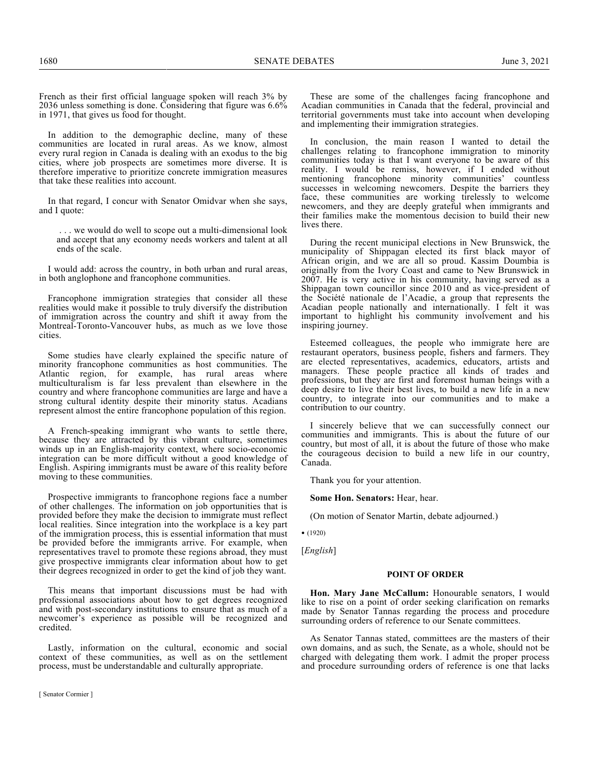French as their first official language spoken will reach 3% by 2036 unless something is done. Considering that figure was 6.6% in 1971, that gives us food for thought.

In addition to the demographic decline, many of these communities are located in rural areas. As we know, almost every rural region in Canada is dealing with an exodus to the big cities, where job prospects are sometimes more diverse. It is therefore imperative to prioritize concrete immigration measures that take these realities into account.

In that regard, I concur with Senator Omidvar when she says, and I quote:

 . . . we would do well to scope out a multi-dimensional look and accept that any economy needs workers and talent at all ends of the scale.

I would add: across the country, in both urban and rural areas, in both anglophone and francophone communities.

Francophone immigration strategies that consider all these realities would make it possible to truly diversify the distribution of immigration across the country and shift it away from the Montreal-Toronto-Vancouver hubs, as much as we love those cities.

Some studies have clearly explained the specific nature of minority francophone communities as host communities. The Atlantic region, for example, has rural areas where multiculturalism is far less prevalent than elsewhere in the country and where francophone communities are large and have a strong cultural identity despite their minority status. Acadians represent almost the entire francophone population of this region.

A French-speaking immigrant who wants to settle there, because they are attracted by this vibrant culture, sometimes winds up in an English-majority context, where socio-economic integration can be more difficult without a good knowledge of English. Aspiring immigrants must be aware of this reality before moving to these communities.

Prospective immigrants to francophone regions face a number of other challenges. The information on job opportunities that is provided before they make the decision to immigrate must reflect local realities. Since integration into the workplace is a key part of the immigration process, this is essential information that must be provided before the immigrants arrive. For example, when representatives travel to promote these regions abroad, they must give prospective immigrants clear information about how to get their degrees recognized in order to get the kind of job they want.

This means that important discussions must be had with professional associations about how to get degrees recognized and with post-secondary institutions to ensure that as much of a newcomer's experience as possible will be recognized and credited.

Lastly, information on the cultural, economic and social context of these communities, as well as on the settlement process, must be understandable and culturally appropriate.

These are some of the challenges facing francophone and Acadian communities in Canada that the federal, provincial and territorial governments must take into account when developing and implementing their immigration strategies.

In conclusion, the main reason I wanted to detail the challenges relating to francophone immigration to minority communities today is that I want everyone to be aware of this reality. I would be remiss, however, if I ended without mentioning francophone minority communities' countless successes in welcoming newcomers. Despite the barriers they face, these communities are working tirelessly to welcome newcomers, and they are deeply grateful when immigrants and their families make the momentous decision to build their new lives there.

During the recent municipal elections in New Brunswick, the municipality of Shippagan elected its first black mayor of African origin, and we are all so proud. Kassim Doumbia is originally from the Ivory Coast and came to New Brunswick in 2007. He is very active in his community, having served as a Shippagan town councillor since 2010 and as vice-president of the Société nationale de l'Acadie, a group that represents the Acadian people nationally and internationally. I felt it was important to highlight his community involvement and his inspiring journey.

Esteemed colleagues, the people who immigrate here are restaurant operators, business people, fishers and farmers. They are elected representatives, academics, educators, artists and managers. These people practice all kinds of trades and professions, but they are first and foremost human beings with a deep desire to live their best lives, to build a new life in a new country, to integrate into our communities and to make a contribution to our country.

I sincerely believe that we can successfully connect our communities and immigrants. This is about the future of our country, but most of all, it is about the future of those who make the courageous decision to build a new life in our country, Canada.

Thank you for your attention.

**Some Hon. Senators:** Hear, hear.

(On motion of Senator Martin, debate adjourned.)

• (1920)

[*English*]

## **POINT OF ORDER**

**Hon. Mary Jane McCallum:** Honourable senators, I would like to rise on a point of order seeking clarification on remarks made by Senator Tannas regarding the process and procedure surrounding orders of reference to our Senate committees.

As Senator Tannas stated, committees are the masters of their own domains, and as such, the Senate, as a whole, should not be charged with delegating them work. I admit the proper process and procedure surrounding orders of reference is one that lacks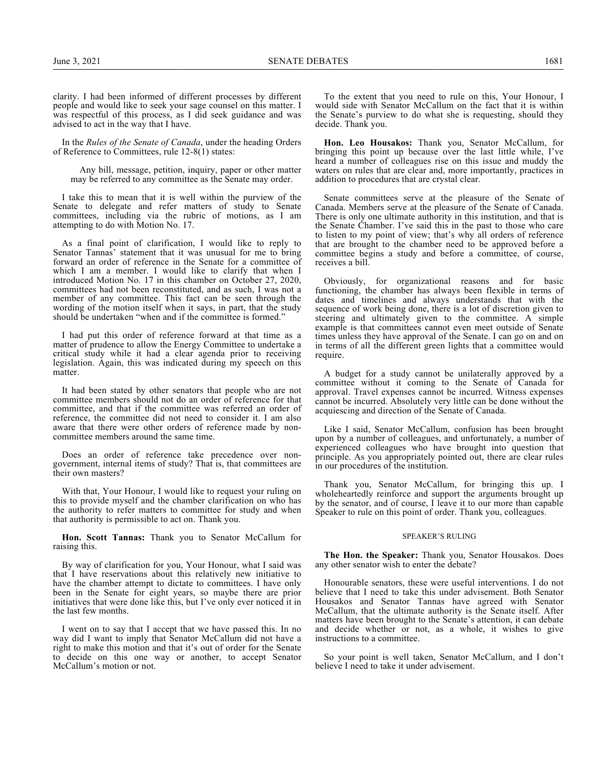clarity. I had been informed of different processes by different people and would like to seek your sage counsel on this matter. I was respectful of this process, as I did seek guidance and was advised to act in the way that I have.

In the *Rules of the Senate of Canada*, under the heading Orders of Reference to Committees, rule 12-8(1) states:

Any bill, message, petition, inquiry, paper or other matter may be referred to any committee as the Senate may order.

I take this to mean that it is well within the purview of the Senate to delegate and refer matters of study to Senate committees, including via the rubric of motions, as I am attempting to do with Motion No. 17.

As a final point of clarification, I would like to reply to Senator Tannas' statement that it was unusual for me to bring forward an order of reference in the Senate for a committee of which I am a member. I would like to clarify that when I introduced Motion No. 17 in this chamber on October 27, 2020, committees had not been reconstituted, and as such, I was not a member of any committee. This fact can be seen through the wording of the motion itself when it says, in part, that the study should be undertaken "when and if the committee is formed."

I had put this order of reference forward at that time as a matter of prudence to allow the Energy Committee to undertake a critical study while it had a clear agenda prior to receiving legislation. Again, this was indicated during my speech on this matter.

It had been stated by other senators that people who are not committee members should not do an order of reference for that committee, and that if the committee was referred an order of reference, the committee did not need to consider it. I am also aware that there were other orders of reference made by noncommittee members around the same time.

Does an order of reference take precedence over nongovernment, internal items of study? That is, that committees are their own masters?

With that, Your Honour, I would like to request your ruling on this to provide myself and the chamber clarification on who has the authority to refer matters to committee for study and when that authority is permissible to act on. Thank you.

**Hon. Scott Tannas:** Thank you to Senator McCallum for raising this.

By way of clarification for you, Your Honour, what I said was that I have reservations about this relatively new initiative to have the chamber attempt to dictate to committees. I have only been in the Senate for eight years, so maybe there are prior initiatives that were done like this, but I've only ever noticed it in the last few months.

I went on to say that I accept that we have passed this. In no way did I want to imply that Senator McCallum did not have a right to make this motion and that it's out of order for the Senate to decide on this one way or another, to accept Senator McCallum's motion or not.

To the extent that you need to rule on this, Your Honour, I would side with Senator McCallum on the fact that it is within the Senate's purview to do what she is requesting, should they decide. Thank you.

**Hon. Leo Housakos:** Thank you, Senator McCallum, for bringing this point up because over the last little while, I've heard a number of colleagues rise on this issue and muddy the waters on rules that are clear and, more importantly, practices in addition to procedures that are crystal clear.

Senate committees serve at the pleasure of the Senate of Canada. Members serve at the pleasure of the Senate of Canada. There is only one ultimate authority in this institution, and that is the Senate Chamber. I've said this in the past to those who care to listen to my point of view; that's why all orders of reference that are brought to the chamber need to be approved before a committee begins a study and before a committee, of course, receives a bill.

Obviously, for organizational reasons and for basic functioning, the chamber has always been flexible in terms of dates and timelines and always understands that with the sequence of work being done, there is a lot of discretion given to steering and ultimately given to the committee. A simple example is that committees cannot even meet outside of Senate times unless they have approval of the Senate. I can go on and on in terms of all the different green lights that a committee would require.

A budget for a study cannot be unilaterally approved by a committee without it coming to the Senate of Canada for approval. Travel expenses cannot be incurred. Witness expenses cannot be incurred. Absolutely very little can be done without the acquiescing and direction of the Senate of Canada.

Like I said, Senator McCallum, confusion has been brought upon by a number of colleagues, and unfortunately, a number of experienced colleagues who have brought into question that principle. As you appropriately pointed out, there are clear rules in our procedures of the institution.

Thank you, Senator McCallum, for bringing this up. I wholeheartedly reinforce and support the arguments brought up by the senator, and of course, I leave it to our more than capable Speaker to rule on this point of order. Thank you, colleagues.

#### SPEAKER'S RULING

**The Hon. the Speaker:** Thank you, Senator Housakos. Does any other senator wish to enter the debate?

Honourable senators, these were useful interventions. I do not believe that I need to take this under advisement. Both Senator Housakos and Senator Tannas have agreed with Senator McCallum, that the ultimate authority is the Senate itself. After matters have been brought to the Senate's attention, it can debate and decide whether or not, as a whole, it wishes to give instructions to a committee.

So your point is well taken, Senator McCallum, and I don't believe I need to take it under advisement.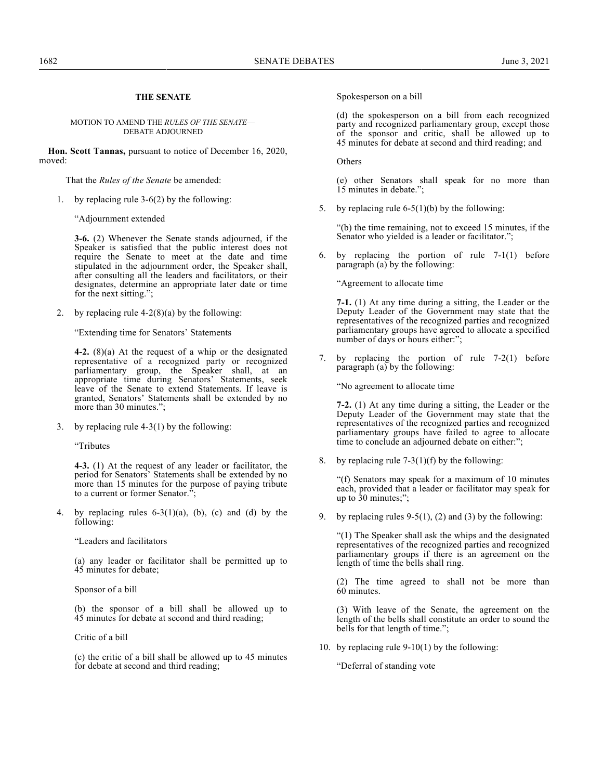## **THE SENATE**

#### MOTION TO AMEND THE *RULES OF THE SENATE*— DEBATE ADJOURNED

**Hon. Scott Tannas,** pursuant to notice of December 16, 2020, moved:

That the *Rules of the Senate* be amended:

1. by replacing rule 3-6(2) by the following:

"Adjournment extended

**3-6.** (2) Whenever the Senate stands adjourned, if the Speaker is satisfied that the public interest does not require the Senate to meet at the date and time stipulated in the adjournment order, the Speaker shall, after consulting all the leaders and facilitators, or their designates, determine an appropriate later date or time for the next sitting.";

2. by replacing rule  $4-2(8)(a)$  by the following:

"Extending time for Senators' Statements

**4-2.** (8)(a) At the request of a whip or the designated representative of a recognized party or recognized parliamentary group, the Speaker shall, at an appropriate time during Senators' Statements, seek leave of the Senate to extend Statements. If leave is granted, Senators' Statements shall be extended by no more than 30 minutes.";

3. by replacing rule 4-3(1) by the following:

"Tributes

**4-3.** (1) At the request of any leader or facilitator, the period for Senators' Statements shall be extended by no more than 15 minutes for the purpose of paying tribute to a current or former Senator.";

4. by replacing rules  $6-3(1)(a)$ ,  $(b)$ ,  $(c)$  and  $(d)$  by the following:

"Leaders and facilitators

(a) any leader or facilitator shall be permitted up to 45 minutes for debate;

Sponsor of a bill

(b) the sponsor of a bill shall be allowed up to 45 minutes for debate at second and third reading;

Critic of a bill

(c) the critic of a bill shall be allowed up to 45 minutes for debate at second and third reading;

Spokesperson on a bill

(d) the spokesperson on a bill from each recognized party and recognized parliamentary group, except those of the sponsor and critic, shall be allowed up to 45 minutes for debate at second and third reading; and

**Others** 

(e) other Senators shall speak for no more than 15 minutes in debate.";

5. by replacing rule 6-5(1)(b) by the following:

"(b) the time remaining, not to exceed 15 minutes, if the Senator who yielded is a leader or facilitator.";

6. by replacing the portion of rule 7-1(1) before paragraph (a) by the following:

"Agreement to allocate time

**7-1.** (1) At any time during a sitting, the Leader or the Deputy Leader of the Government may state that the representatives of the recognized parties and recognized parliamentary groups have agreed to allocate a specified number of days or hours either:";

7. by replacing the portion of rule 7-2(1) before paragraph (a) by the following:

"No agreement to allocate time

**7-2.** (1) At any time during a sitting, the Leader or the Deputy Leader of the Government may state that the representatives of the recognized parties and recognized parliamentary groups have failed to agree to allocate time to conclude an adjourned debate on either:";

8. by replacing rule  $7-3(1)(f)$  by the following:

"(f) Senators may speak for a maximum of 10 minutes each, provided that a leader or facilitator may speak for up to 30 minutes;";

9. by replacing rules  $9-5(1)$ , (2) and (3) by the following:

"(1) The Speaker shall ask the whips and the designated representatives of the recognized parties and recognized parliamentary groups if there is an agreement on the length of time the bells shall ring.

(2) The time agreed to shall not be more than 60 minutes.

(3) With leave of the Senate, the agreement on the length of the bells shall constitute an order to sound the bells for that length of time.";

10. by replacing rule 9-10(1) by the following:

"Deferral of standing vote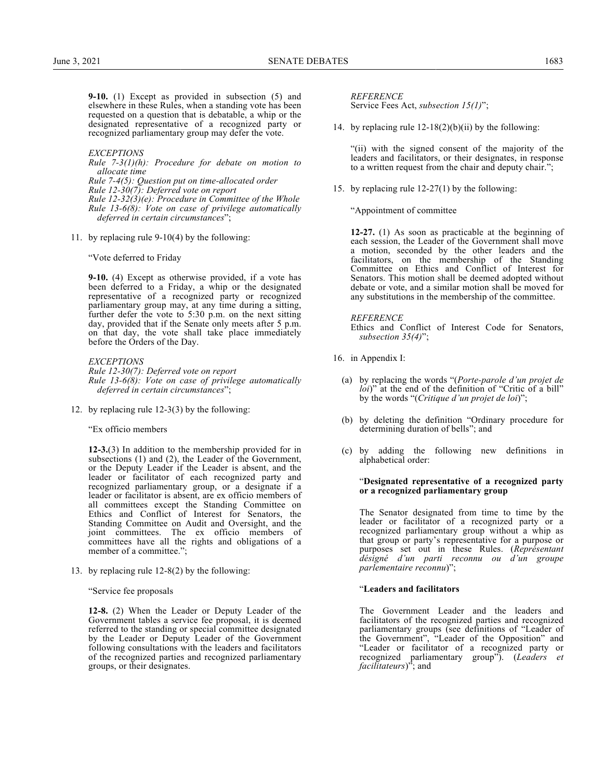**9-10.** (1) Except as provided in subsection (5) and elsewhere in these Rules, when a standing vote has been requested on a question that is debatable, a whip or the designated representative of a recognized party or recognized parliamentary group may defer the vote.

#### *EXCEPTIONS*

*Rule 7-3(1)(h): Procedure for debate on motion to allocate time*

*Rule 7-4(5): Question put on time-allocated order Rule 12-30(7): Deferred vote on report Rule 12-32(3)(e): Procedure in Committee of the Whole Rule 13-6(8): Vote on case of privilege automatically deferred in certain circumstances*";

11. by replacing rule 9-10(4) by the following:

"Vote deferred to Friday

**9-10.** (4) Except as otherwise provided, if a vote has been deferred to a Friday, a whip or the designated representative of a recognized party or recognized parliamentary group may, at any time during a sitting, further defer the vote to 5:30 p.m. on the next sitting day, provided that if the Senate only meets after 5 p.m. on that day, the vote shall take place immediately before the Orders of the Day.

*EXCEPTIONS Rule 12-30(7): Deferred vote on report Rule 13-6(8): Vote on case of privilege automatically deferred in certain circumstances*";

12. by replacing rule 12-3(3) by the following:

"Ex officio members

**12-3.**(3) In addition to the membership provided for in subsections (1) and (2), the Leader of the Government, or the Deputy Leader if the Leader is absent, and the leader or facilitator of each recognized party and recognized parliamentary group, or a designate if a leader or facilitator is absent, are ex officio members of all committees except the Standing Committee on Ethics and Conflict of Interest for Senators, the Standing Committee on Audit and Oversight, and the joint committees. The ex officio members of committees have all the rights and obligations of a member of a committee.";

13. by replacing rule 12-8(2) by the following:

"Service fee proposals

**12-8.** (2) When the Leader or Deputy Leader of the Government tables a service fee proposal, it is deemed referred to the standing or special committee designated by the Leader or Deputy Leader of the Government following consultations with the leaders and facilitators of the recognized parties and recognized parliamentary groups, or their designates.

*REFERENCE*

Service Fees Act, *subsection 15(1)*";

14. by replacing rule  $12-18(2)(b)(ii)$  by the following:

"(ii) with the signed consent of the majority of the leaders and facilitators, or their designates, in response to a written request from the chair and deputy chair.";

15. by replacing rule 12-27(1) by the following:

"Appointment of committee

**12-27.** (1) As soon as practicable at the beginning of each session, the Leader of the Government shall move a motion, seconded by the other leaders and the facilitators, on the membership of the Standing Committee on Ethics and Conflict of Interest for Senators. This motion shall be deemed adopted without debate or vote, and a similar motion shall be moved for any substitutions in the membership of the committee.

*REFERENCE*

Ethics and Conflict of Interest Code for Senators, *subsection 35(4)*";

- 16. in Appendix I:
	- (a) by replacing the words "(*Porte-parole d'un projet de loi*)" at the end of the definition of "Critic of a bill" by the words "(*Critique d'un projet de loi*)";
	- (b) by deleting the definition "Ordinary procedure for determining duration of bells"; and
	- (c) by adding the following new definitions in alphabetical order:

#### "**Designated representative of a recognized party or a recognized parliamentary group**

The Senator designated from time to time by the leader or facilitator of a recognized party or a recognized parliamentary group without a whip as that group or party's representative for a purpose or purposes set out in these Rules. (*Représentant désigné d'un parti reconnu ou d'un groupe parlementaire reconnu*)";

## "**Leaders and facilitators**

The Government Leader and the leaders and facilitators of the recognized parties and recognized parliamentary groups (see definitions of "Leader of the Government", "Leader of the Opposition" and "Leader or facilitator of a recognized party or recognized parliamentary group"). (*Leaders et facilitateurs*)"; and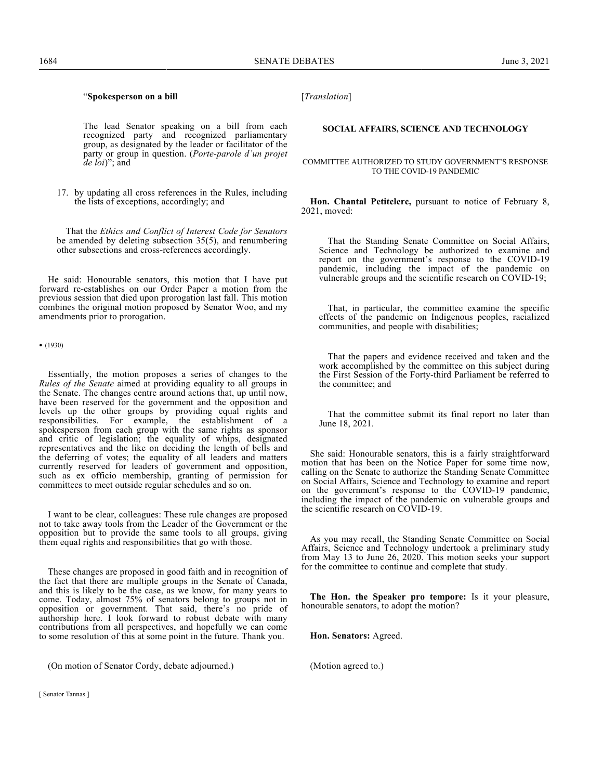## "**Spokesperson on a bill**

The lead Senator speaking on a bill from each recognized party and recognized parliamentary group, as designated by the leader or facilitator of the party or group in question. (*Porte-parole d'un projet de loi*)"; and

17. by updating all cross references in the Rules, including the lists of exceptions, accordingly; and

That the *Ethics and Conflict of Interest Code for Senators* be amended by deleting subsection 35(5), and renumbering other subsections and cross-references accordingly.

He said: Honourable senators, this motion that I have put forward re-establishes on our Order Paper a motion from the previous session that died upon prorogation last fall. This motion combines the original motion proposed by Senator Woo, and my amendments prior to prorogation.

• (1930)

Essentially, the motion proposes a series of changes to the *Rules of the Senate* aimed at providing equality to all groups in the Senate. The changes centre around actions that, up until now, have been reserved for the government and the opposition and levels up the other groups by providing equal rights and responsibilities. For example, the establishment of a spokesperson from each group with the same rights as sponsor and critic of legislation; the equality of whips, designated representatives and the like on deciding the length of bells and the deferring of votes; the equality of all leaders and matters currently reserved for leaders of government and opposition, such as ex officio membership, granting of permission for committees to meet outside regular schedules and so on.

I want to be clear, colleagues: These rule changes are proposed not to take away tools from the Leader of the Government or the opposition but to provide the same tools to all groups, giving them equal rights and responsibilities that go with those.

These changes are proposed in good faith and in recognition of the fact that there are multiple groups in the Senate of Canada, and this is likely to be the case, as we know, for many years to come. Today, almost 75% of senators belong to groups not in opposition or government. That said, there's no pride of authorship here. I look forward to robust debate with many contributions from all perspectives, and hopefully we can come to some resolution of this at some point in the future. Thank you.

(On motion of Senator Cordy, debate adjourned.)

#### **SOCIAL AFFAIRS, SCIENCE AND TECHNOLOGY**

COMMITTEE AUTHORIZED TO STUDY GOVERNMENT'S RESPONSE TO THE COVID-19 PANDEMIC

**Hon. Chantal Petitclerc,** pursuant to notice of February 8, 2021, moved:

That the Standing Senate Committee on Social Affairs, Science and Technology be authorized to examine and report on the government's response to the COVID-19 pandemic, including the impact of the pandemic on vulnerable groups and the scientific research on COVID-19;

That, in particular, the committee examine the specific effects of the pandemic on Indigenous peoples, racialized communities, and people with disabilities;

That the papers and evidence received and taken and the work accomplished by the committee on this subject during the First Session of the Forty-third Parliament be referred to the committee; and

That the committee submit its final report no later than June 18, 2021.

She said: Honourable senators, this is a fairly straightforward motion that has been on the Notice Paper for some time now, calling on the Senate to authorize the Standing Senate Committee on Social Affairs, Science and Technology to examine and report on the government's response to the COVID-19 pandemic, including the impact of the pandemic on vulnerable groups and the scientific research on COVID-19.

As you may recall, the Standing Senate Committee on Social Affairs, Science and Technology undertook a preliminary study from May 13 to June 26, 2020. This motion seeks your support for the committee to continue and complete that study.

**The Hon. the Speaker pro tempore:** Is it your pleasure, honourable senators, to adopt the motion?

**Hon. Senators:** Agreed.

(Motion agreed to.)

[ Senator Tannas ]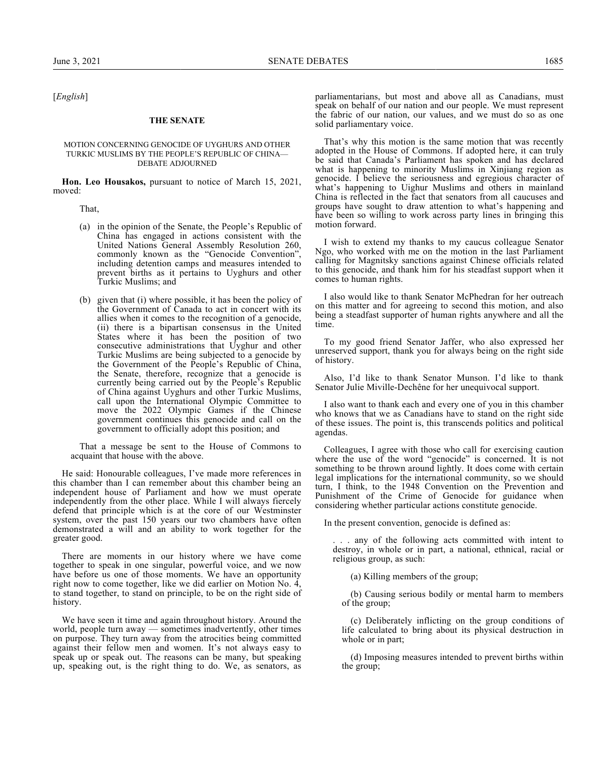[*English*]

#### **THE SENATE**

### MOTION CONCERNING GENOCIDE OF UYGHURS AND OTHER TURKIC MUSLIMS BY THE PEOPLE'S REPUBLIC OF CHINA— DEBATE ADJOURNED

**Hon. Leo Housakos,** pursuant to notice of March 15, 2021, moved:

That,

- (a) in the opinion of the Senate, the People's Republic of China has engaged in actions consistent with the United Nations General Assembly Resolution 260, commonly known as the "Genocide Convention", including detention camps and measures intended to prevent births as it pertains to Uyghurs and other Turkic Muslims; and
- (b) given that (i) where possible, it has been the policy of the Government of Canada to act in concert with its allies when it comes to the recognition of a genocide, (ii) there is a bipartisan consensus in the United States where it has been the position of two consecutive administrations that Uyghur and other Turkic Muslims are being subjected to a genocide by the Government of the People's Republic of China, the Senate, therefore, recognize that a genocide is currently being carried out by the People's Republic of China against Uyghurs and other Turkic Muslims, call upon the International Olympic Committee to move the 2022 Olympic Games if the Chinese government continues this genocide and call on the government to officially adopt this position; and

That a message be sent to the House of Commons to acquaint that house with the above.

He said: Honourable colleagues, I've made more references in this chamber than I can remember about this chamber being an independent house of Parliament and how we must operate independently from the other place. While I will always fiercely defend that principle which is at the core of our Westminster system, over the past 150 years our two chambers have often demonstrated a will and an ability to work together for the greater good.

There are moments in our history where we have come together to speak in one singular, powerful voice, and we now have before us one of those moments. We have an opportunity right now to come together, like we did earlier on Motion No. 4, to stand together, to stand on principle, to be on the right side of history.

We have seen it time and again throughout history. Around the world, people turn away — sometimes inadvertently, other times on purpose. They turn away from the atrocities being committed against their fellow men and women. It's not always easy to speak up or speak out. The reasons can be many, but speaking up, speaking out, is the right thing to do. We, as senators, as parliamentarians, but most and above all as Canadians, must speak on behalf of our nation and our people. We must represent the fabric of our nation, our values, and we must do so as one solid parliamentary voice.

That's why this motion is the same motion that was recently adopted in the House of Commons. If adopted here, it can truly be said that Canada's Parliament has spoken and has declared what is happening to minority Muslims in Xinjiang region as genocide. I believe the seriousness and egregious character of what's happening to Uighur Muslims and others in mainland China is reflected in the fact that senators from all caucuses and groups have sought to draw attention to what's happening and have been so willing to work across party lines in bringing this motion forward.

I wish to extend my thanks to my caucus colleague Senator Ngo, who worked with me on the motion in the last Parliament calling for Magnitsky sanctions against Chinese officials related to this genocide, and thank him for his steadfast support when it comes to human rights.

I also would like to thank Senator McPhedran for her outreach on this matter and for agreeing to second this motion, and also being a steadfast supporter of human rights anywhere and all the time.

To my good friend Senator Jaffer, who also expressed her unreserved support, thank you for always being on the right side of history.

Also, I'd like to thank Senator Munson. I'd like to thank Senator Julie Miville-Dechêne for her unequivocal support.

I also want to thank each and every one of you in this chamber who knows that we as Canadians have to stand on the right side of these issues. The point is, this transcends politics and political agendas.

Colleagues, I agree with those who call for exercising caution where the use of the word "genocide" is concerned. It is not something to be thrown around lightly. It does come with certain legal implications for the international community, so we should turn, I think, to the 1948 Convention on the Prevention and Punishment of the Crime of Genocide for guidance when considering whether particular actions constitute genocide.

In the present convention, genocide is defined as:

. . . any of the following acts committed with intent to destroy, in whole or in part, a national, ethnical, racial or religious group, as such:

(a) Killing members of the group;

(b) Causing serious bodily or mental harm to members of the group;

(c) Deliberately inflicting on the group conditions of life calculated to bring about its physical destruction in whole or in part;

(d) Imposing measures intended to prevent births within the group;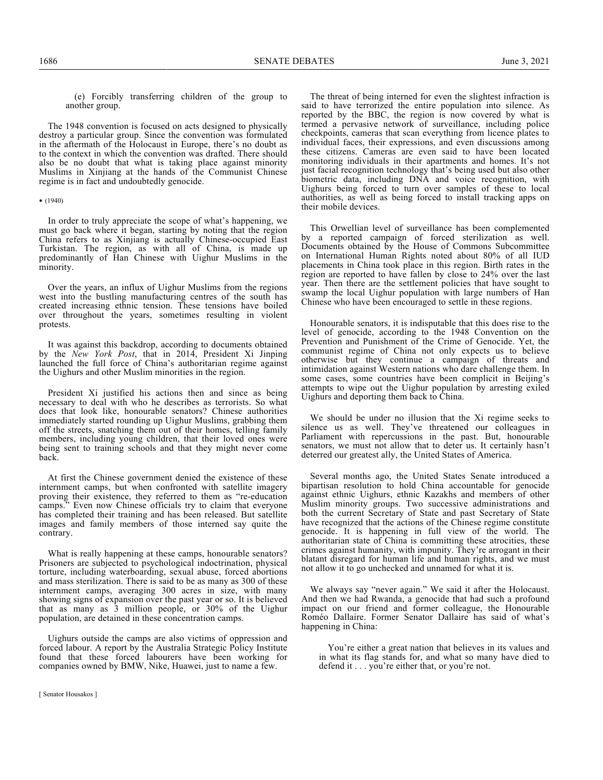(e) Forcibly transferring children of the group to another group.

The 1948 convention is focused on acts designed to physically destroy a particular group. Since the convention was formulated in the aftermath of the Holocaust in Europe, there's no doubt as to the context in which the convention was drafted. There should also be no doubt that what is taking place against minority Muslims in Xinjiang at the hands of the Communist Chinese regime is in fact and undoubtedly genocide.

#### • (1940)

In order to truly appreciate the scope of what's happening, we must go back where it began, starting by noting that the region China refers to as Xinjiang is actually Chinese-occupied East Turkistan. The region, as with all of China, is made up predominantly of Han Chinese with Uighur Muslims in the minority.

Over the years, an influx of Uighur Muslims from the regions west into the bustling manufacturing centres of the south has created increasing ethnic tension. These tensions have boiled over throughout the years, sometimes resulting in violent protests.

It was against this backdrop, according to documents obtained by the *New York Post*, that in 2014, President Xi Jinping launched the full force of China's authoritarian regime against the Uighurs and other Muslim minorities in the region.

President Xi justified his actions then and since as being necessary to deal with who he describes as terrorists. So what does that look like, honourable senators? Chinese authorities immediately started rounding up Uighur Muslims, grabbing them off the streets, snatching them out of their homes, telling family members, including young children, that their loved ones were being sent to training schools and that they might never come back.

At first the Chinese government denied the existence of these internment camps, but when confronted with satellite imagery proving their existence, they referred to them as "re-education camps." Even now Chinese officials try to claim that everyone has completed their training and has been released. But satellite images and family members of those interned say quite the contrary.

What is really happening at these camps, honourable senators? Prisoners are subjected to psychological indoctrination, physical torture, including waterboarding, sexual abuse, forced abortions and mass sterilization. There is said to be as many as 300 of these internment camps, averaging 300 acres in size, with many showing signs of expansion over the past year or so. It is believed that as many as 3 million people, or 30% of the Uighur population, are detained in these concentration camps.

Uighurs outside the camps are also victims of oppression and forced labour. A report by the Australia Strategic Policy Institute found that these forced labourers have been working for companies owned by BMW, Nike, Huawei, just to name a few.

The threat of being interned for even the slightest infraction is said to have terrorized the entire population into silence. As reported by the BBC, the region is now covered by what is termed a pervasive network of surveillance, including police checkpoints, cameras that scan everything from licence plates to individual faces, their expressions, and even discussions among these citizens. Cameras are even said to have been located monitoring individuals in their apartments and homes. It's not just facial recognition technology that's being used but also other biometric data, including DNA and voice recognition, with Uighurs being forced to turn over samples of these to local authorities, as well as being forced to install tracking apps on their mobile devices.

This Orwellian level of surveillance has been complemented by a reported campaign of forced sterilization as well. Documents obtained by the House of Commons Subcommittee on International Human Rights noted about 80% of all IUD placements in China took place in this region. Birth rates in the region are reported to have fallen by close to 24% over the last year. Then there are the settlement policies that have sought to swamp the local Uighur population with large numbers of Han Chinese who have been encouraged to settle in these regions.

Honourable senators, it is indisputable that this does rise to the level of genocide, according to the 1948 Convention on the Prevention and Punishment of the Crime of Genocide. Yet, the communist regime of China not only expects us to believe otherwise but they continue a campaign of threats and intimidation against Western nations who dare challenge them. In some cases, some countries have been complicit in Beijing's attempts to wipe out the Uighur population by arresting exiled Uighurs and deporting them back to China.

We should be under no illusion that the Xi regime seeks to silence us as well. They've threatened our colleagues in Parliament with repercussions in the past. But, honourable senators, we must not allow that to deter us. It certainly hasn't deterred our greatest ally, the United States of America.

Several months ago, the United States Senate introduced a bipartisan resolution to hold China accountable for genocide against ethnic Uighurs, ethnic Kazakhs and members of other Muslim minority groups. Two successive administrations and both the current Secretary of State and past Secretary of State have recognized that the actions of the Chinese regime constitute genocide. It is happening in full view of the world. The authoritarian state of China is committing these atrocities, these crimes against humanity, with impunity. They're arrogant in their blatant disregard for human life and human rights, and we must not allow it to go unchecked and unnamed for what it is.

We always say "never again." We said it after the Holocaust. And then we had Rwanda, a genocide that had such a profound impact on our friend and former colleague, the Honourable Roméo Dallaire. Former Senator Dallaire has said of what's happening in China:

You're either a great nation that believes in its values and in what its flag stands for, and what so many have died to defend it . . . you're either that, or you're not.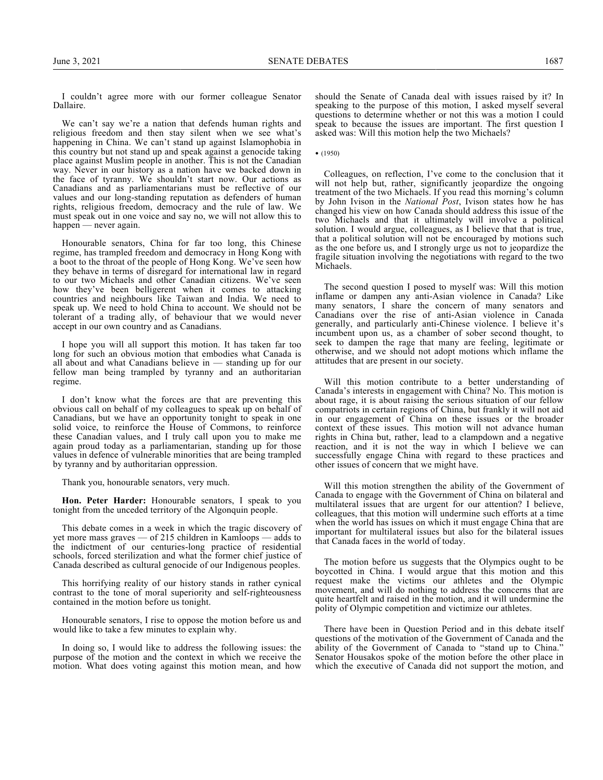I couldn't agree more with our former colleague Senator Dallaire.

We can't say we're a nation that defends human rights and religious freedom and then stay silent when we see what's happening in China. We can't stand up against Islamophobia in this country but not stand up and speak against a genocide taking place against Muslim people in another. This is not the Canadian way. Never in our history as a nation have we backed down in the face of tyranny. We shouldn't start now. Our actions as Canadians and as parliamentarians must be reflective of our values and our long-standing reputation as defenders of human rights, religious freedom, democracy and the rule of law. We must speak out in one voice and say no, we will not allow this to happen — never again.

Honourable senators, China for far too long, this Chinese regime, has trampled freedom and democracy in Hong Kong with a boot to the throat of the people of Hong Kong. We've seen how they behave in terms of disregard for international law in regard to our two Michaels and other Canadian citizens. We've seen how they've been belligerent when it comes to attacking countries and neighbours like Taiwan and India. We need to speak up. We need to hold China to account. We should not be tolerant of a trading ally, of behaviour that we would never accept in our own country and as Canadians.

I hope you will all support this motion. It has taken far too long for such an obvious motion that embodies what Canada is all about and what Canadians believe in — standing up for our fellow man being trampled by tyranny and an authoritarian regime.

I don't know what the forces are that are preventing this obvious call on behalf of my colleagues to speak up on behalf of Canadians, but we have an opportunity tonight to speak in one solid voice, to reinforce the House of Commons, to reinforce these Canadian values, and I truly call upon you to make me again proud today as a parliamentarian, standing up for those values in defence of vulnerable minorities that are being trampled by tyranny and by authoritarian oppression.

Thank you, honourable senators, very much.

**Hon. Peter Harder:** Honourable senators, I speak to you tonight from the unceded territory of the Algonquin people.

This debate comes in a week in which the tragic discovery of yet more mass graves — of 215 children in Kamloops — adds to the indictment of our centuries-long practice of residential schools, forced sterilization and what the former chief justice of Canada described as cultural genocide of our Indigenous peoples.

This horrifying reality of our history stands in rather cynical contrast to the tone of moral superiority and self-righteousness contained in the motion before us tonight.

Honourable senators, I rise to oppose the motion before us and would like to take a few minutes to explain why.

In doing so, I would like to address the following issues: the purpose of the motion and the context in which we receive the motion. What does voting against this motion mean, and how

should the Senate of Canada deal with issues raised by it? In speaking to the purpose of this motion, I asked myself several questions to determine whether or not this was a motion I could speak to because the issues are important. The first question I asked was: Will this motion help the two Michaels?

• (1950)

Colleagues, on reflection, I've come to the conclusion that it will not help but, rather, significantly jeopardize the ongoing treatment of the two Michaels. If you read this morning's column by John Ivison in the *National Post*, Ivison states how he has changed his view on how Canada should address this issue of the two Michaels and that it ultimately will involve a political solution. I would argue, colleagues, as I believe that that is true, that a political solution will not be encouraged by motions such as the one before us, and I strongly urge us not to jeopardize the fragile situation involving the negotiations with regard to the two Michaels.

The second question I posed to myself was: Will this motion inflame or dampen any anti-Asian violence in Canada? Like many senators, I share the concern of many senators and Canadians over the rise of anti-Asian violence in Canada generally, and particularly anti-Chinese violence. I believe it's incumbent upon us, as a chamber of sober second thought, to seek to dampen the rage that many are feeling, legitimate or otherwise, and we should not adopt motions which inflame the attitudes that are present in our society.

Will this motion contribute to a better understanding of Canada's interests in engagement with China? No. This motion is about rage, it is about raising the serious situation of our fellow compatriots in certain regions of China, but frankly it will not aid in our engagement of China on these issues or the broader context of these issues. This motion will not advance human rights in China but, rather, lead to a clampdown and a negative reaction, and it is not the way in which I believe we can successfully engage China with regard to these practices and other issues of concern that we might have.

Will this motion strengthen the ability of the Government of Canada to engage with the Government of China on bilateral and multilateral issues that are urgent for our attention? I believe, colleagues, that this motion will undermine such efforts at a time when the world has issues on which it must engage China that are important for multilateral issues but also for the bilateral issues that Canada faces in the world of today.

The motion before us suggests that the Olympics ought to be boycotted in China. I would argue that this motion and this request make the victims our athletes and the Olympic movement, and will do nothing to address the concerns that are quite heartfelt and raised in the motion, and it will undermine the polity of Olympic competition and victimize our athletes.

There have been in Question Period and in this debate itself questions of the motivation of the Government of Canada and the ability of the Government of Canada to "stand up to China." Senator Housakos spoke of the motion before the other place in which the executive of Canada did not support the motion, and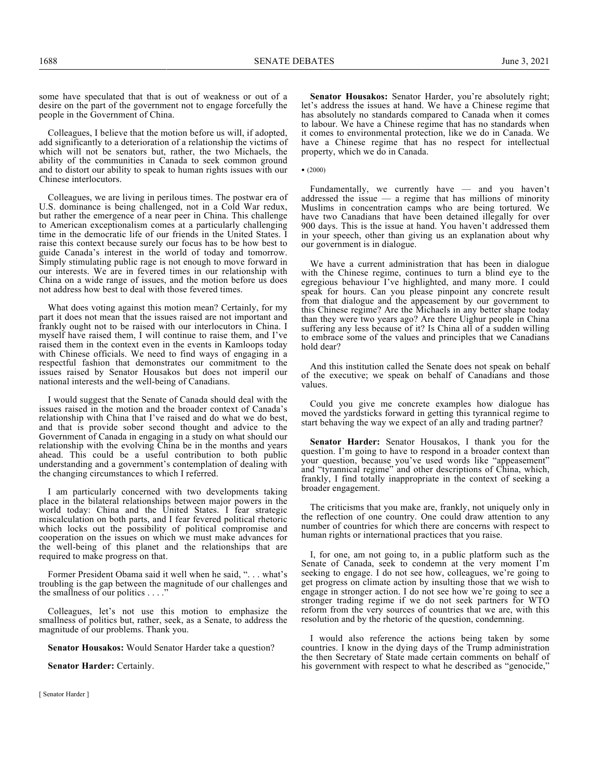some have speculated that that is out of weakness or out of a desire on the part of the government not to engage forcefully the people in the Government of China.

Colleagues, I believe that the motion before us will, if adopted, add significantly to a deterioration of a relationship the victims of which will not be senators but, rather, the two Michaels, the ability of the communities in Canada to seek common ground and to distort our ability to speak to human rights issues with our Chinese interlocutors.

Colleagues, we are living in perilous times. The postwar era of U.S. dominance is being challenged, not in a Cold War redux, but rather the emergence of a near peer in China. This challenge to American exceptionalism comes at a particularly challenging time in the democratic life of our friends in the United States. I raise this context because surely our focus has to be how best to guide Canada's interest in the world of today and tomorrow. Simply stimulating public rage is not enough to move forward in our interests. We are in fevered times in our relationship with China on a wide range of issues, and the motion before us does not address how best to deal with those fevered times.

What does voting against this motion mean? Certainly, for my part it does not mean that the issues raised are not important and frankly ought not to be raised with our interlocutors in China. I myself have raised them, I will continue to raise them, and I've raised them in the context even in the events in Kamloops today with Chinese officials. We need to find ways of engaging in a respectful fashion that demonstrates our commitment to the issues raised by Senator Housakos but does not imperil our national interests and the well-being of Canadians.

I would suggest that the Senate of Canada should deal with the issues raised in the motion and the broader context of Canada's relationship with China that I've raised and do what we do best, and that is provide sober second thought and advice to the Government of Canada in engaging in a study on what should our relationship with the evolving China be in the months and years ahead. This could be a useful contribution to both public understanding and a government's contemplation of dealing with the changing circumstances to which I referred.

I am particularly concerned with two developments taking place in the bilateral relationships between major powers in the world today: China and the United States. I fear strategic miscalculation on both parts, and I fear fevered political rhetoric which locks out the possibility of political compromise and cooperation on the issues on which we must make advances for the well-being of this planet and the relationships that are required to make progress on that.

Former President Obama said it well when he said, ". . . what's troubling is the gap between the magnitude of our challenges and the smallness of our politics . . . ."

Colleagues, let's not use this motion to emphasize the smallness of politics but, rather, seek, as a Senate, to address the magnitude of our problems. Thank you.

**Senator Housakos:** Would Senator Harder take a question?

**Senator Harder:** Certainly.

**Senator Housakos:** Senator Harder, you're absolutely right; let's address the issues at hand. We have a Chinese regime that has absolutely no standards compared to Canada when it comes to labour. We have a Chinese regime that has no standards when it comes to environmental protection, like we do in Canada. We have a Chinese regime that has no respect for intellectual property, which we do in Canada.

•  $(2000)$ 

Fundamentally, we currently have — and you haven't addressed the issue — a regime that has millions of minority Muslims in concentration camps who are being tortured. We have two Canadians that have been detained illegally for over 900 days. This is the issue at hand. You haven't addressed them in your speech, other than giving us an explanation about why our government is in dialogue.

We have a current administration that has been in dialogue with the Chinese regime, continues to turn a blind eye to the egregious behaviour I've highlighted, and many more. I could speak for hours. Can you please pinpoint any concrete result from that dialogue and the appeasement by our government to this Chinese regime? Are the Michaels in any better shape today than they were two years ago? Are there Uighur people in China suffering any less because of it? Is China all of a sudden willing to embrace some of the values and principles that we Canadians hold dear?

And this institution called the Senate does not speak on behalf of the executive; we speak on behalf of Canadians and those values.

Could you give me concrete examples how dialogue has moved the yardsticks forward in getting this tyrannical regime to start behaving the way we expect of an ally and trading partner?

**Senator Harder:** Senator Housakos, I thank you for the question. I'm going to have to respond in a broader context than your question, because you've used words like "appeasement" and "tyrannical regime" and other descriptions of China, which, frankly, I find totally inappropriate in the context of seeking a broader engagement.

The criticisms that you make are, frankly, not uniquely only in the reflection of one country. One could draw attention to any number of countries for which there are concerns with respect to human rights or international practices that you raise.

I, for one, am not going to, in a public platform such as the Senate of Canada, seek to condemn at the very moment I'm seeking to engage. I do not see how, colleagues, we're going to get progress on climate action by insulting those that we wish to engage in stronger action. I do not see how we're going to see a stronger trading regime if we do not seek partners for WTO reform from the very sources of countries that we are, with this resolution and by the rhetoric of the question, condemning.

I would also reference the actions being taken by some countries. I know in the dying days of the Trump administration the then Secretary of State made certain comments on behalf of his government with respect to what he described as "genocide,"

[ Senator Harder ]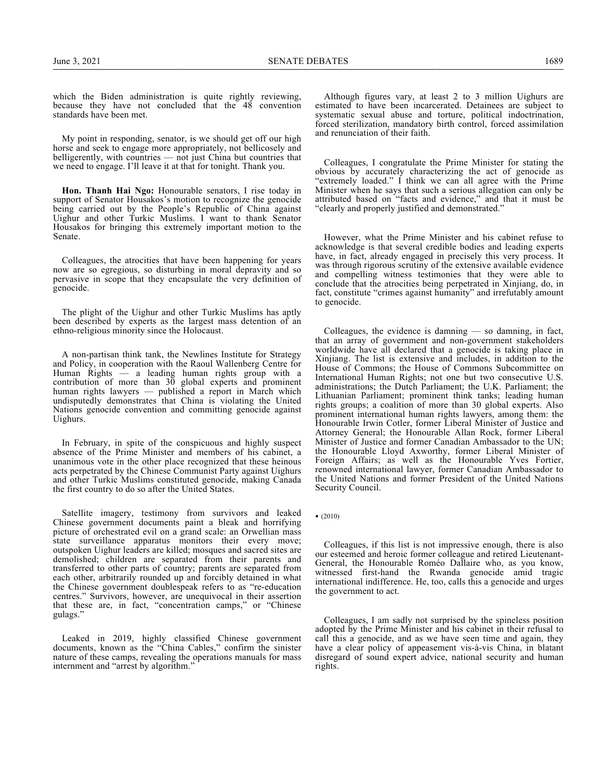which the Biden administration is quite rightly reviewing, because they have not concluded that the 48 convention standards have been met.

My point in responding, senator, is we should get off our high horse and seek to engage more appropriately, not bellicosely and belligerently, with countries — not just China but countries that we need to engage. I'll leave it at that for tonight. Thank you.

**Hon. Thanh Hai Ngo:** Honourable senators, I rise today in support of Senator Housakos's motion to recognize the genocide being carried out by the People's Republic of China against Uighur and other Turkic Muslims. I want to thank Senator Housakos for bringing this extremely important motion to the Senate.

Colleagues, the atrocities that have been happening for years now are so egregious, so disturbing in moral depravity and so pervasive in scope that they encapsulate the very definition of genocide.

The plight of the Uighur and other Turkic Muslims has aptly been described by experts as the largest mass detention of an ethno-religious minority since the Holocaust.

A non-partisan think tank, the Newlines Institute for Strategy and Policy, in cooperation with the Raoul Wallenberg Centre for Human Rights — a leading human rights group with a contribution of more than 30 global experts and prominent human rights lawyers — published a report in March which undisputedly demonstrates that China is violating the United Nations genocide convention and committing genocide against Uighurs.

In February, in spite of the conspicuous and highly suspect absence of the Prime Minister and members of his cabinet, a unanimous vote in the other place recognized that these heinous acts perpetrated by the Chinese Communist Party against Uighurs and other Turkic Muslims constituted genocide, making Canada the first country to do so after the United States.

Satellite imagery, testimony from survivors and leaked Chinese government documents paint a bleak and horrifying picture of orchestrated evil on a grand scale: an Orwellian mass state surveillance apparatus monitors their every move; outspoken Uighur leaders are killed; mosques and sacred sites are demolished; children are separated from their parents and transferred to other parts of country; parents are separated from each other, arbitrarily rounded up and forcibly detained in what the Chinese government doublespeak refers to as "re-education centres." Survivors, however, are unequivocal in their assertion that these are, in fact, "concentration camps," or "Chinese gulags."

Leaked in 2019, highly classified Chinese government documents, known as the "China Cables," confirm the sinister nature of these camps, revealing the operations manuals for mass internment and "arrest by algorithm."

Although figures vary, at least 2 to 3 million Uighurs are estimated to have been incarcerated. Detainees are subject to systematic sexual abuse and torture, political indoctrination, forced sterilization, mandatory birth control, forced assimilation and renunciation of their faith.

Colleagues, I congratulate the Prime Minister for stating the obvious by accurately characterizing the act of genocide as "extremely loaded." I think we can all agree with the Prime Minister when he says that such a serious allegation can only be attributed based on "facts and evidence," and that it must be "clearly and properly justified and demonstrated."

However, what the Prime Minister and his cabinet refuse to acknowledge is that several credible bodies and leading experts have, in fact, already engaged in precisely this very process. It was through rigorous scrutiny of the extensive available evidence and compelling witness testimonies that they were able to conclude that the atrocities being perpetrated in Xinjiang, do, in fact, constitute "crimes against humanity" and irrefutably amount to genocide.

Colleagues, the evidence is damning  $-$  so damning, in fact, that an array of government and non-government stakeholders worldwide have all declared that a genocide is taking place in Xinjiang. The list is extensive and includes, in addition to the House of Commons; the House of Commons Subcommittee on International Human Rights; not one but two consecutive U.S. administrations; the Dutch Parliament; the U.K. Parliament; the Lithuanian Parliament; prominent think tanks; leading human rights groups; a coalition of more than 30 global experts. Also prominent international human rights lawyers, among them: the Honourable Irwin Cotler, former Liberal Minister of Justice and Attorney General; the Honourable Allan Rock, former Liberal Minister of Justice and former Canadian Ambassador to the UN; the Honourable Lloyd Axworthy, former Liberal Minister of Foreign Affairs; as well as the Honourable Yves Fortier, renowned international lawyer, former Canadian Ambassador to the United Nations and former President of the United Nations Security Council.

• (2010)

Colleagues, if this list is not impressive enough, there is also our esteemed and heroic former colleague and retired Lieutenant-General, the Honourable Roméo Dallaire who, as you know, witnessed first-hand the Rwanda genocide amid tragic international indifference. He, too, calls this a genocide and urges the government to act.

Colleagues, I am sadly not surprised by the spineless position adopted by the Prime Minister and his cabinet in their refusal to call this a genocide, and as we have seen time and again, they have a clear policy of appeasement vis-à-vis China, in blatant disregard of sound expert advice, national security and human rights.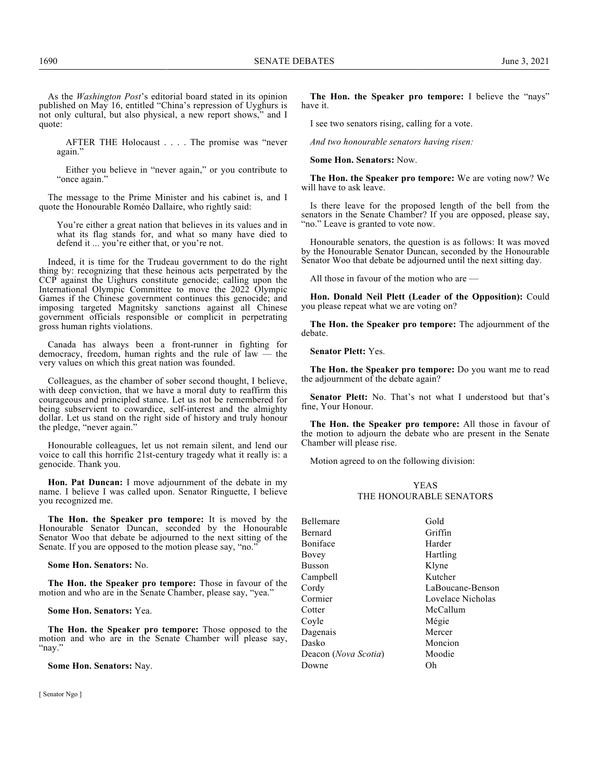AFTER THE Holocaust . . . . The promise was "never again."

Either you believe in "never again," or you contribute to "once again."

The message to the Prime Minister and his cabinet is, and I quote the Honourable Roméo Dallaire, who rightly said:

You're either a great nation that believes in its values and in what its flag stands for, and what so many have died to defend it ... you're either that, or you're not.

Indeed, it is time for the Trudeau government to do the right thing by: recognizing that these heinous acts perpetrated by the CCP against the Uighurs constitute genocide; calling upon the International Olympic Committee to move the 2022 Olympic Games if the Chinese government continues this genocide; and imposing targeted Magnitsky sanctions against all Chinese government officials responsible or complicit in perpetrating gross human rights violations.

Canada has always been a front-runner in fighting for democracy, freedom, human rights and the rule of law — the very values on which this great nation was founded.

Colleagues, as the chamber of sober second thought, I believe, with deep conviction, that we have a moral duty to reaffirm this courageous and principled stance. Let us not be remembered for being subservient to cowardice, self-interest and the almighty dollar. Let us stand on the right side of history and truly honour the pledge, "never again."

Honourable colleagues, let us not remain silent, and lend our voice to call this horrific 21st-century tragedy what it really is: a genocide. Thank you.

**Hon. Pat Duncan:** I move adjournment of the debate in my name. I believe I was called upon. Senator Ringuette, I believe you recognized me.

**The Hon. the Speaker pro tempore:** It is moved by the Honourable Senator Duncan, seconded by the Honourable Senator Woo that debate be adjourned to the next sitting of the Senate. If you are opposed to the motion please say, "no."

**Some Hon. Senators:** No.

**The Hon. the Speaker pro tempore:** Those in favour of the motion and who are in the Senate Chamber, please say, "yea."

**Some Hon. Senators:** Yea.

**The Hon. the Speaker pro tempore:** Those opposed to the motion and who are in the Senate Chamber will please say, "nay."

**Some Hon. Senators:** Nay.

[ Senator Ngo ]

**The Hon. the Speaker pro tempore:** I believe the "nays" have it.

I see two senators rising, calling for a vote.

*And two honourable senators having risen:*

**Some Hon. Senators:** Now.

**The Hon. the Speaker pro tempore:** We are voting now? We will have to ask leave.

Is there leave for the proposed length of the bell from the senators in the Senate Chamber? If you are opposed, please say, "no." Leave is granted to vote now.

Honourable senators, the question is as follows: It was moved by the Honourable Senator Duncan, seconded by the Honourable Senator Woo that debate be adjourned until the next sitting day.

All those in favour of the motion who are —

**Hon. Donald Neil Plett (Leader of the Opposition):** Could you please repeat what we are voting on?

**The Hon. the Speaker pro tempore:** The adjournment of the debate.

**Senator Plett:** Yes.

**The Hon. the Speaker pro tempore:** Do you want me to read the adjournment of the debate again?

**Senator Plett:** No. That's not what I understood but that's fine, Your Honour.

**The Hon. the Speaker pro tempore:** All those in favour of the motion to adjourn the debate who are present in the Senate Chamber will please rise.

Motion agreed to on the following division:

## YEAS THE HONOURABLE SENATORS

| <b>Bellemare</b>     | Gold              |
|----------------------|-------------------|
| Bernard              | Griffin           |
| Boniface             | Harder            |
| Bovey                | Hartling          |
| <b>Busson</b>        | Klyne             |
| Campbell             | Kutcher           |
| Cordy                | LaBoucane-Benson  |
| Cormier              | Lovelace Nicholas |
| Cotter               | McCallum          |
| Coyle                | Mégie             |
| Dagenais             | Mercer            |
| Dasko                | Moncion           |
| Deacon (Nova Scotia) | Moodie            |
| Downe                | Oh                |
|                      |                   |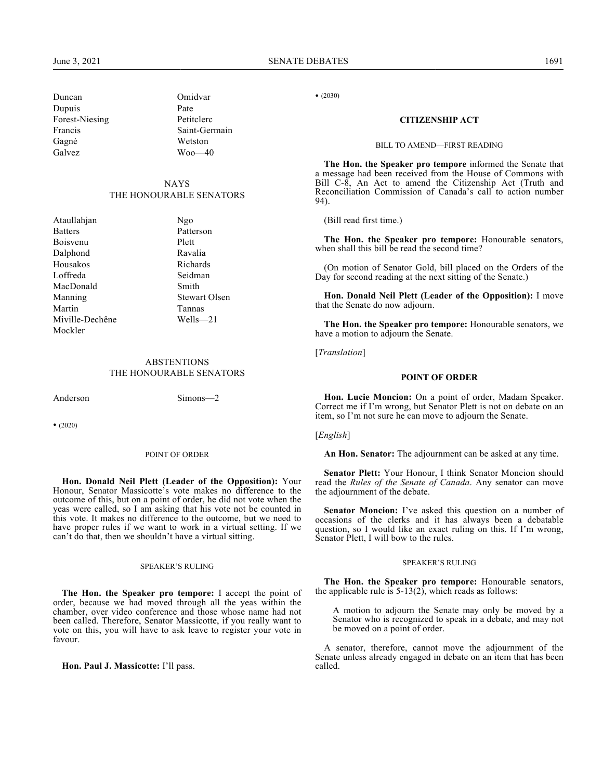## **NAYS** THE HONOURABLE SENATORS

| Ataullahjan     | Ngo                  |
|-----------------|----------------------|
| <b>Batters</b>  | Patterson            |
| Boisvenu        | Plett                |
| Dalphond        | Ravalia              |
| Housakos        | Richards             |
| Loffreda        | Seidman              |
| MacDonald       | Smith                |
| Manning         | <b>Stewart Olsen</b> |
| Martin          | Tannas               |
| Miville-Dechêne | Wells—21             |
| Mockler         |                      |

## **ABSTENTIONS** THE HONOURABLE SENATORS

Anderson Simons—2

• (2020)

#### POINT OF ORDER

**Hon. Donald Neil Plett (Leader of the Opposition):** Your Honour, Senator Massicotte's vote makes no difference to the outcome of this, but on a point of order, he did not vote when the yeas were called, so I am asking that his vote not be counted in this vote. It makes no difference to the outcome, but we need to have proper rules if we want to work in a virtual setting. If we can't do that, then we shouldn't have a virtual sitting.

#### SPEAKER'S RULING

**The Hon. the Speaker pro tempore:** I accept the point of order, because we had moved through all the yeas within the chamber, over video conference and those whose name had not been called. Therefore, Senator Massicotte, if you really want to vote on this, you will have to ask leave to register your vote in favour.

**Hon. Paul J. Massicotte:** I'll pass.

• (2030)

## **CITIZENSHIP ACT**

#### BILL TO AMEND—FIRST READING

**The Hon. the Speaker pro tempore** informed the Senate that a message had been received from the House of Commons with Bill C-8, An Act to amend the Citizenship Act (Truth and Reconciliation Commission of Canada's call to action number 94).

(Bill read first time.)

**The Hon. the Speaker pro tempore:** Honourable senators, when shall this bill be read the second time?

(On motion of Senator Gold, bill placed on the Orders of the Day for second reading at the next sitting of the Senate.)

**Hon. Donald Neil Plett (Leader of the Opposition):** I move that the Senate do now adjourn.

**The Hon. the Speaker pro tempore:** Honourable senators, we have a motion to adjourn the Senate.

[*Translation*]

## **POINT OF ORDER**

**Hon. Lucie Moncion:** On a point of order, Madam Speaker. Correct me if I'm wrong, but Senator Plett is not on debate on an item, so I'm not sure he can move to adjourn the Senate.

[*English*]

**An Hon. Senator:** The adjournment can be asked at any time.

**Senator Plett:** Your Honour, I think Senator Moncion should read the *Rules of the Senate of Canada*. Any senator can move the adjournment of the debate.

**Senator Moncion:** I've asked this question on a number of occasions of the clerks and it has always been a debatable question, so I would like an exact ruling on this. If I'm wrong, Senator Plett, I will bow to the rules.

#### SPEAKER'S RULING

**The Hon. the Speaker pro tempore:** Honourable senators, the applicable rule is  $5-13(2)$ , which reads as follows:

A motion to adjourn the Senate may only be moved by a Senator who is recognized to speak in a debate, and may not be moved on a point of order.

A senator, therefore, cannot move the adjournment of the Senate unless already engaged in debate on an item that has been called.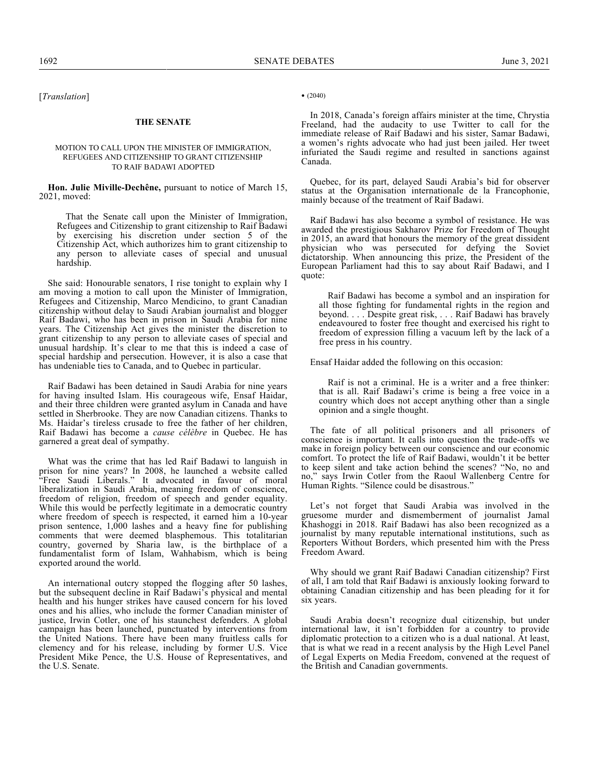[*Translation*]

#### **THE SENATE**

#### MOTION TO CALL UPON THE MINISTER OF IMMIGRATION, REFUGEES AND CITIZENSHIP TO GRANT CITIZENSHIP TO RAIF BADAWI ADOPTED

**Hon. Julie Miville-Dechêne,** pursuant to notice of March 15, 2021, moved:

That the Senate call upon the Minister of Immigration, Refugees and Citizenship to grant citizenship to Raif Badawi by exercising his discretion under section 5 of the Citizenship Act, which authorizes him to grant citizenship to any person to alleviate cases of special and unusual hardship.

She said: Honourable senators, I rise tonight to explain why I am moving a motion to call upon the Minister of Immigration, Refugees and Citizenship, Marco Mendicino, to grant Canadian citizenship without delay to Saudi Arabian journalist and blogger Raif Badawi, who has been in prison in Saudi Arabia for nine years. The Citizenship Act gives the minister the discretion to grant citizenship to any person to alleviate cases of special and unusual hardship. It's clear to me that this is indeed a case of special hardship and persecution. However, it is also a case that has undeniable ties to Canada, and to Quebec in particular.

Raif Badawi has been detained in Saudi Arabia for nine years for having insulted Islam. His courageous wife, Ensaf Haidar, and their three children were granted asylum in Canada and have settled in Sherbrooke. They are now Canadian citizens. Thanks to Ms. Haidar's tireless crusade to free the father of her children, Raif Badawi has become a *cause célèbre* in Quebec. He has garnered a great deal of sympathy.

What was the crime that has led Raif Badawi to languish in prison for nine years? In 2008, he launched a website called "Free Saudi Liberals." It advocated in favour of moral liberalization in Saudi Arabia, meaning freedom of conscience, freedom of religion, freedom of speech and gender equality. While this would be perfectly legitimate in a democratic country where freedom of speech is respected, it earned him a 10-year prison sentence, 1,000 lashes and a heavy fine for publishing comments that were deemed blasphemous. This totalitarian country, governed by Sharia law, is the birthplace of a fundamentalist form of Islam, Wahhabism, which is being exported around the world.

An international outcry stopped the flogging after 50 lashes, but the subsequent decline in Raif Badawi's physical and mental health and his hunger strikes have caused concern for his loved ones and his allies, who include the former Canadian minister of justice, Irwin Cotler, one of his staunchest defenders. A global campaign has been launched, punctuated by interventions from the United Nations. There have been many fruitless calls for clemency and for his release, including by former U.S. Vice President Mike Pence, the U.S. House of Representatives, and the U.S. Senate.

## • (2040)

In 2018, Canada's foreign affairs minister at the time, Chrystia Freeland, had the audacity to use Twitter to call for the immediate release of Raif Badawi and his sister, Samar Badawi, a women's rights advocate who had just been jailed. Her tweet infuriated the Saudi regime and resulted in sanctions against Canada.

Quebec, for its part, delayed Saudi Arabia's bid for observer status at the Organisation internationale de la Francophonie, mainly because of the treatment of Raif Badawi.

Raif Badawi has also become a symbol of resistance. He was awarded the prestigious Sakharov Prize for Freedom of Thought in 2015, an award that honours the memory of the great dissident physician who was persecuted for defying the Soviet dictatorship. When announcing this prize, the President of the European Parliament had this to say about Raif Badawi, and I quote:

Raif Badawi has become a symbol and an inspiration for all those fighting for fundamental rights in the region and beyond. . . . Despite great risk, . . . Raif Badawi has bravely endeavoured to foster free thought and exercised his right to freedom of expression filling a vacuum left by the lack of a free press in his country.

Ensaf Haidar added the following on this occasion:

Raif is not a criminal. He is a writer and a free thinker: that is all. Raif Badawi's crime is being a free voice in a country which does not accept anything other than a single opinion and a single thought.

The fate of all political prisoners and all prisoners of conscience is important. It calls into question the trade-offs we make in foreign policy between our conscience and our economic comfort. To protect the life of Raif Badawi, wouldn't it be better to keep silent and take action behind the scenes? "No, no and no," says Irwin Cotler from the Raoul Wallenberg Centre for Human Rights. "Silence could be disastrous."

Let's not forget that Saudi Arabia was involved in the gruesome murder and dismemberment of journalist Jamal Khashoggi in 2018. Raif Badawi has also been recognized as a journalist by many reputable international institutions, such as Reporters Without Borders, which presented him with the Press Freedom Award.

Why should we grant Raif Badawi Canadian citizenship? First of all, I am told that Raif Badawi is anxiously looking forward to obtaining Canadian citizenship and has been pleading for it for six years.

Saudi Arabia doesn't recognize dual citizenship, but under international law, it isn't forbidden for a country to provide diplomatic protection to a citizen who is a dual national. At least, that is what we read in a recent analysis by the High Level Panel of Legal Experts on Media Freedom, convened at the request of the British and Canadian governments.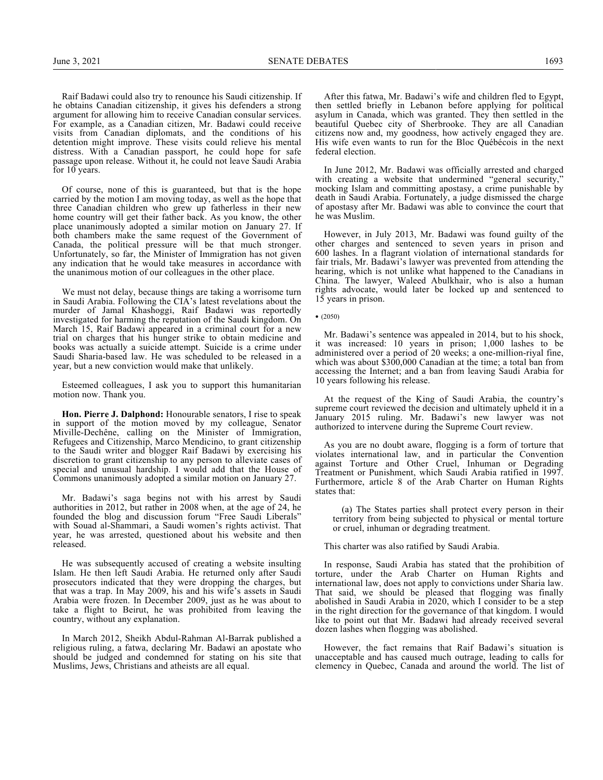Raif Badawi could also try to renounce his Saudi citizenship. If he obtains Canadian citizenship, it gives his defenders a strong argument for allowing him to receive Canadian consular services. For example, as a Canadian citizen, Mr. Badawi could receive visits from Canadian diplomats, and the conditions of his detention might improve. These visits could relieve his mental distress. With a Canadian passport, he could hope for safe passage upon release. Without it, he could not leave Saudi Arabia for 10 years.

Of course, none of this is guaranteed, but that is the hope carried by the motion I am moving today, as well as the hope that three Canadian children who grew up fatherless in their new home country will get their father back. As you know, the other place unanimously adopted a similar motion on January 27. If both chambers make the same request of the Government of Canada, the political pressure will be that much stronger. Unfortunately, so far, the Minister of Immigration has not given any indication that he would take measures in accordance with the unanimous motion of our colleagues in the other place.

We must not delay, because things are taking a worrisome turn in Saudi Arabia. Following the CIA's latest revelations about the murder of Jamal Khashoggi, Raif Badawi was reportedly investigated for harming the reputation of the Saudi kingdom. On March 15, Raif Badawi appeared in a criminal court for a new trial on charges that his hunger strike to obtain medicine and books was actually a suicide attempt. Suicide is a crime under Saudi Sharia-based law. He was scheduled to be released in a year, but a new conviction would make that unlikely.

Esteemed colleagues, I ask you to support this humanitarian motion now. Thank you.

**Hon. Pierre J. Dalphond:** Honourable senators, I rise to speak in support of the motion moved by my colleague, Senator Miville-Dechêne, calling on the Minister of Immigration, Refugees and Citizenship, Marco Mendicino, to grant citizenship to the Saudi writer and blogger Raif Badawi by exercising his discretion to grant citizenship to any person to alleviate cases of special and unusual hardship. I would add that the House of Commons unanimously adopted a similar motion on January 27.

Mr. Badawi's saga begins not with his arrest by Saudi authorities in 2012, but rather in 2008 when, at the age of 24, he founded the blog and discussion forum "Free Saudi Liberals" with Souad al-Shammari, a Saudi women's rights activist. That year, he was arrested, questioned about his website and then released.

He was subsequently accused of creating a website insulting Islam. He then left Saudi Arabia. He returned only after Saudi prosecutors indicated that they were dropping the charges, but that was a trap. In May 2009, his and his wife's assets in Saudi Arabia were frozen. In December 2009, just as he was about to take a flight to Beirut, he was prohibited from leaving the country, without any explanation.

In March 2012, Sheikh Abdul-Rahman Al-Barrak published a religious ruling, a fatwa, declaring Mr. Badawi an apostate who should be judged and condemned for stating on his site that Muslims, Jews, Christians and atheists are all equal.

After this fatwa, Mr. Badawi's wife and children fled to Egypt, then settled briefly in Lebanon before applying for political asylum in Canada, which was granted. They then settled in the beautiful Quebec city of Sherbrooke. They are all Canadian citizens now and, my goodness, how actively engaged they are. His wife even wants to run for the Bloc Québécois in the next federal election.

In June 2012, Mr. Badawi was officially arrested and charged with creating a website that undermined "general security," mocking Islam and committing apostasy, a crime punishable by death in Saudi Arabia. Fortunately, a judge dismissed the charge of apostasy after Mr. Badawi was able to convince the court that he was Muslim.

However, in July 2013, Mr. Badawi was found guilty of the other charges and sentenced to seven years in prison and 600 lashes. In a flagrant violation of international standards for fair trials, Mr. Badawi's lawyer was prevented from attending the hearing, which is not unlike what happened to the Canadians in China. The lawyer, Waleed Abulkhair, who is also a human rights advocate, would later be locked up and sentenced to 15 years in prison.

• (2050)

Mr. Badawi's sentence was appealed in 2014, but to his shock, it was increased: 10 years in prison; 1,000 lashes to be administered over a period of 20 weeks; a one-million-riyal fine, which was about \$300,000 Canadian at the time; a total ban from accessing the Internet; and a ban from leaving Saudi Arabia for 10 years following his release.

At the request of the King of Saudi Arabia, the country's supreme court reviewed the decision and ultimately upheld it in a January 2015 ruling. Mr. Badawi's new lawyer was not authorized to intervene during the Supreme Court review.

As you are no doubt aware, flogging is a form of torture that violates international law, and in particular the Convention against Torture and Other Cruel, Inhuman or Degrading Treatment or Punishment, which Saudi Arabia ratified in 1997. Furthermore, article 8 of the Arab Charter on Human Rights states that:

(a) The States parties shall protect every person in their territory from being subjected to physical or mental torture or cruel, inhuman or degrading treatment.

This charter was also ratified by Saudi Arabia.

In response, Saudi Arabia has stated that the prohibition of torture, under the Arab Charter on Human Rights and international law, does not apply to convictions under Sharia law. That said, we should be pleased that flogging was finally abolished in Saudi Arabia in 2020, which I consider to be a step in the right direction for the governance of that kingdom. I would like to point out that Mr. Badawi had already received several dozen lashes when flogging was abolished.

However, the fact remains that Raif Badawi's situation is unacceptable and has caused much outrage, leading to calls for clemency in Quebec, Canada and around the world. The list of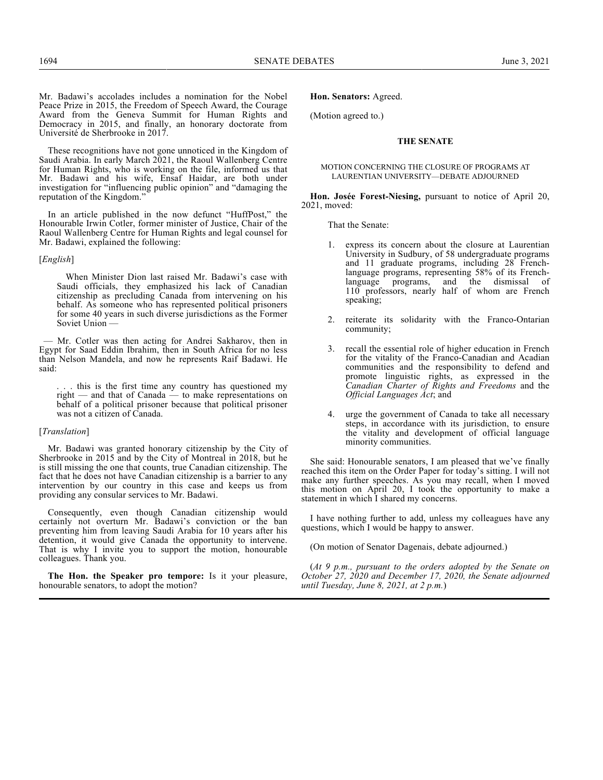Mr. Badawi's accolades includes a nomination for the Nobel Peace Prize in 2015, the Freedom of Speech Award, the Courage Award from the Geneva Summit for Human Rights and Democracy in 2015, and finally, an honorary doctorate from Université de Sherbrooke in 2017.

These recognitions have not gone unnoticed in the Kingdom of Saudi Arabia. In early March 2021, the Raoul Wallenberg Centre for Human Rights, who is working on the file, informed us that Mr. Badawi and his wife, Ensaf Haidar, are both under investigation for "influencing public opinion" and "damaging the reputation of the Kingdom."

In an article published in the now defunct "HuffPost," the Honourable Irwin Cotler, former minister of Justice, Chair of the Raoul Wallenberg Centre for Human Rights and legal counsel for Mr. Badawi, explained the following:

## [*English*]

When Minister Dion last raised Mr. Badawi's case with Saudi officials, they emphasized his lack of Canadian citizenship as precluding Canada from intervening on his behalf. As someone who has represented political prisoners for some 40 years in such diverse jurisdictions as the Former Soviet Union —

— Mr. Cotler was then acting for Andrei Sakharov, then in Egypt for Saad Eddin Ibrahim, then in South Africa for no less than Nelson Mandela, and now he represents Raif Badawi. He said:

.. this is the first time any country has questioned my right — and that of Canada — to make representations on behalf of a political prisoner because that political prisoner was not a citizen of Canada.

### [*Translation*]

Mr. Badawi was granted honorary citizenship by the City of Sherbrooke in 2015 and by the City of Montreal in 2018, but he is still missing the one that counts, true Canadian citizenship. The fact that he does not have Canadian citizenship is a barrier to any intervention by our country in this case and keeps us from providing any consular services to Mr. Badawi.

Consequently, even though Canadian citizenship would certainly not overturn Mr. Badawi's conviction or the ban preventing him from leaving Saudi Arabia for 10 years after his detention, it would give Canada the opportunity to intervene. That is why I invite you to support the motion, honourable colleagues. Thank you.

**The Hon. the Speaker pro tempore:** Is it your pleasure, honourable senators, to adopt the motion?

## **Hon. Senators:** Agreed.

(Motion agreed to.)

### **THE SENATE**

#### MOTION CONCERNING THE CLOSURE OF PROGRAMS AT LAURENTIAN UNIVERSITY—DEBATE ADJOURNED

**Hon. Josée Forest-Niesing,** pursuant to notice of April 20, 2021, moved:

That the Senate:

- 1. express its concern about the closure at Laurentian University in Sudbury, of 58 undergraduate programs and 11 graduate programs, including 28 Frenchlanguage programs, representing 58% of its Frenchlanguage programs, and the dismissal of 110 professors, nearly half of whom are French speaking;
- reiterate its solidarity with the Franco-Ontarian community;
- 3. recall the essential role of higher education in French for the vitality of the Franco-Canadian and Acadian communities and the responsibility to defend and promote linguistic rights, as expressed in the *Canadian Charter of Rights and Freedoms* and the *Official Languages Act*; and
- 4. urge the government of Canada to take all necessary steps, in accordance with its jurisdiction, to ensure the vitality and development of official language minority communities.

She said: Honourable senators, I am pleased that we've finally reached this item on the Order Paper for today's sitting. I will not make any further speeches. As you may recall, when I moved this motion on April 20, I took the opportunity to make a statement in which I shared my concerns.

I have nothing further to add, unless my colleagues have any questions, which I would be happy to answer.

(On motion of Senator Dagenais, debate adjourned.)

(*At 9 p.m., pursuant to the orders adopted by the Senate on October 27, 2020 and December 17, 2020, the Senate adjourned until Tuesday, June 8, 2021, at 2 p.m.*)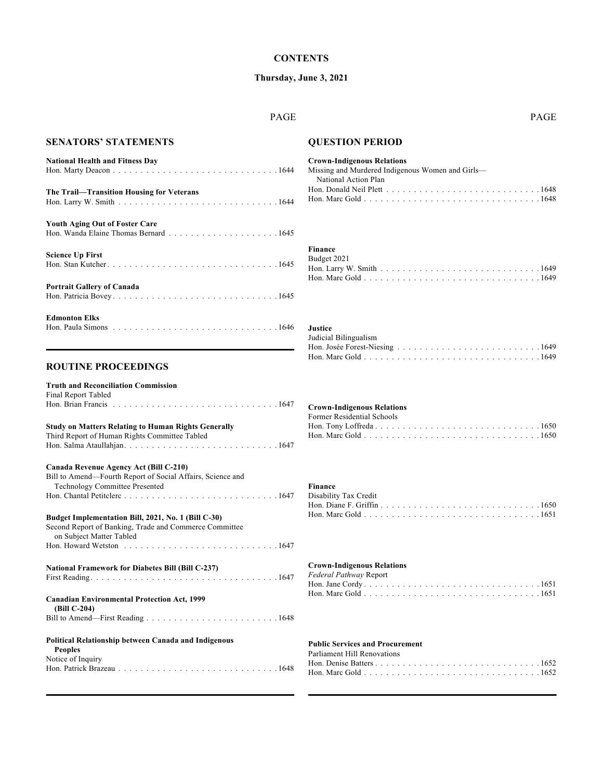## **Thursday, June 3, 2021**

## PAGE PAGE

# **SENATORS' STATEMENTS**

| <b>National Health and Fitness Day</b>    |
|-------------------------------------------|
| The Trail—Transition Housing for Veterans |
| <b>Youth Aging Out of Foster Care</b>     |
| <b>Science Up First</b>                   |
| <b>Portrait Gallery of Canada</b>         |

| <b>Edmonton Elks</b>                                                                             |  |  |  |  |  |  |  |  |  |  |  |  |  |  |  |  |
|--------------------------------------------------------------------------------------------------|--|--|--|--|--|--|--|--|--|--|--|--|--|--|--|--|
| Hon. Paula Simons $\dots \dots \dots \dots \dots \dots \dots \dots \dots \dots \dots \dots 1646$ |  |  |  |  |  |  |  |  |  |  |  |  |  |  |  |  |

## **ROUTINE PROCEEDINGS**

| <b>Truth and Reconciliation Commission</b>                                                                                                |
|-------------------------------------------------------------------------------------------------------------------------------------------|
| Final Report Tabled                                                                                                                       |
|                                                                                                                                           |
| <b>Study on Matters Relating to Human Rights Generally</b><br>Third Report of Human Rights Committee Tabled                               |
|                                                                                                                                           |
| Canada Revenue Agency Act (Bill C-210)                                                                                                    |
| Bill to Amend-Fourth Report of Social Affairs, Science and<br><b>Technology Committee Presented</b>                                       |
|                                                                                                                                           |
| Budget Implementation Bill, 2021, No. 1 (Bill C-30)<br>Second Report of Banking, Trade and Commerce Committee<br>on Subject Matter Tabled |
| Hon. Howard Wetston $\ldots$ , $\ldots$ , $\ldots$ , $\ldots$ , $\ldots$ , $\ldots$ , $\ldots$ , $\ldots$ , $\ldots$                      |
| <b>National Framework for Diabetes Bill (Bill C-237)</b>                                                                                  |
|                                                                                                                                           |
| <b>Canadian Environmental Protection Act, 1999</b><br>(Bill C-204)                                                                        |
|                                                                                                                                           |
| Political Relationship between Canada and Indigenous<br><b>Peoples</b>                                                                    |
| Notice of Inquiry                                                                                                                         |
|                                                                                                                                           |

# **QUESTION PERIOD**

## **Crown-Indigenous Relations**

| Missing and Murdered Indigenous Women and Girls—                                                                        |  |
|-------------------------------------------------------------------------------------------------------------------------|--|
| National Action Plan                                                                                                    |  |
| Hon. Donald Neil Plett $\ldots$ , $\ldots$ , $\ldots$ , $\ldots$ , $\ldots$ , $\ldots$ , $\ldots$ , $\ldots$ , $\ldots$ |  |
|                                                                                                                         |  |

# **Finance**

| Budget 2021 |  |  |  |  |  |  |  |  |  |  |  |  |  |  |  |
|-------------|--|--|--|--|--|--|--|--|--|--|--|--|--|--|--|
|             |  |  |  |  |  |  |  |  |  |  |  |  |  |  |  |
|             |  |  |  |  |  |  |  |  |  |  |  |  |  |  |  |

# **Justice**

| Judicial Bilingualism |  |  |  |  |  |  |  |  |  |  |  |  |  |  |
|-----------------------|--|--|--|--|--|--|--|--|--|--|--|--|--|--|
|                       |  |  |  |  |  |  |  |  |  |  |  |  |  |  |
|                       |  |  |  |  |  |  |  |  |  |  |  |  |  |  |

#### **Crown-Indigenous Relations**

| Former Residential Schools |  |
|----------------------------|--|
|                            |  |
|                            |  |

## **Finance**

| Disability Tax Credit |  |  |  |  |  |  |  |  |  |  |  |  |  |  |  |
|-----------------------|--|--|--|--|--|--|--|--|--|--|--|--|--|--|--|
|                       |  |  |  |  |  |  |  |  |  |  |  |  |  |  |  |
|                       |  |  |  |  |  |  |  |  |  |  |  |  |  |  |  |

## **Crown-Indigenous Relations**

| Federal Pathway Report |  |  |  |  |  |  |  |  |
|------------------------|--|--|--|--|--|--|--|--|
|                        |  |  |  |  |  |  |  |  |
|                        |  |  |  |  |  |  |  |  |

## **Public Services and Procurement**

| Parliament Hill Renovations |  |  |  |  |  |  |  |  |  |  |  |  |
|-----------------------------|--|--|--|--|--|--|--|--|--|--|--|--|
|                             |  |  |  |  |  |  |  |  |  |  |  |  |
|                             |  |  |  |  |  |  |  |  |  |  |  |  |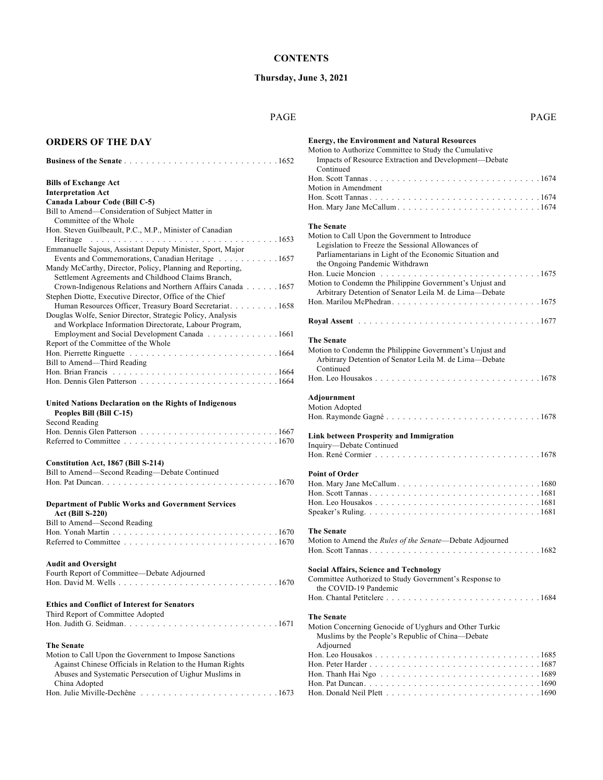## **Thursday, June 3, 2021**

## PAGE PAGE

## **ORDERS OF THE DAY**

| <b>Bills of Exchange Act</b>                                                                   |  |
|------------------------------------------------------------------------------------------------|--|
| <b>Interpretation Act</b>                                                                      |  |
| Canada Labour Code (Bill C-5)                                                                  |  |
| Bill to Amend—Consideration of Subject Matter in                                               |  |
| Committee of the Whole                                                                         |  |
| Hon. Steven Guilbeault, P.C., M.P., Minister of Canadian                                       |  |
| Heritage $\ldots \ldots \ldots \ldots \ldots \ldots \ldots \ldots \ldots \ldots \ldots \ldots$ |  |
| Emmanuelle Sajous, Assistant Deputy Minister, Sport, Major                                     |  |
| Events and Commemorations, Canadian Heritage 1657                                              |  |
| Mandy McCarthy, Director, Policy, Planning and Reporting,                                      |  |
| Settlement Agreements and Childhood Claims Branch,                                             |  |
| Crown-Indigenous Relations and Northern Affairs Canada 1657                                    |  |
| Stephen Diotte, Executive Director, Office of the Chief                                        |  |
| Human Resources Officer, Treasury Board Secretariat. 1658                                      |  |
| Douglas Wolfe, Senior Director, Strategic Policy, Analysis                                     |  |
| and Workplace Information Directorate, Labour Program,                                         |  |
| Employment and Social Development Canada 1661                                                  |  |
| Report of the Committee of the Whole                                                           |  |
|                                                                                                |  |
| Bill to Amend—Third Reading                                                                    |  |
|                                                                                                |  |
|                                                                                                |  |
|                                                                                                |  |

# **United Nations Declaration on the Rights of Indigenous**

| Peoples Bill (Bill C-15)                                                                                             |  |  |  |  |  |  |  |  |  |  |  |  |  |
|----------------------------------------------------------------------------------------------------------------------|--|--|--|--|--|--|--|--|--|--|--|--|--|
| Second Reading                                                                                                       |  |  |  |  |  |  |  |  |  |  |  |  |  |
|                                                                                                                      |  |  |  |  |  |  |  |  |  |  |  |  |  |
| Referred to Committee $\ldots$ , $\ldots$ , $\ldots$ , $\ldots$ , $\ldots$ , $\ldots$ , $\ldots$ , $\ldots$ , $1670$ |  |  |  |  |  |  |  |  |  |  |  |  |  |

#### **Constitution Act, 1867 (Bill S-214)**

| Bill to Amend—Second Reading—Debate Continued |  |
|-----------------------------------------------|--|
|                                               |  |
|                                               |  |

## **Department of Public Works and Government Services Act (Bill S-220)**

Bill to Amend—Second Reading Hon. Yonah Martin .............................. 1670

|--|--|

## **Audit and Oversight**

| Aught and Oversign                          |
|---------------------------------------------|
| Fourth Report of Committee—Debate Adjourned |
|                                             |

## **Ethics and Conflict of Interest for Senators**

| Third Report of Committee Adopted |  |
|-----------------------------------|--|
|                                   |  |

## **The Senate**

| Motion to Call Upon the Government to Impose Sanctions                                           |
|--------------------------------------------------------------------------------------------------|
| Against Chinese Officials in Relation to the Human Rights                                        |
| Abuses and Systematic Persecution of Uighur Muslims in                                           |
| China Adopted                                                                                    |
| Hon. Julie Miville-Dechêne $\ldots \ldots \ldots \ldots \ldots \ldots \ldots \ldots \ldots 1673$ |

| <b>Energy, the Environment and Natural Resources</b><br>Motion to Authorize Committee to Study the Cumulative<br>Impacts of Resource Extraction and Development-Debate<br>Continued                                    |
|------------------------------------------------------------------------------------------------------------------------------------------------------------------------------------------------------------------------|
| Motion in Amendment                                                                                                                                                                                                    |
|                                                                                                                                                                                                                        |
| <b>The Senate</b><br>Motion to Call Upon the Government to Introduce<br>Legislation to Freeze the Sessional Allowances of<br>Parliamentarians in Light of the Economic Situation and<br>the Ongoing Pandemic Withdrawn |
| Motion to Condemn the Philippine Government's Unjust and<br>Arbitrary Detention of Senator Leila M. de Lima-Debate                                                                                                     |
|                                                                                                                                                                                                                        |
|                                                                                                                                                                                                                        |
| The Senate<br>Motion to Condemn the Philippine Government's Unjust and<br>Arbitrary Detention of Senator Leila M. de Lima-Debate<br>Continued                                                                          |
|                                                                                                                                                                                                                        |
| Adjournment<br>Motion Adopted                                                                                                                                                                                          |
| Link between Prosperity and Immigration<br>Inquiry-Debate Continued                                                                                                                                                    |
|                                                                                                                                                                                                                        |
| <b>Point of Order</b>                                                                                                                                                                                                  |
|                                                                                                                                                                                                                        |
|                                                                                                                                                                                                                        |
|                                                                                                                                                                                                                        |
| <b>The Senate</b>                                                                                                                                                                                                      |
| Motion to Amend the Rules of the Senate-Debate Adjourned                                                                                                                                                               |
|                                                                                                                                                                                                                        |
| <b>Social Affairs, Science and Technology</b><br>Committee Authorized to Study Government's Response to<br>the COVID-19 Pandemic                                                                                       |
|                                                                                                                                                                                                                        |
| <b>The Senate</b><br>Motion Concerning Genocide of Uyghurs and Other Turkic<br>Muslims by the People's Republic of China-Debate<br>Adjourned                                                                           |
|                                                                                                                                                                                                                        |
|                                                                                                                                                                                                                        |
|                                                                                                                                                                                                                        |
|                                                                                                                                                                                                                        |
|                                                                                                                                                                                                                        |